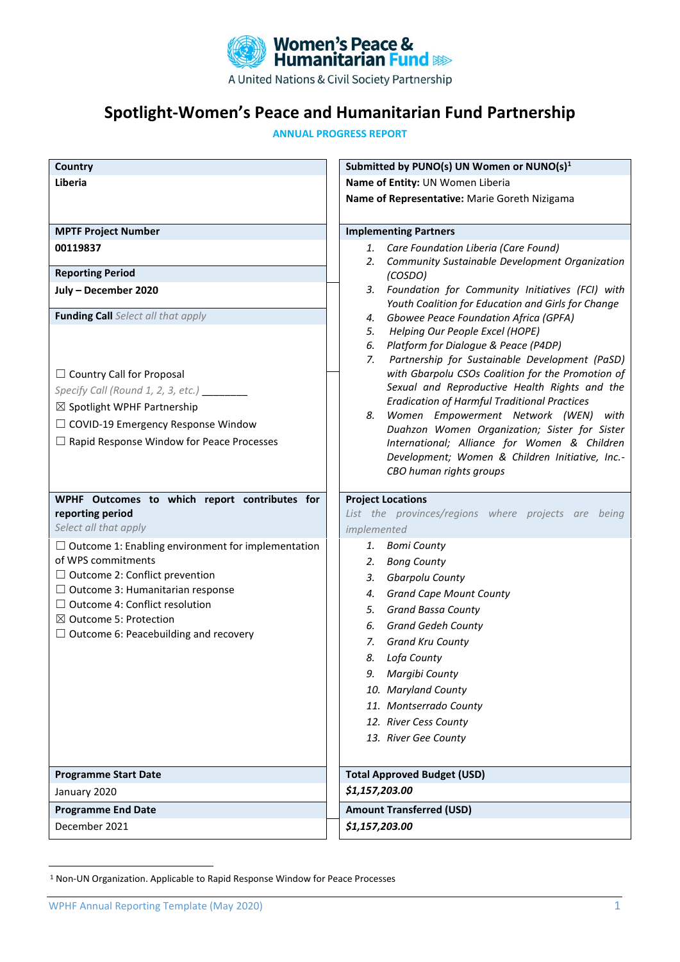

# **Spotlight-Women's Peace and Humanitarian Fund Partnership**

**ANNUAL PROGRESS REPORT**

| Country                                                                                                                                                                                                                    | Submitted by PUNO(s) UN Women or NUNO(s) <sup>1</sup>                                                                                                                                                                                                                                                                                                                                                                                                                                                                              |
|----------------------------------------------------------------------------------------------------------------------------------------------------------------------------------------------------------------------------|------------------------------------------------------------------------------------------------------------------------------------------------------------------------------------------------------------------------------------------------------------------------------------------------------------------------------------------------------------------------------------------------------------------------------------------------------------------------------------------------------------------------------------|
| Liberia                                                                                                                                                                                                                    | Name of Entity: UN Women Liberia                                                                                                                                                                                                                                                                                                                                                                                                                                                                                                   |
|                                                                                                                                                                                                                            | Name of Representative: Marie Goreth Nizigama                                                                                                                                                                                                                                                                                                                                                                                                                                                                                      |
|                                                                                                                                                                                                                            |                                                                                                                                                                                                                                                                                                                                                                                                                                                                                                                                    |
| <b>MPTF Project Number</b>                                                                                                                                                                                                 | <b>Implementing Partners</b>                                                                                                                                                                                                                                                                                                                                                                                                                                                                                                       |
| 00119837                                                                                                                                                                                                                   | 1. Care Foundation Liberia (Care Found)                                                                                                                                                                                                                                                                                                                                                                                                                                                                                            |
| <b>Reporting Period</b>                                                                                                                                                                                                    | 2. Community Sustainable Development Organization<br>(COSDO)                                                                                                                                                                                                                                                                                                                                                                                                                                                                       |
| July - December 2020                                                                                                                                                                                                       | 3. Foundation for Community Initiatives (FCI) with<br>Youth Coalition for Education and Girls for Change                                                                                                                                                                                                                                                                                                                                                                                                                           |
| Funding Call Select all that apply                                                                                                                                                                                         | Gbowee Peace Foundation Africa (GPFA)<br>4.                                                                                                                                                                                                                                                                                                                                                                                                                                                                                        |
| $\Box$ Country Call for Proposal<br>Specify Call (Round 1, 2, 3, etc.) ________<br>$\boxtimes$ Spotlight WPHF Partnership<br>$\Box$ COVID-19 Emergency Response Window<br>$\Box$ Rapid Response Window for Peace Processes | Helping Our People Excel (HOPE)<br>5.<br>Platform for Dialogue & Peace (P4DP)<br>6.<br>Partnership for Sustainable Development (PaSD)<br>7.<br>with Gbarpolu CSOs Coalition for the Promotion of<br>Sexual and Reproductive Health Rights and the<br><b>Eradication of Harmful Traditional Practices</b><br>8. Women Empowerment Network (WEN) with<br>Duahzon Women Organization; Sister for Sister<br>International; Alliance for Women & Children<br>Development; Women & Children Initiative, Inc.-<br>CBO human rights groups |
| WPHF Outcomes to which report contributes for                                                                                                                                                                              | <b>Project Locations</b>                                                                                                                                                                                                                                                                                                                                                                                                                                                                                                           |
| reporting period                                                                                                                                                                                                           | List the provinces/regions where projects are being                                                                                                                                                                                                                                                                                                                                                                                                                                                                                |
| Select all that apply                                                                                                                                                                                                      | implemented                                                                                                                                                                                                                                                                                                                                                                                                                                                                                                                        |
| $\Box$ Outcome 1: Enabling environment for implementation<br>of WPS commitments                                                                                                                                            | 1. Bomi County                                                                                                                                                                                                                                                                                                                                                                                                                                                                                                                     |
| $\Box$ Outcome 2: Conflict prevention                                                                                                                                                                                      | <b>Bong County</b><br>2.<br>Gbarpolu County<br>3.                                                                                                                                                                                                                                                                                                                                                                                                                                                                                  |
| $\Box$ Outcome 3: Humanitarian response                                                                                                                                                                                    | 4. Grand Cape Mount County                                                                                                                                                                                                                                                                                                                                                                                                                                                                                                         |
| $\Box$ Outcome 4: Conflict resolution                                                                                                                                                                                      | 5. Grand Bassa County                                                                                                                                                                                                                                                                                                                                                                                                                                                                                                              |
| $\boxtimes$ Outcome 5: Protection                                                                                                                                                                                          | <b>Grand Gedeh County</b><br>6.                                                                                                                                                                                                                                                                                                                                                                                                                                                                                                    |
| $\Box$ Outcome 6: Peacebuilding and recovery                                                                                                                                                                               | 7. Grand Kru County                                                                                                                                                                                                                                                                                                                                                                                                                                                                                                                |
|                                                                                                                                                                                                                            | 8. Lofa County                                                                                                                                                                                                                                                                                                                                                                                                                                                                                                                     |
|                                                                                                                                                                                                                            | Margibi County<br>9.                                                                                                                                                                                                                                                                                                                                                                                                                                                                                                               |
|                                                                                                                                                                                                                            | 10. Maryland County                                                                                                                                                                                                                                                                                                                                                                                                                                                                                                                |
|                                                                                                                                                                                                                            | 11. Montserrado County                                                                                                                                                                                                                                                                                                                                                                                                                                                                                                             |
|                                                                                                                                                                                                                            | 12. River Cess County                                                                                                                                                                                                                                                                                                                                                                                                                                                                                                              |
|                                                                                                                                                                                                                            | 13. River Gee County                                                                                                                                                                                                                                                                                                                                                                                                                                                                                                               |
|                                                                                                                                                                                                                            |                                                                                                                                                                                                                                                                                                                                                                                                                                                                                                                                    |
| <b>Programme Start Date</b>                                                                                                                                                                                                | <b>Total Approved Budget (USD)</b>                                                                                                                                                                                                                                                                                                                                                                                                                                                                                                 |
| January 2020                                                                                                                                                                                                               | \$1,157,203.00                                                                                                                                                                                                                                                                                                                                                                                                                                                                                                                     |
| <b>Programme End Date</b>                                                                                                                                                                                                  | <b>Amount Transferred (USD)</b>                                                                                                                                                                                                                                                                                                                                                                                                                                                                                                    |
| December 2021                                                                                                                                                                                                              | \$1,157,203.00                                                                                                                                                                                                                                                                                                                                                                                                                                                                                                                     |

<sup>1</sup> Non-UN Organization. Applicable to Rapid Response Window for Peace Processes

WPHF Annual Reporting Template (May 2020) 1 and 200 minutes of the contract of the contract of the contract of the contract of the contract of the contract of the contract of the contract of the contract of the contract of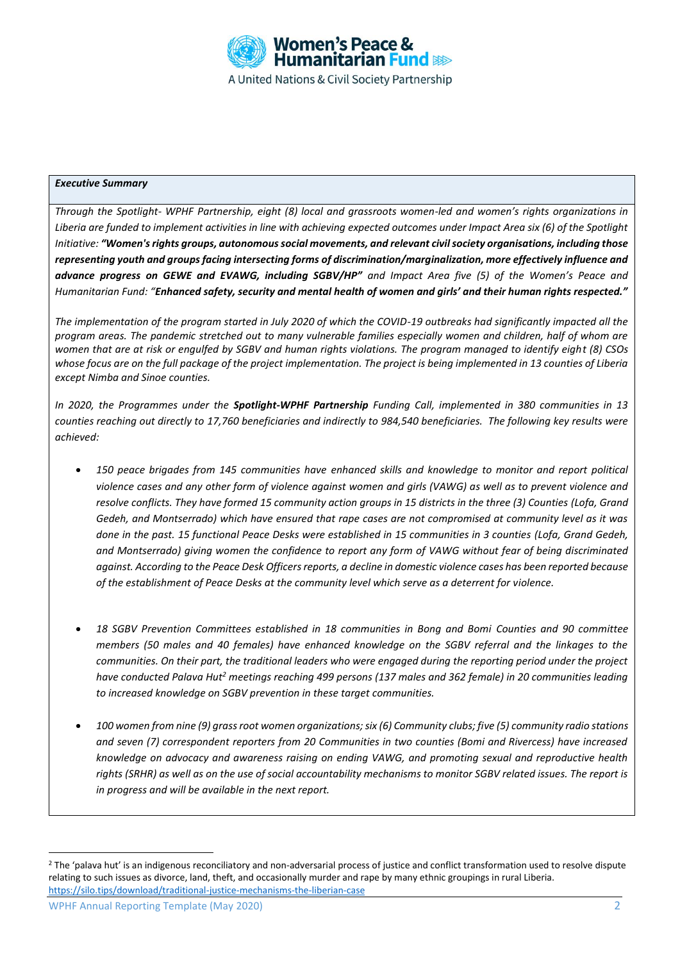

#### *Executive Summary*

*Through the Spotlight- WPHF Partnership, eight (8) local and grassroots women-led and women's rights organizations in Liberia are funded to implement activities in line with achieving expected outcomes under Impact Area six (6) of the Spotlight Initiative: "Women's rights groups, autonomous social movements, and relevant civil society organisations, including those representing youth and groups facing intersecting forms of discrimination/marginalization, more effectively influence and advance progress on GEWE and EVAWG, including SGBV/HP" and Impact Area five (5) of the Women's Peace and Humanitarian Fund: "Enhanced safety, security and mental health of women and girls' and their human rights respected."*

*The implementation of the program started in July 2020 of which the COVID-19 outbreaks had significantly impacted all the program areas. The pandemic stretched out to many vulnerable families especially women and children, half of whom are women that are at risk or engulfed by SGBV and human rights violations. The program managed to identify eight (8) CSOs whose focus are on the full package of the project implementation. The project is being implemented in 13 counties of Liberia except Nimba and Sinoe counties.* 

*In 2020, the Programmes under the Spotlight-WPHF Partnership Funding Call, implemented in 380 communities in 13 counties reaching out directly to 17,760 beneficiaries and indirectly to 984,540 beneficiaries. The following key results were achieved:*

- *150 peace brigades from 145 communities have enhanced skills and knowledge to monitor and report political violence cases and any other form of violence against women and girls (VAWG) as well as to prevent violence and resolve conflicts. They have formed 15 community action groups in 15 districts in the three (3) Counties (Lofa, Grand Gedeh, and Montserrado) which have ensured that rape cases are not compromised at community level as it was done in the past. 15 functional Peace Desks were established in 15 communities in 3 counties (Lofa, Grand Gedeh, and Montserrado) giving women the confidence to report any form of VAWG without fear of being discriminated against. According to the Peace Desk Officers reports, a decline in domestic violence cases has been reported because of the establishment of Peace Desks at the community level which serve as a deterrent for violence.*
- *18 SGBV Prevention Committees established in 18 communities in Bong and Bomi Counties and 90 committee members (50 males and 40 females) have enhanced knowledge on the SGBV referral and the linkages to the communities. On their part, the traditional leaders who were engaged during the reporting period under the project have conducted Palava Hut<sup>2</sup> meetings reaching 499 persons (137 males and 362 female) in 20 communities leading to increased knowledge on SGBV prevention in these target communities.*
- *100 women from nine (9) grass root women organizations; six (6) Community clubs; five (5) community radio stations and seven (7) correspondent reporters from 20 Communities in two counties (Bomi and Rivercess) have increased knowledge on advocacy and awareness raising on ending VAWG, and promoting sexual and reproductive health rights (SRHR) as well as on the use of social accountability mechanisms to monitor SGBV related issues. The report is in progress and will be available in the next report.*

<sup>&</sup>lt;sup>2</sup> The 'palava hut' is an indigenous reconciliatory and non-adversarial process of justice and conflict transformation used to resolve dispute relating to such issues as divorce, land, theft, and occasionally murder and rape by many ethnic groupings in rural Liberia. <https://silo.tips/download/traditional-justice-mechanisms-the-liberian-case>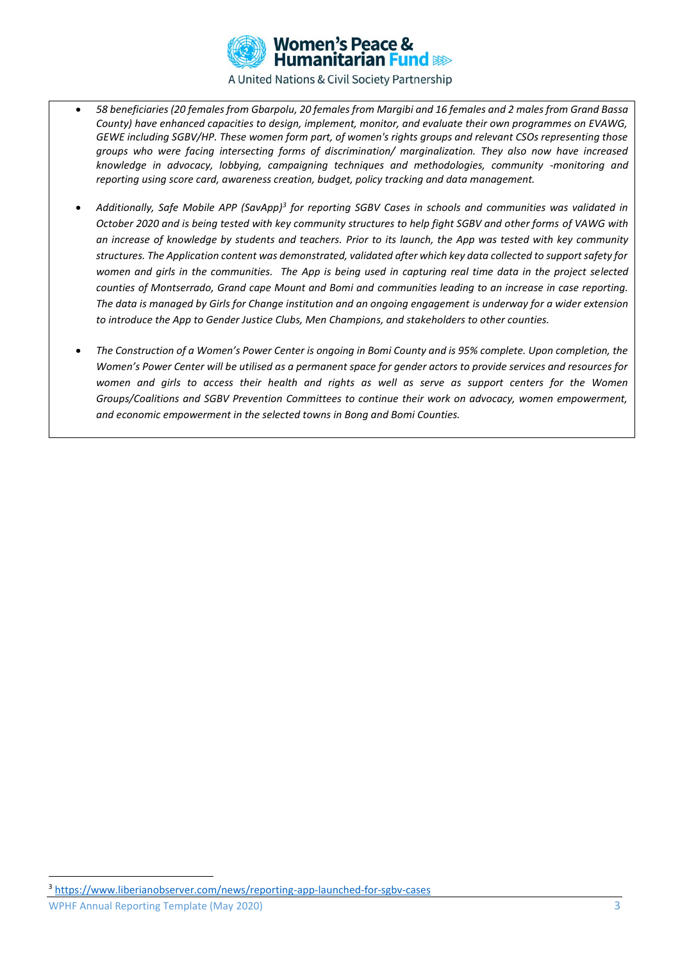

- *58 beneficiaries (20 females from Gbarpolu, 20 females from Margibi and 16 females and 2 males from Grand Bassa County) have enhanced capacities to design, implement, monitor, and evaluate their own programmes on EVAWG, GEWE including SGBV/HP. These women form part, of women's rights groups and relevant CSOs representing those groups who were facing intersecting forms of discrimination/ marginalization. They also now have increased knowledge in advocacy, lobbying, campaigning techniques and methodologies, community -monitoring and reporting using score card, awareness creation, budget, policy tracking and data management.*
- *Additionally, Safe Mobile APP (SavApp)<sup>3</sup> for reporting SGBV Cases in schools and communities was validated in October 2020 and is being tested with key community structures to help fight SGBV and other forms of VAWG with an increase of knowledge by students and teachers. Prior to its launch, the App was tested with key community structures. The Application content was demonstrated, validated after which key data collected to support safety for women and girls in the communities. The App is being used in capturing real time data in the project selected counties of Montserrado, Grand cape Mount and Bomi and communities leading to an increase in case reporting. The data is managed by Girls for Change institution and an ongoing engagement is underway for a wider extension to introduce the App to Gender Justice Clubs, Men Champions, and stakeholders to other counties.*
- *The Construction of a Women's Power Center is ongoing in Bomi County and is 95% complete. Upon completion, the Women's Power Center will be utilised as a permanent space for gender actors to provide services and resources for women and girls to access their health and rights as well as serve as support centers for the Women Groups/Coalitions and SGBV Prevention Committees to continue their work on advocacy, women empowerment, and economic empowerment in the selected towns in Bong and Bomi Counties.*

<sup>3</sup> <https://www.liberianobserver.com/news/reporting-app-launched-for-sgbv-cases>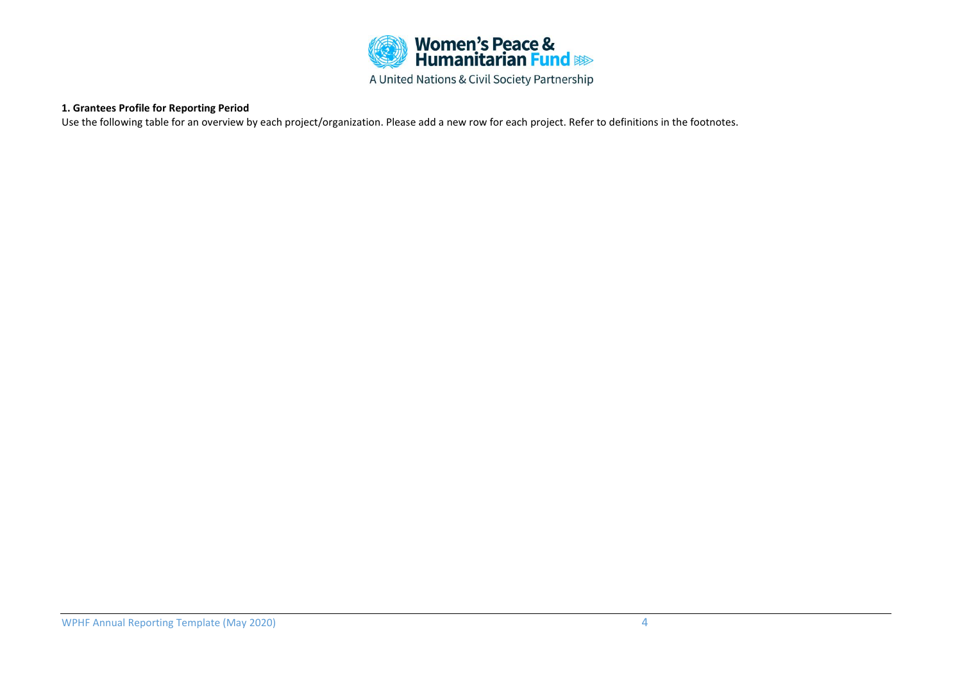

### **1. Grantees Profile for Reporting Period**

Use the following table for an overview by each project/organization. Please add a new row for each project. Refer to definitions in the footnotes.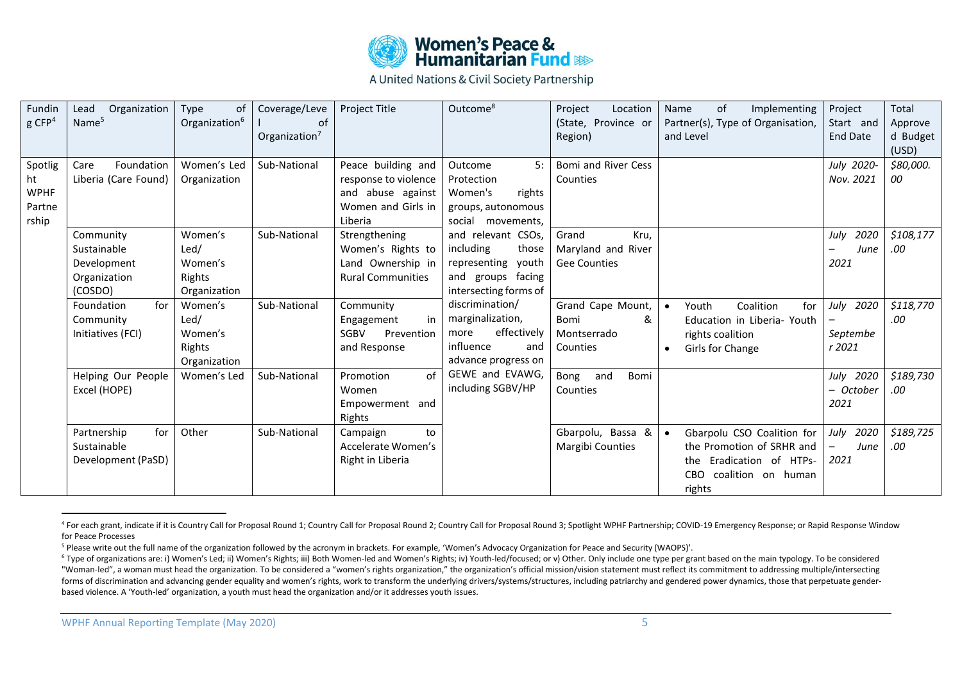

| <b>Fundin</b><br>$g$ CFP <sup>4</sup>           | Organization<br>Lead<br>Name <sup>5</sup>                          | Type<br>0f<br>Organization <sup>6</sup>              | Coverage/Leve<br>οf<br>Organization $7$ | Project Title                                                                                    | Outcome <sup>8</sup>                                                                                         | Project<br>Location<br>(State, Province or<br>Region)      | Implementing<br>οf<br>Name<br>Partner(s), Type of Organisation,<br>and Level                                                   | Project<br>Start and<br><b>End Date</b>               | Total<br>Approve<br>d Budget<br>(USD) |
|-------------------------------------------------|--------------------------------------------------------------------|------------------------------------------------------|-----------------------------------------|--------------------------------------------------------------------------------------------------|--------------------------------------------------------------------------------------------------------------|------------------------------------------------------------|--------------------------------------------------------------------------------------------------------------------------------|-------------------------------------------------------|---------------------------------------|
| Spotlig<br>ht<br><b>WPHF</b><br>Partne<br>rship | Care<br>Foundation<br>Liberia (Care Found)                         | Women's Led<br>Organization                          | Sub-National                            | Peace building and<br>response to violence<br>and abuse against<br>Women and Girls in<br>Liberia | 5:<br>Outcome<br>Protection<br>Women's<br>rights<br>groups, autonomous<br>social movements,                  | Bomi and River Cess<br>Counties                            |                                                                                                                                | July 2020-<br>Nov. 2021                               | \$80,000.<br>00                       |
|                                                 | Community<br>Sustainable<br>Development<br>Organization<br>(COSDO) | Women's<br>Led/<br>Women's<br>Rights<br>Organization | Sub-National                            | Strengthening<br>Women's Rights to<br>Land Ownership in<br><b>Rural Communities</b>              | and relevant CSOs,<br>including<br>those<br>representing youth<br>and groups facing<br>intersecting forms of | Grand<br>Kru,<br>Maryland and River<br><b>Gee Counties</b> |                                                                                                                                | 2020<br>July<br>June<br>2021                          | \$108,177<br>.00                      |
|                                                 | for<br>Foundation<br>Community<br>Initiatives (FCI)                | Women's<br>Led/<br>Women's<br>Rights<br>Organization | Sub-National                            | Community<br>in<br>Engagement<br><b>SGBV</b><br>Prevention<br>and Response                       | discrimination/<br>marginalization,<br>effectively<br>more<br>influence<br>and<br>advance progress on        | Grand Cape Mount,<br>&<br>Bomi<br>Montserrado<br>Counties  | Coalition<br>Youth<br>for<br>Education in Liberia- Youth<br>rights coalition<br>Girls for Change<br>$\bullet$                  | July 2020<br>Septembe<br>r 2021                       | \$118,770<br>.00                      |
|                                                 | Helping Our People<br>Excel (HOPE)                                 | Women's Led                                          | Sub-National                            | of<br>Promotion<br>Women<br>Empowerment and<br>Rights                                            | GEWE and EVAWG,<br>including SGBV/HP                                                                         | and<br>Bomi<br>Bong<br>Counties                            |                                                                                                                                | July 2020<br>- October<br>2021                        | \$189,730<br>.00                      |
|                                                 | for<br>Partnership<br>Sustainable<br>Development (PaSD)            | Other                                                | Sub-National                            | to<br>Campaign<br>Accelerate Women's<br>Right in Liberia                                         |                                                                                                              | Gbarpolu, Bassa &<br><b>Margibi Counties</b>               | Gbarpolu CSO Coalition for<br>the Promotion of SRHR and<br>Eradication of HTPs-<br>the<br>coalition on human<br>CBO.<br>rights | July 2020<br>June<br>$\overline{\phantom{0}}$<br>2021 | \$189,725<br>.00                      |

<sup>&</sup>lt;sup>4</sup> For each grant, indicate if it is Country Call for Proposal Round 1; Country Call for Proposal Round 2; Country Call for Proposal Round 2; Country Call for Proposal Round 3; Spotlight WPHF Partnership; COVID-19 Emergen for Peace Processes

<sup>&</sup>lt;sup>5</sup> Please write out the full name of the organization followed by the acronym in brackets. For example, 'Women's Advocacy Organization for Peace and Security (WAOPS)'.

<sup>&</sup>lt;sup>6</sup> Type of organizations are: i) Women's Led; ii) Women's Rights; iii) Both Women-led and Women's Rights; iv) Youth-led/focused; or v) Other. Only include one type per grant based on the main typology. To be considered "Woman-led", a woman must head the organization. To be considered a "women's rights organization," the organization's official mission/vision statement must reflect its commitment to addressing multiple/intersecting forms of discrimination and advancing gender equality and women's rights, work to transform the underlying drivers/systems/structures, including patriarchy and gendered power dynamics, those that perpetuate genderbased violence. A 'Youth-led' organization, a youth must head the organization and/or it addresses youth issues.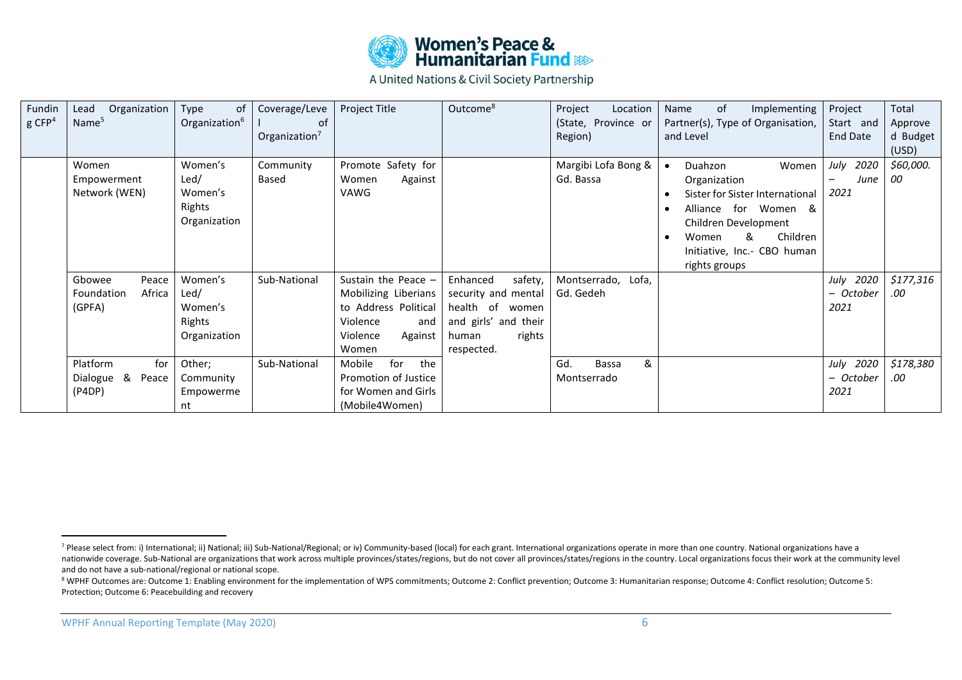

| Fundin               | Organization<br>Lead | Type<br>0f                | Coverage/Leve    | Project Title         | Outcome <sup>8</sup> | Project<br>Location | of<br>Implementing<br>Name        | Project   | Total     |
|----------------------|----------------------|---------------------------|------------------|-----------------------|----------------------|---------------------|-----------------------------------|-----------|-----------|
| $g$ CFP <sup>4</sup> | Name <sup>5</sup>    | Organization <sup>6</sup> | 0f               |                       |                      | (State, Province or | Partner(s), Type of Organisation, | Start and | Approve   |
|                      |                      |                           | Organization $7$ |                       |                      | Region)             | and Level                         | End Date  | d Budget  |
|                      |                      |                           |                  |                       |                      |                     |                                   |           | (USD)     |
|                      | Women                | Women's                   | Community        | Promote Safety for    |                      | Margibi Lofa Bong & | Duahzon<br>Women                  | July 2020 | \$60,000. |
|                      | Empowerment          | Led/                      | Based            | Women<br>Against      |                      | Gd. Bassa           | Organization                      | June      | 00        |
|                      | Network (WEN)        | Women's                   |                  | VAWG                  |                      |                     | Sister for Sister International   | 2021      |           |
|                      |                      | Rights                    |                  |                       |                      |                     | Alliance for Women &              |           |           |
|                      |                      | Organization              |                  |                       |                      |                     | Children Development              |           |           |
|                      |                      |                           |                  |                       |                      |                     | Children<br>&<br>Women            |           |           |
|                      |                      |                           |                  |                       |                      |                     | Initiative, Inc.- CBO human       |           |           |
|                      |                      |                           |                  |                       |                      |                     | rights groups                     |           |           |
|                      | Peace<br>Gbowee      | Women's                   | Sub-National     | Sustain the Peace $-$ | Enhanced<br>safety,  | Montserrado, Lofa,  |                                   | July 2020 | \$177,316 |
|                      | Africa<br>Foundation | Led/                      |                  | Mobilizing Liberians  | security and mental  | Gd. Gedeh           |                                   | – October | .00       |
|                      | (GPFA)               | Women's                   |                  | to Address Political  | health of women      |                     |                                   | 2021      |           |
|                      |                      | Rights                    |                  | Violence<br>and       | and girls' and their |                     |                                   |           |           |
|                      |                      | Organization              |                  | Violence<br>Against   | rights<br>human      |                     |                                   |           |           |
|                      |                      |                           |                  | Women                 | respected.           |                     |                                   |           |           |
|                      | for                  |                           |                  | for                   |                      | &<br>Gd.            |                                   |           |           |
|                      | Platform             | Other;                    | Sub-National     | the<br>Mobile         |                      | Bassa               |                                   | July 2020 | \$178,380 |
|                      | Dialogue &<br>Peace  | Community                 |                  | Promotion of Justice  |                      | Montserrado         |                                   | - October | .00       |
|                      | (P4DP)               | Empowerme                 |                  | for Women and Girls   |                      |                     |                                   | 2021      |           |
|                      |                      | nt                        |                  | (Mobile4Women)        |                      |                     |                                   |           |           |

<sup>7</sup> Please select from: i) International; ii) National; iii) Sub-National/Regional; or iv) Community-based (local) for each grant. International organizations operate in more than one country. National organizations have a nationwide coverage. Sub-National are organizations that work across multiple provinces/states/regions, but do not cover all provinces/states/regions in the country. Local organizations focus their work at the community le and do not have a sub-national/regional or national scope.

<sup>8</sup> WPHF Outcomes are: Outcome 1: Enabling environment for the implementation of WPS commitments; Outcome 2: Conflict prevention; Outcome 3: Humanitarian response; Outcome 4: Conflict resolution; Outcome 5: Protection; Outcome 6: Peacebuilding and recovery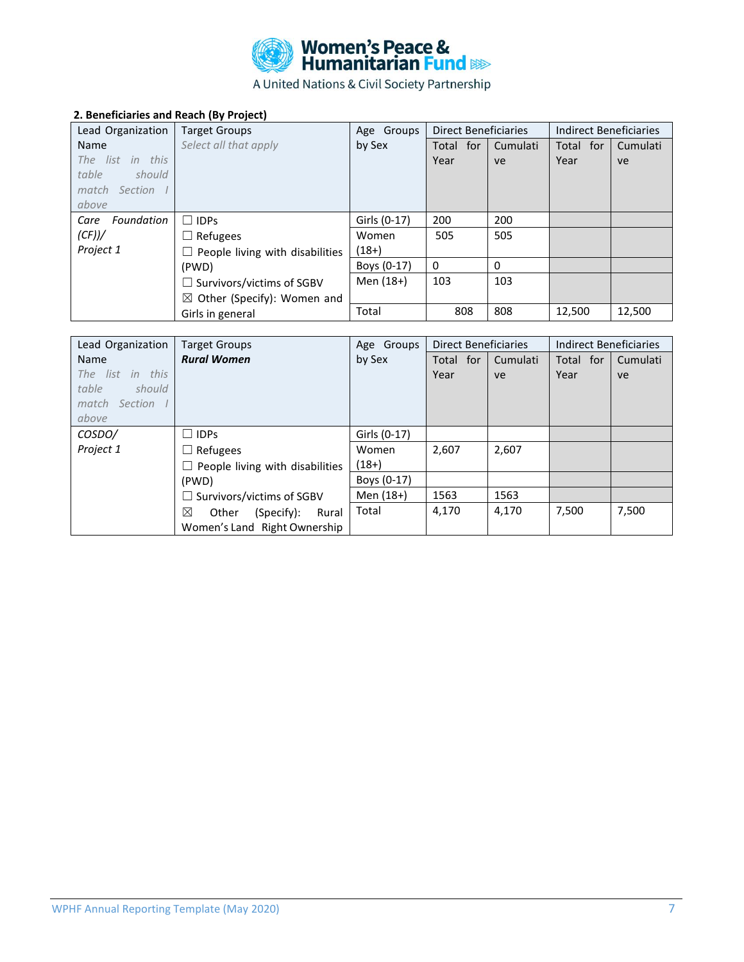

# **2. Beneficiaries and Reach (By Project)**

| Lead Organization  | <b>Target Groups</b>                   | Age Groups   | <b>Direct Beneficiaries</b> |          | Indirect Beneficiaries |          |
|--------------------|----------------------------------------|--------------|-----------------------------|----------|------------------------|----------|
| Name               | Select all that apply                  | by Sex       | Total for                   | Cumulati | Total for              | Cumulati |
| The list in this   |                                        |              | Year                        | ve       | Year                   | ve       |
| table<br>should    |                                        |              |                             |          |                        |          |
| match Section I    |                                        |              |                             |          |                        |          |
| above              |                                        |              |                             |          |                        |          |
| Foundation<br>Care | $\Box$ IDPs                            | Girls (0-17) | 200                         | 200      |                        |          |
| (CF))/             | $\Box$ Refugees                        | Women        | 505                         | 505      |                        |          |
| Project 1          | $\Box$ People living with disabilities | $(18+)$      |                             |          |                        |          |
|                    | (PWD)                                  | Boys (0-17)  | $\Omega$                    | $\Omega$ |                        |          |
|                    | $\Box$ Survivors/victims of SGBV       | Men (18+)    | 103                         | 103      |                        |          |
|                    | $\boxtimes$ Other (Specify): Women and |              |                             |          |                        |          |
|                    | Girls in general                       | Total        | 808                         | 808      | 12,500                 | 12,500   |

| Lead Organization | <b>Target Groups</b>                   | Age Groups   | <b>Direct Beneficiaries</b> |          | Indirect Beneficiaries |          |
|-------------------|----------------------------------------|--------------|-----------------------------|----------|------------------------|----------|
| Name              | <b>Rural Women</b>                     | by Sex       | Total for                   | Cumulati | Total for              | Cumulati |
| The list in this  |                                        |              | Year                        | ve       | Year                   | ve       |
| table<br>should   |                                        |              |                             |          |                        |          |
| match Section I   |                                        |              |                             |          |                        |          |
| above             |                                        |              |                             |          |                        |          |
| COSDO/            | $\Box$ IDPs                            | Girls (0-17) |                             |          |                        |          |
| Project 1         | $\Box$ Refugees                        | Women        | 2,607                       | 2,607    |                        |          |
|                   | $\Box$ People living with disabilities | $(18+)$      |                             |          |                        |          |
|                   | (PWD)                                  | Boys (0-17)  |                             |          |                        |          |
|                   | $\Box$ Survivors/victims of SGBV       | Men (18+)    | 1563                        | 1563     |                        |          |
|                   | ⊠<br>Other<br>(Specify):<br>Rural      | Total        | 4,170                       | 4,170    | 7,500                  | 7,500    |
|                   | Women's Land Right Ownership           |              |                             |          |                        |          |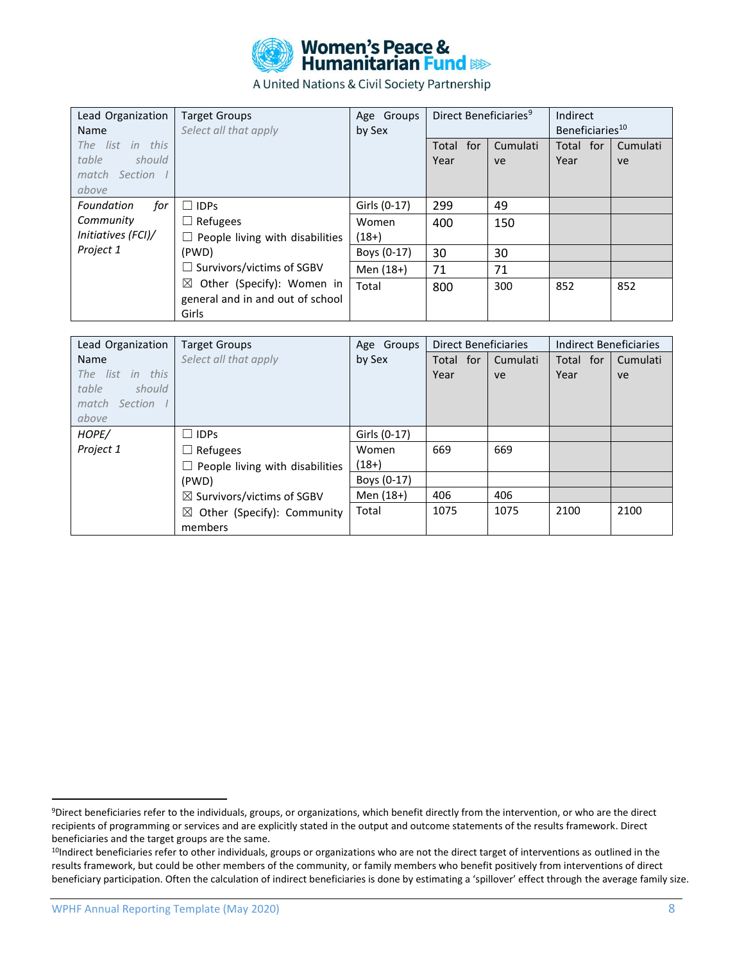

| Lead Organization<br>Name                                       | <b>Target Groups</b><br>Select all that apply                                      | Age Groups<br>by Sex | Direct Beneficiaries <sup>9</sup> |                | Indirect<br>Beneficiaries <sup>10</sup> |                |
|-----------------------------------------------------------------|------------------------------------------------------------------------------------|----------------------|-----------------------------------|----------------|-----------------------------------------|----------------|
| The list in this<br>table<br>should<br>match Section I<br>above |                                                                                    |                      | Total for<br>Year                 | Cumulati<br>ve | Total for<br>Year                       | Cumulati<br>ve |
| Foundation<br>for                                               | $\Box$ IDPs                                                                        | Girls (0-17)         | 299                               | 49             |                                         |                |
| Community<br>Initiatives (FCI)/                                 | Refugees<br>$\Box$<br>$\Box$ People living with disabilities                       | Women<br>$(18+)$     | 400                               | 150            |                                         |                |
| Project 1                                                       | (PWD)                                                                              | Boys (0-17)          | 30                                | 30             |                                         |                |
|                                                                 | $\Box$ Survivors/victims of SGBV                                                   | Men (18+)            | 71                                | 71             |                                         |                |
|                                                                 | $\boxtimes$ Other (Specify): Women in<br>general and in and out of school<br>Girls | Total                | 800                               | 300            | 852                                     | 852            |

| Lead Organization | <b>Target Groups</b>                   | Age Groups   | <b>Direct Beneficiaries</b> |          | <b>Indirect Beneficiaries</b> |          |
|-------------------|----------------------------------------|--------------|-----------------------------|----------|-------------------------------|----------|
| Name              | Select all that apply                  | by Sex       | Total for                   | Cumulati | Total for                     | Cumulati |
| The list in this  |                                        |              | Year                        | ve       | Year                          | ve       |
| table<br>should   |                                        |              |                             |          |                               |          |
| match Section I   |                                        |              |                             |          |                               |          |
| above             |                                        |              |                             |          |                               |          |
| HOPE/             | $\Box$ IDPs                            | Girls (0-17) |                             |          |                               |          |
| Project 1         | Refugees<br>$\perp$                    | Women        | 669                         | 669      |                               |          |
|                   | $\Box$ People living with disabilities | $(18+)$      |                             |          |                               |          |
|                   | (PWD)                                  | Boys (0-17)  |                             |          |                               |          |
|                   | $\boxtimes$ Survivors/victims of SGBV  | Men (18+)    | 406                         | 406      |                               |          |
|                   | $\boxtimes$ Other (Specify): Community | Total        | 1075                        | 1075     | 2100                          | 2100     |
|                   | members                                |              |                             |          |                               |          |

<sup>9</sup>Direct beneficiaries refer to the individuals, groups, or organizations, which benefit directly from the intervention, or who are the direct recipients of programming or services and are explicitly stated in the output and outcome statements of the results framework. Direct beneficiaries and the target groups are the same.

<sup>10</sup>Indirect beneficiaries refer to other individuals, groups or organizations who are not the direct target of interventions as outlined in the results framework, but could be other members of the community, or family members who benefit positively from interventions of direct beneficiary participation. Often the calculation of indirect beneficiaries is done by estimating a 'spillover' effect through the average family size.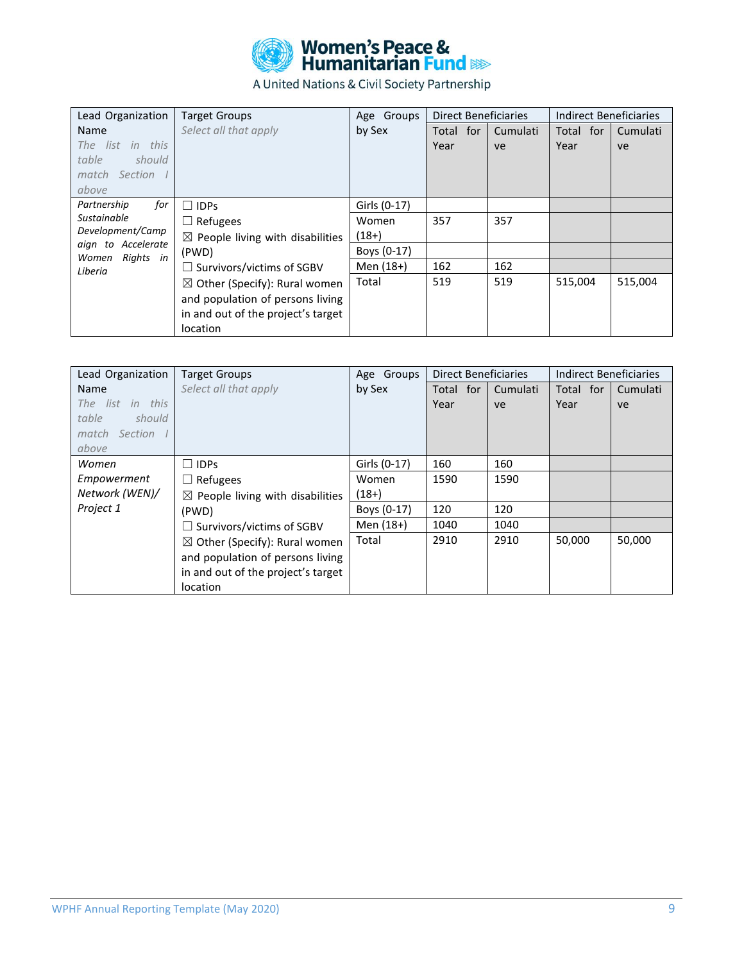

| Lead Organization                     | <b>Target Groups</b>                        | Age Groups   | <b>Direct Beneficiaries</b> |          | Indirect Beneficiaries |          |
|---------------------------------------|---------------------------------------------|--------------|-----------------------------|----------|------------------------|----------|
| <b>Name</b>                           | Select all that apply                       | by Sex       | Total for                   | Cumulati | Total for              | Cumulati |
| The list in this                      |                                             |              | Year                        | ve       | Year                   | ve       |
| table<br>should                       |                                             |              |                             |          |                        |          |
| match Section                         |                                             |              |                             |          |                        |          |
| above                                 |                                             |              |                             |          |                        |          |
| Partnership<br>for                    | <b>IDPs</b><br>$\perp$                      | Girls (0-17) |                             |          |                        |          |
| Sustainable                           | Refugees<br>$\Box$                          | Women        | 357                         | 357      |                        |          |
| Development/Camp                      | $\boxtimes$ People living with disabilities | $(18+)$      |                             |          |                        |          |
| aign to Accelerate<br>Women Rights in | (PWD)                                       | Boys (0-17)  |                             |          |                        |          |
| Liberia                               | $\Box$ Survivors/victims of SGBV            | Men (18+)    | 162                         | 162      |                        |          |
|                                       | $\boxtimes$ Other (Specify): Rural women    | Total        | 519                         | 519      | 515.004                | 515,004  |
|                                       | and population of persons living            |              |                             |          |                        |          |
|                                       | in and out of the project's target          |              |                             |          |                        |          |
|                                       | location                                    |              |                             |          |                        |          |

| Lead Organization | <b>Target Groups</b>                        | Age Groups   | <b>Direct Beneficiaries</b> |          | Indirect Beneficiaries |          |
|-------------------|---------------------------------------------|--------------|-----------------------------|----------|------------------------|----------|
| <b>Name</b>       | Select all that apply                       | by Sex       | Total for                   | Cumulati | Total for              | Cumulati |
| The list in this  |                                             |              | Year                        | ve       | Year                   | ve       |
| table<br>should   |                                             |              |                             |          |                        |          |
| match Section I   |                                             |              |                             |          |                        |          |
| above             |                                             |              |                             |          |                        |          |
| Women             | IDPs<br>П                                   | Girls (0-17) | 160                         | 160      |                        |          |
| Empowerment       | $\Box$ Refugees                             | Women        | 1590                        | 1590     |                        |          |
| Network (WEN)/    | $\boxtimes$ People living with disabilities | $(18+)$      |                             |          |                        |          |
| Project 1         | (PWD)                                       | Boys (0-17)  | 120                         | 120      |                        |          |
|                   | $\Box$ Survivors/victims of SGBV            | Men (18+)    | 1040                        | 1040     |                        |          |
|                   | $\boxtimes$ Other (Specify): Rural women    | Total        | 2910                        | 2910     | 50,000                 | 50,000   |
|                   | and population of persons living            |              |                             |          |                        |          |
|                   | in and out of the project's target          |              |                             |          |                        |          |
|                   | location                                    |              |                             |          |                        |          |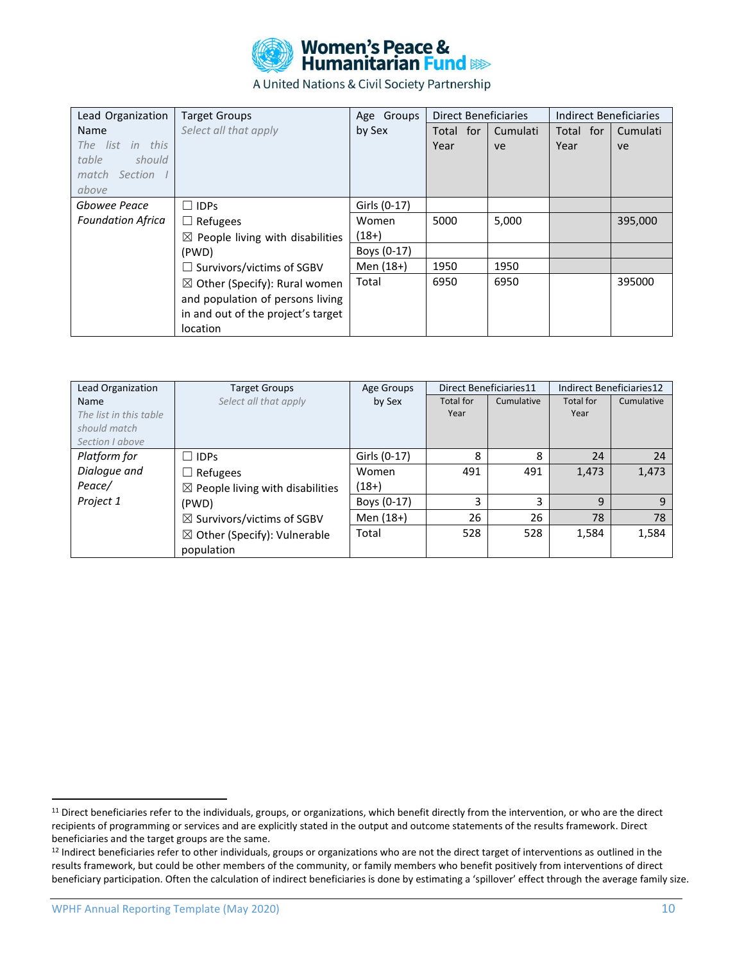

| Lead Organization        | <b>Target Groups</b>                        | Age Groups   | <b>Direct Beneficiaries</b> |          | Indirect Beneficiaries |          |
|--------------------------|---------------------------------------------|--------------|-----------------------------|----------|------------------------|----------|
| Name                     | Select all that apply                       | by Sex       | Total for                   | Cumulati | Total for              | Cumulati |
| The list in this         |                                             |              | Year                        | ve       | Year                   | ve       |
| table<br>should          |                                             |              |                             |          |                        |          |
| match Section I          |                                             |              |                             |          |                        |          |
| above                    |                                             |              |                             |          |                        |          |
| Gbowee Peace             | $\Box$ IDPs                                 | Girls (0-17) |                             |          |                        |          |
| <b>Foundation Africa</b> | $\Box$ Refugees                             | Women        | 5000                        | 5,000    |                        | 395,000  |
|                          | $\boxtimes$ People living with disabilities | $(18+)$      |                             |          |                        |          |
|                          | (PWD)                                       | Boys (0-17)  |                             |          |                        |          |
|                          | $\Box$ Survivors/victims of SGBV            | Men (18+)    | 1950                        | 1950     |                        |          |
|                          | $\boxtimes$ Other (Specify): Rural women    | Total        | 6950                        | 6950     |                        | 395000   |
|                          | and population of persons living            |              |                             |          |                        |          |
|                          | in and out of the project's target          |              |                             |          |                        |          |
|                          | location                                    |              |                             |          |                        |          |

| Lead Organization      | <b>Target Groups</b>                        | Age Groups   |           | Direct Beneficiaries11 |           | Indirect Beneficiaries12 |
|------------------------|---------------------------------------------|--------------|-----------|------------------------|-----------|--------------------------|
| <b>Name</b>            | Select all that apply                       | by Sex       | Total for | Cumulative             | Total for | Cumulative               |
| The list in this table |                                             |              | Year      |                        | Year      |                          |
| should match           |                                             |              |           |                        |           |                          |
| Section Labove         |                                             |              |           |                        |           |                          |
| Platform for           | $\Box$ IDPs                                 | Girls (0-17) | 8         | 8                      | 24        | 24                       |
| Dialogue and           | Refugees                                    | Women        | 491       | 491                    | 1,473     | 1,473                    |
| Peace/                 | $\boxtimes$ People living with disabilities | $(18+)$      |           |                        |           |                          |
| Project 1              | (PWD)                                       | Boys (0-17)  | 3         | 3                      | q         | 9                        |
|                        | $\boxtimes$ Survivors/victims of SGBV       | Men (18+)    | 26        | 26                     | 78        | 78                       |
|                        | $\boxtimes$ Other (Specify): Vulnerable     | Total        | 528       | 528                    | 1,584     | 1,584                    |
|                        | population                                  |              |           |                        |           |                          |

<sup>&</sup>lt;sup>11</sup> Direct beneficiaries refer to the individuals, groups, or organizations, which benefit directly from the intervention, or who are the direct recipients of programming or services and are explicitly stated in the output and outcome statements of the results framework. Direct beneficiaries and the target groups are the same.

<sup>&</sup>lt;sup>12</sup> Indirect beneficiaries refer to other individuals, groups or organizations who are not the direct target of interventions as outlined in the results framework, but could be other members of the community, or family members who benefit positively from interventions of direct beneficiary participation. Often the calculation of indirect beneficiaries is done by estimating a 'spillover' effect through the average family size.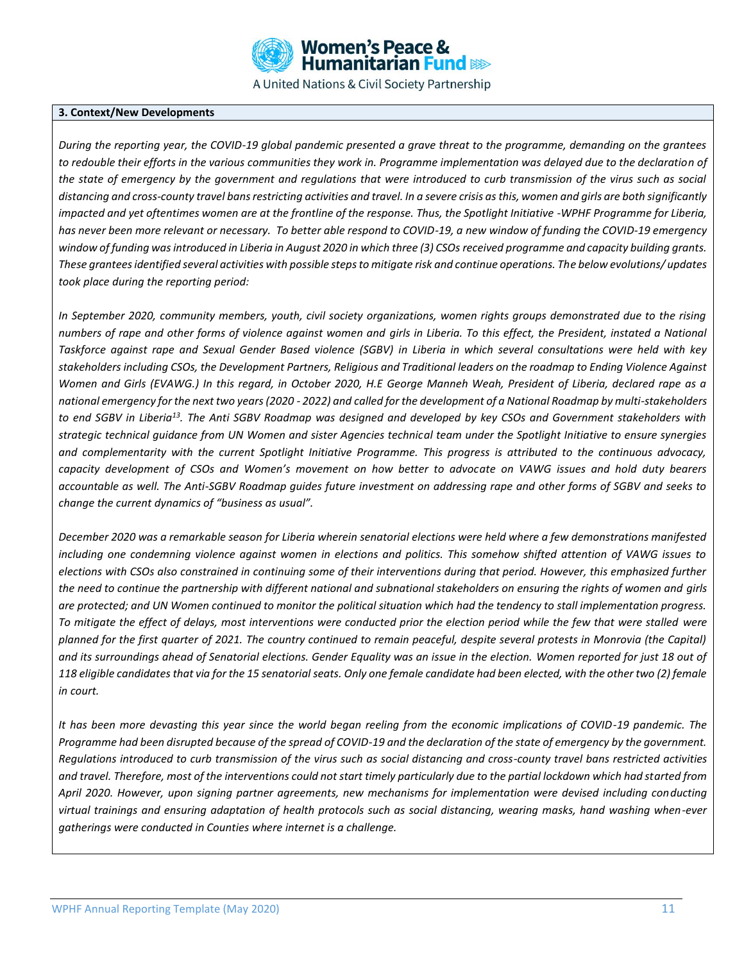

#### **3. Context/New Developments**

*During the reporting year, the COVID-19 global pandemic presented a grave threat to the programme, demanding on the grantees to redouble their efforts in the various communities they work in. Programme implementation was delayed due to the declaration of the state of emergency by the government and regulations that were introduced to curb transmission of the virus such as social distancing and cross-county travel bans restricting activities and travel. In a severe crisis as this, women and girls are both significantly impacted and yet oftentimes women are at the frontline of the response. Thus, the Spotlight Initiative -WPHF Programme for Liberia, has never been more relevant or necessary. To better able respond to COVID-19, a new window of funding the COVID-19 emergency window of funding was introduced in Liberia in August 2020 in which three (3) CSOs received programme and capacity building grants. These grantees identified several activities with possible steps to mitigate risk and continue operations. The below evolutions/ updates took place during the reporting period:*

*In September 2020, community members, youth, civil society organizations, women rights groups demonstrated due to the rising numbers of rape and other forms of violence against women and girls in Liberia. To this effect, the President, instated a National Taskforce against rape and Sexual Gender Based violence (SGBV) in Liberia in which several consultations were held with key stakeholders including CSOs, the Development Partners, Religious and Traditional leaders on the roadmap to Ending Violence Against Women and Girls (EVAWG.) In this regard, in October 2020, H.E George Manneh Weah, President of Liberia, declared rape as a national emergency for the next two years (2020 - 2022) and called for the development of a National Roadmap by multi-stakeholders to end SGBV in Liberia<sup>13</sup>. The Anti SGBV Roadmap was designed and developed by key CSOs and Government stakeholders with strategic technical guidance from UN Women and sister Agencies technical team under the Spotlight Initiative to ensure synergies and complementarity with the current Spotlight Initiative Programme. This progress is attributed to the continuous advocacy, capacity development of CSOs and Women's movement on how better to advocate on VAWG issues and hold duty bearers accountable as well. The Anti-SGBV Roadmap guides future investment on addressing rape and other forms of SGBV and seeks to change the current dynamics of "business as usual".* 

*December 2020 was a remarkable season for Liberia wherein senatorial elections were held where a few demonstrations manifested including one condemning violence against women in elections and politics. This somehow shifted attention of VAWG issues to elections with CSOs also constrained in continuing some of their interventions during that period. However, this emphasized further the need to continue the partnership with different national and subnational stakeholders on ensuring the rights of women and girls are protected; and UN Women continued to monitor the political situation which had the tendency to stall implementation progress. To mitigate the effect of delays, most interventions were conducted prior the election period while the few that were stalled were planned for the first quarter of 2021. The country continued to remain peaceful, despite several protests in Monrovia (the Capital) and its surroundings ahead of Senatorial elections. Gender Equality was an issue in the election. Women reported for just 18 out of 118 eligible candidates that via for the 15 senatorial seats. Only one female candidate had been elected, with the other two (2) female in court.*

*It has been more devasting this year since the world began reeling from the economic implications of COVID-19 pandemic. The Programme had been disrupted because of the spread of COVID-19 and the declaration of the state of emergency by the government. Regulations introduced to curb transmission of the virus such as social distancing and cross-county travel bans restricted activities and travel. Therefore, most of the interventions could not start timely particularly due to the partial lockdown which had started from April 2020. However, upon signing partner agreements, new mechanisms for implementation were devised including conducting virtual trainings and ensuring adaptation of health protocols such as social distancing, wearing masks, hand washing when-ever gatherings were conducted in Counties where internet is a challenge.*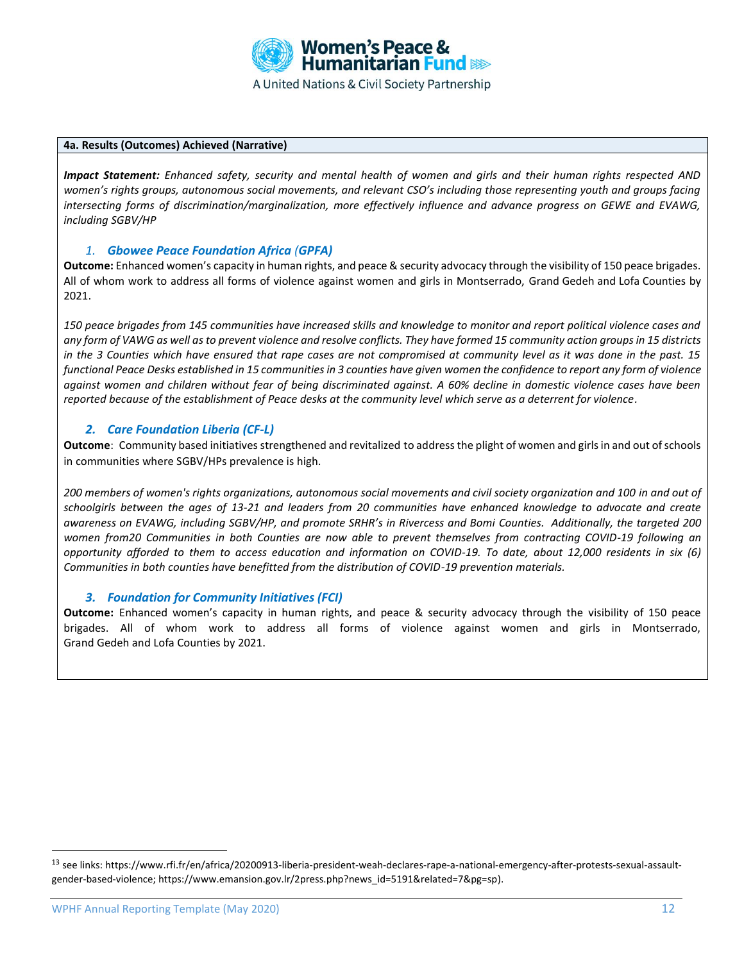

#### **4a. Results (Outcomes) Achieved (Narrative)**

*Impact Statement: Enhanced safety, security and mental health of women and girls and their human rights respected AND women's rights groups, autonomous social movements, and relevant CSO's including those representing youth and groups facing intersecting forms of discrimination/marginalization, more effectively influence and advance progress on GEWE and EVAWG, including SGBV/HP*

### *1. Gbowee Peace Foundation Africa (GPFA)*

**Outcome:** Enhanced women's capacity in human rights, and peace & security advocacy through the visibility of 150 peace brigades. All of whom work to address all forms of violence against women and girls in Montserrado, Grand Gedeh and Lofa Counties by 2021.

*150 peace brigades from 145 communities have increased skills and knowledge to monitor and report political violence cases and any form of VAWG as well as to prevent violence and resolve conflicts. They have formed 15 community action groups in 15 districts in the 3 Counties which have ensured that rape cases are not compromised at community level as it was done in the past. 15 functional Peace Desks established in 15 communities in 3 counties have given women the confidence to report any form of violence against women and children without fear of being discriminated against. A 60% decline in domestic violence cases have been reported because of the establishment of Peace desks at the community level which serve as a deterrent for violence.*

### *2. Care Foundation Liberia (CF-L)*

**Outcome**: Community based initiatives strengthened and revitalized to address the plight of women and girls in and out of schools in communities where SGBV/HPs prevalence is high.

*200 members of women's rights organizations, autonomous social movements and civil society organization and 100 in and out of schoolgirls between the ages of 13-21 and leaders from 20 communities have enhanced knowledge to advocate and create awareness on EVAWG, including SGBV/HP, and promote SRHR's in Rivercess and Bomi Counties. Additionally, the targeted 200 women from20 Communities in both Counties are now able to prevent themselves from contracting COVID-19 following an opportunity afforded to them to access education and information on COVID-19. To date, about 12,000 residents in six (6) Communities in both counties have benefitted from the distribution of COVID-19 prevention materials.*

### *3. Foundation for Community Initiatives (FCI)*

**Outcome:** Enhanced women's capacity in human rights, and peace & security advocacy through the visibility of 150 peace brigades. All of whom work to address all forms of violence against women and girls in Montserrado, Grand Gedeh and Lofa Counties by 2021.

<sup>&</sup>lt;sup>13</sup> see links: [https://www.rfi.fr/en/africa/20200913-liberia-president-weah-declares-rape-a-national-emergency-after-protests-sexual-assault](https://www.rfi.fr/en/africa/20200913-liberia-president-weah-declares-rape-a-national-emergency-after-protests-sexual-assault-gender-based-violence)[gender-based-violence;](https://www.rfi.fr/en/africa/20200913-liberia-president-weah-declares-rape-a-national-emergency-after-protests-sexual-assault-gender-based-violence) [https://www.emansion.gov.lr/2press.php?news\\_id=5191&related=7&pg=sp\)](https://www.emansion.gov.lr/2press.php?news_id=5191&related=7&pg=sp).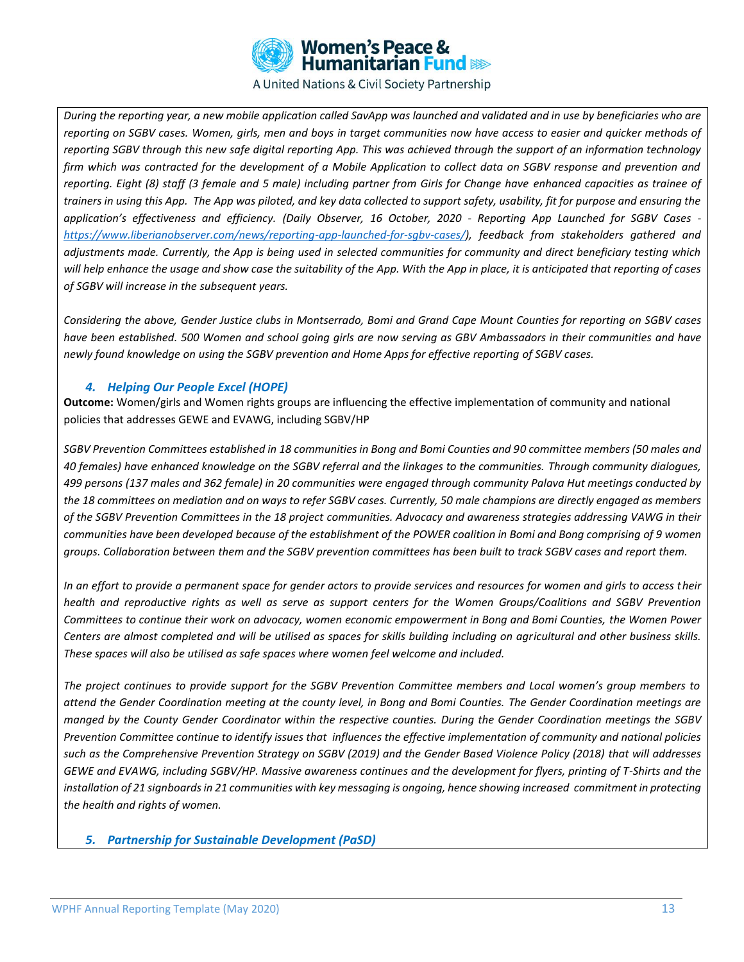

*During the reporting year, a new mobile application called SavApp was launched and validated and in use by beneficiaries who are reporting on SGBV cases. Women, girls, men and boys in target communities now have access to easier and quicker methods of reporting SGBV through this new safe digital reporting App. This was achieved through the support of an information technology firm which was contracted for the development of a Mobile Application to collect data on SGBV response and prevention and reporting. Eight (8) staff (3 female and 5 male) including partner from Girls for Change have enhanced capacities as trainee of trainers in using this App. The App was piloted, and key data collected to support safety, usability, fit for purpose and ensuring the application's effectiveness and efficiency. (Daily Observer, 16 October, 2020 - Reporting App Launched for SGBV Cases [https://www.liberianobserver.com/news/reporting-app-launched-for-sgbv-cases/\)](https://nam10.safelinks.protection.outlook.com/?url=https%3A%2F%2Fwww.liberianobserver.com%2Fnews%2Freporting-app-launched-for-sgbv-cases%2F&data=04%7C01%7C%7C3ff5e75c0c86446492de08d8765d30f6%7C2bcd07449e18487d85c3c9a325220be8%7C0%7C0%7C637389489949661436%7CUnknown%7CTWFpbGZsb3d8eyJWIjoiMC4wLjAwMDAiLCJQIjoiV2luMzIiLCJBTiI6Ik1haWwiLCJXVCI6Mn0%3D%7C1000&sdata=fOlCkFe460ntv4ZXC14vQKMyq9LoQSwj0PWN8Y5Oa9U%3D&reserved=0), feedback from stakeholders gathered and adjustments made. Currently, the App is being used in selected communities for community and direct beneficiary testing which will help enhance the usage and show case the suitability of the App. With the App in place, it is anticipated that reporting of cases of SGBV will increase in the subsequent years.* 

*Considering the above, Gender Justice clubs in Montserrado, Bomi and Grand Cape Mount Counties for reporting on SGBV cases have been established. 500 Women and school going girls are now serving as GBV Ambassadors in their communities and have newly found knowledge on using the SGBV prevention and Home Apps for effective reporting of SGBV cases.* 

### *4. Helping Our People Excel (HOPE)*

**Outcome:** Women/girls and Women rights groups are influencing the effective implementation of community and national policies that addresses GEWE and EVAWG, including SGBV/HP

*SGBV Prevention Committees established in 18 communities in Bong and Bomi Counties and 90 committee members (50 males and 40 females) have enhanced knowledge on the SGBV referral and the linkages to the communities. Through community dialogues, 499 persons (137 males and 362 female) in 20 communities were engaged through community Palava Hut meetings conducted by the 18 committees on mediation and on ways to refer SGBV cases. Currently, 50 male champions are directly engaged as members of the SGBV Prevention Committees in the 18 project communities. Advocacy and awareness strategies addressing VAWG in their communities have been developed because of the establishment of the POWER coalition in Bomi and Bong comprising of 9 women groups. Collaboration between them and the SGBV prevention committees has been built to track SGBV cases and report them.*

*In an effort to provide a permanent space for gender actors to provide services and resources for women and girls to access their health and reproductive rights as well as serve as support centers for the Women Groups/Coalitions and SGBV Prevention Committees to continue their work on advocacy, women economic empowerment in Bong and Bomi Counties, the Women Power Centers are almost completed and will be utilised as spaces for skills building including on agricultural and other business skills. These spaces will also be utilised as safe spaces where women feel welcome and included.*

*The project continues to provide support for the SGBV Prevention Committee members and Local women's group members to attend the Gender Coordination meeting at the county level, in Bong and Bomi Counties. The Gender Coordination meetings are manged by the County Gender Coordinator within the respective counties. During the Gender Coordination meetings the SGBV Prevention Committee continue to identify issues that influences the effective implementation of community and national policies such as the Comprehensive Prevention Strategy on SGBV (2019) and the Gender Based Violence Policy (2018) that will addresses GEWE and EVAWG, including SGBV/HP. Massive awareness continues and the development for flyers, printing of T-Shirts and the installation of 21 signboards in 21 communities with key messaging is ongoing, hence showing increased commitment in protecting the health and rights of women.*

*5. Partnership for Sustainable Development (PaSD)*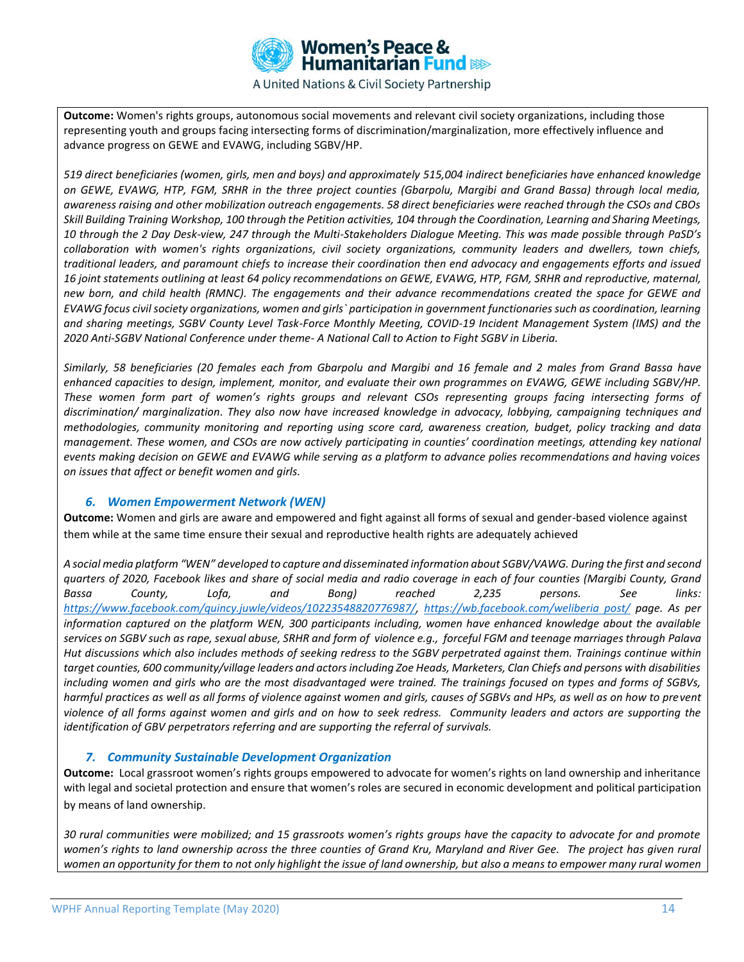

**Outcome:** Women's rights groups, autonomous social movements and relevant civil society organizations, including those representing youth and groups facing intersecting forms of discrimination/marginalization, more effectively influence and advance progress on GEWE and EVAWG, including SGBV/HP.

*519 direct beneficiaries (women, girls, men and boys) and approximately 515,004 indirect beneficiaries have enhanced knowledge on GEWE, EVAWG, HTP, FGM, SRHR in the three project counties (Gbarpolu, Margibi and Grand Bassa) through local media, awareness raising and other mobilization outreach engagements. 58 direct beneficiaries were reached through the CSOs and CBOs Skill Building Training Workshop, 100 through the Petition activities, 104 through the Coordination, Learning and Sharing Meetings, 10 through the 2 Day Desk-view, 247 through the Multi-Stakeholders Dialogue Meeting. This was made possible through PaSD's collaboration with women's rights organizations, civil society organizations, community leaders and dwellers, town chiefs, traditional leaders, and paramount chiefs to increase their coordination then end advocacy and engagements efforts and issued 16 joint statements outlining at least 64 policy recommendations on GEWE, EVAWG, HTP, FGM, SRHR and reproductive, maternal, new born, and child health (RMNC). The engagements and their advance recommendations created the space for GEWE and EVAWG focus civil society organizations, women and girls` participation in government functionaries such as coordination, learning and sharing meetings, SGBV County Level Task-Force Monthly Meeting, COVID-19 Incident Management System (IMS) and the 2020 Anti-SGBV National Conference under theme- A National Call to Action to Fight SGBV in Liberia.*

*Similarly, 58 beneficiaries (20 females each from Gbarpolu and Margibi and 16 female and 2 males from Grand Bassa have enhanced capacities to design, implement, monitor, and evaluate their own programmes on EVAWG, GEWE including SGBV/HP. These women form part of women's rights groups and relevant CSOs representing groups facing intersecting forms of discrimination/ marginalization. They also now have increased knowledge in advocacy, lobbying, campaigning techniques and methodologies, community monitoring and reporting using score card, awareness creation, budget, policy tracking and data management. These women, and CSOs are now actively participating in counties' coordination meetings, attending key national events making decision on GEWE and EVAWG while serving as a platform to advance polies recommendations and having voices on issues that affect or benefit women and girls.*

### *6. Women Empowerment Network (WEN)*

**Outcome:** Women and girls are aware and empowered and fight against all forms of sexual and gender-based violence against them while at the same time ensure their sexual and reproductive health rights are adequately achieved

*A social media platform "WEN" developed to capture and disseminated information about SGBV/VAWG. During the first and second quarters of 2020, Facebook likes and share of social media and radio coverage in each of four counties (Margibi County, Grand Bassa County, Lofa, and Bong) reached 2,235 persons. See links: [https://www.facebook.com/quincy.juwle/videos/10223548820776987/,](https://www.facebook.com/quincy.juwle/videos/10223548820776987/) [https://wb.facebook.com/weliberia post/](https://wb.facebook.com/weliberia%20post/) page. As per information captured on the platform WEN, 300 participants including, women have enhanced knowledge about the available services on SGBV such as rape, sexual abuse, SRHR and form of violence e.g., forceful FGM and teenage marriages through Palava Hut discussions which also includes methods of seeking redress to the SGBV perpetrated against them. Trainings continue within target counties, 600 community/village leaders and actors including Zoe Heads, Marketers, Clan Chiefs and persons with disabilities including women and girls who are the most disadvantaged were trained. The trainings focused on types and forms of SGBVs, harmful practices as well as all forms of violence against women and girls, causes of SGBVs and HPs, as well as on how to prevent violence of all forms against women and girls and on how to seek redress. Community leaders and actors are supporting the identification of GBV perpetrators referring and are supporting the referral of survivals.*

### *7. Community Sustainable Development Organization*

**Outcome:** Local grassroot women's rights groups empowered to advocate for women's rights on land ownership and inheritance with legal and societal protection and ensure that women's roles are secured in economic development and political participation by means of land ownership.

*30 rural communities were mobilized; and 15 grassroots women's rights groups have the capacity to advocate for and promote women's rights to land ownership across the three counties of Grand Kru, Maryland and River Gee. The project has given rural women an opportunity for them to not only highlight the issue of land ownership, but also a means to empower many rural women*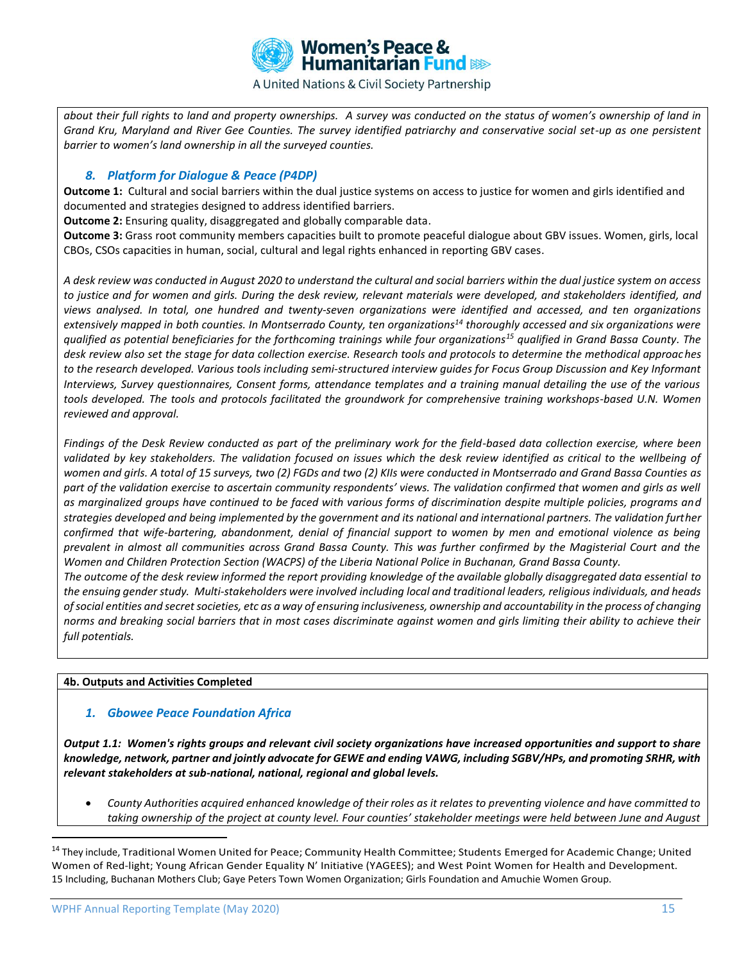

*about their full rights to land and property ownerships. A survey was conducted on the status of women's ownership of land in Grand Kru, Maryland and River Gee Counties. The survey identified patriarchy and conservative social set-up as one persistent barrier to women's land ownership in all the surveyed counties.* 

## *8. Platform for Dialogue & Peace (P4DP)*

**Outcome 1:** Cultural and social barriers within the dual justice systems on access to justice for women and girls identified and documented and strategies designed to address identified barriers.

**Outcome 2:** Ensuring quality, disaggregated and globally comparable data.

**Outcome 3:** Grass root community members capacities built to promote peaceful dialogue about GBV issues. Women, girls, local CBOs, CSOs capacities in human, social, cultural and legal rights enhanced in reporting GBV cases.

*A desk review was conducted in August 2020 to understand the cultural and social barriers within the dual justice system on access to justice and for women and girls. During the desk review, relevant materials were developed, and stakeholders identified, and views analysed. In total, one hundred and twenty-seven organizations were identified and accessed, and ten organizations extensively mapped in both counties. In Montserrado County, ten organizations<sup>14</sup> thoroughly accessed and six organizations were qualified as potential beneficiaries for the forthcoming trainings while four organizations<sup>15</sup> qualified in Grand Bassa County. The desk review also set the stage for data collection exercise. Research tools and protocols to determine the methodical approaches to the research developed. Various tools including semi-structured interview guides for Focus Group Discussion and Key Informant Interviews, Survey questionnaires, Consent forms, attendance templates and a training manual detailing the use of the various tools developed. The tools and protocols facilitated the groundwork for comprehensive training workshops-based U.N. Women reviewed and approval.* 

*Findings of the Desk Review conducted as part of the preliminary work for the field-based data collection exercise, where been validated by key stakeholders. The validation focused on issues which the desk review identified as critical to the wellbeing of women and girls. A total of 15 surveys, two (2) FGDs and two (2) KIIs were conducted in Montserrado and Grand Bassa Counties as part of the validation exercise to ascertain community respondents' views. The validation confirmed that women and girls as well as marginalized groups have continued to be faced with various forms of discrimination despite multiple policies, programs and strategies developed and being implemented by the government and its national and international partners. The validation further confirmed that wife-bartering, abandonment, denial of financial support to women by men and emotional violence as being prevalent in almost all communities across Grand Bassa County. This was further confirmed by the Magisterial Court and the Women and Children Protection Section (WACPS) of the Liberia National Police in Buchanan, Grand Bassa County.*

*The outcome of the desk review informed the report providing knowledge of the available globally disaggregated data essential to the ensuing gender study. Multi-stakeholders were involved including local and traditional leaders, religious individuals, and heads of social entities and secret societies, etc as a way of ensuring inclusiveness, ownership and accountability in the process of changing norms and breaking social barriers that in most cases discriminate against women and girls limiting their ability to achieve their full potentials.* 

### **4b. Outputs and Activities Completed**

### *1. Gbowee Peace Foundation Africa*

*Output 1.1: Women's rights groups and relevant civil society organizations have increased opportunities and support to share knowledge, network, partner and jointly advocate for GEWE and ending VAWG, including SGBV/HPs, and promoting SRHR, with relevant stakeholders at sub-national, national, regional and global levels.*

• *County Authorities acquired enhanced knowledge of their roles as it relates to preventing violence and have committed to taking ownership of the project at county level. Four counties' stakeholder meetings were held between June and August* 

<sup>&</sup>lt;sup>14</sup> They include, Traditional Women United for Peace; Community Health Committee; Students Emerged for Academic Change; United Women of Red-light; Young African Gender Equality N' Initiative (YAGEES); and West Point Women for Health and Development. 15 Including, Buchanan Mothers Club; Gaye Peters Town Women Organization; Girls Foundation and Amuchie Women Group.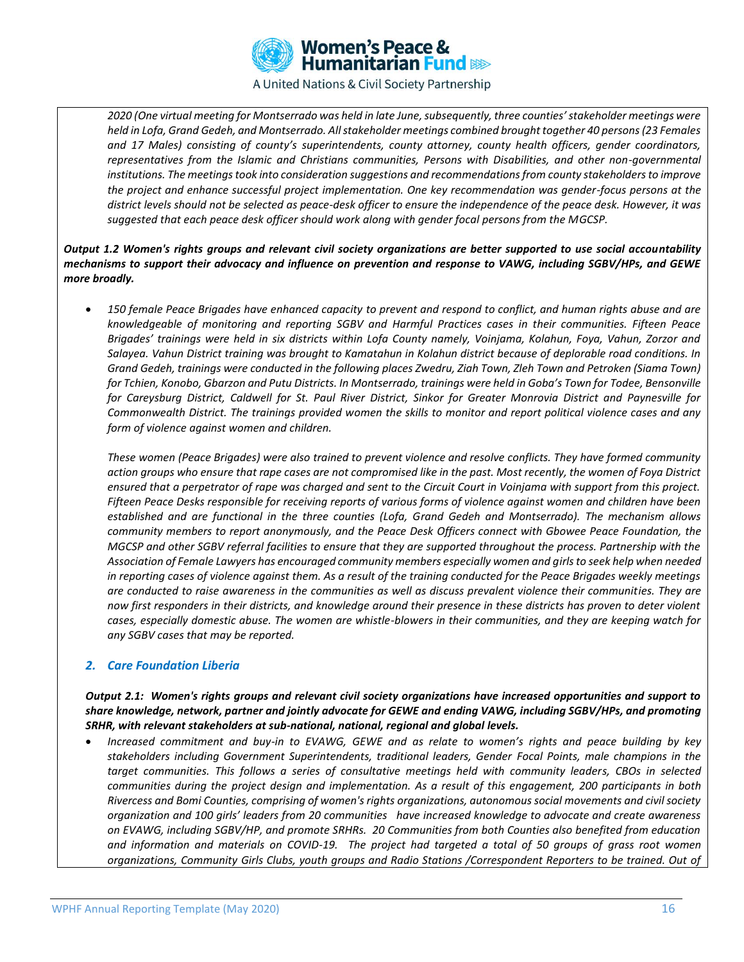

*2020 (One virtual meeting for Montserrado was held in late June, subsequently, three counties' stakeholder meetings were held in Lofa, Grand Gedeh, and Montserrado. All stakeholder meetings combined brought together 40 persons (23 Females and 17 Males) consisting of county's superintendents, county attorney, county health officers, gender coordinators, representatives from the Islamic and Christians communities, Persons with Disabilities, and other non-governmental institutions. The meetings took into consideration suggestions and recommendations from county stakeholders to improve the project and enhance successful project implementation. One key recommendation was gender-focus persons at the district levels should not be selected as peace-desk officer to ensure the independence of the peace desk. However, it was suggested that each peace desk officer should work along with gender focal persons from the MGCSP.*

### *Output 1.2 Women's rights groups and relevant civil society organizations are better supported to use social accountability mechanisms to support their advocacy and influence on prevention and response to VAWG, including SGBV/HPs, and GEWE more broadly.*

• *150 female Peace Brigades have enhanced capacity to prevent and respond to conflict, and human rights abuse and are knowledgeable of monitoring and reporting SGBV and Harmful Practices cases in their communities. Fifteen Peace Brigades' trainings were held in six districts within Lofa County namely, Voinjama, Kolahun, Foya, Vahun, Zorzor and Salayea. Vahun District training was brought to Kamatahun in Kolahun district because of deplorable road conditions. In Grand Gedeh, trainings were conducted in the following places Zwedru, Ziah Town, Zleh Town and Petroken (Siama Town) for Tchien, Konobo, Gbarzon and Putu Districts. In Montserrado, trainings were held in Goba's Town for Todee, Bensonville for Careysburg District, Caldwell for St. Paul River District, Sinkor for Greater Monrovia District and Paynesville for Commonwealth District. The trainings provided women the skills to monitor and report political violence cases and any form of violence against women and children.* 

*These women (Peace Brigades) were also trained to prevent violence and resolve conflicts. They have formed community action groups who ensure that rape cases are not compromised like in the past. Most recently, the women of Foya District ensured that a perpetrator of rape was charged and sent to the Circuit Court in Voinjama with support from this project. Fifteen Peace Desks responsible for receiving reports of various forms of violence against women and children have been established and are functional in the three counties (Lofa, Grand Gedeh and Montserrado). The mechanism allows community members to report anonymously, and the Peace Desk Officers connect with Gbowee Peace Foundation, the MGCSP and other SGBV referral facilities to ensure that they are supported throughout the process. Partnership with the Association of Female Lawyers has encouraged community members especially women and girls to seek help when needed in reporting cases of violence against them. As a result of the training conducted for the Peace Brigades weekly meetings are conducted to raise awareness in the communities as well as discuss prevalent violence their communities. They are now first responders in their districts, and knowledge around their presence in these districts has proven to deter violent cases, especially domestic abuse. The women are whistle-blowers in their communities, and they are keeping watch for any SGBV cases that may be reported.* 

### *2. Care Foundation Liberia*

*Output 2.1: Women's rights groups and relevant civil society organizations have increased opportunities and support to share knowledge, network, partner and jointly advocate for GEWE and ending VAWG, including SGBV/HPs, and promoting SRHR, with relevant stakeholders at sub-national, national, regional and global levels.*

• *Increased commitment and buy-in to EVAWG, GEWE and as relate to women's rights and peace building by key stakeholders including Government Superintendents, traditional leaders, Gender Focal Points, male champions in the target communities. This follows a series of consultative meetings held with community leaders, CBOs in selected communities during the project design and implementation. As a result of this engagement, 200 participants in both Rivercess and Bomi Counties, comprising of women's rights organizations, autonomous social movements and civil society organization and 100 girls' leaders from 20 communities have increased knowledge to advocate and create awareness on EVAWG, including SGBV/HP, and promote SRHRs. 20 Communities from both Counties also benefited from education and information and materials on COVID-19. The project had targeted a total of 50 groups of grass root women organizations, Community Girls Clubs, youth groups and Radio Stations /Correspondent Reporters to be trained. Out of*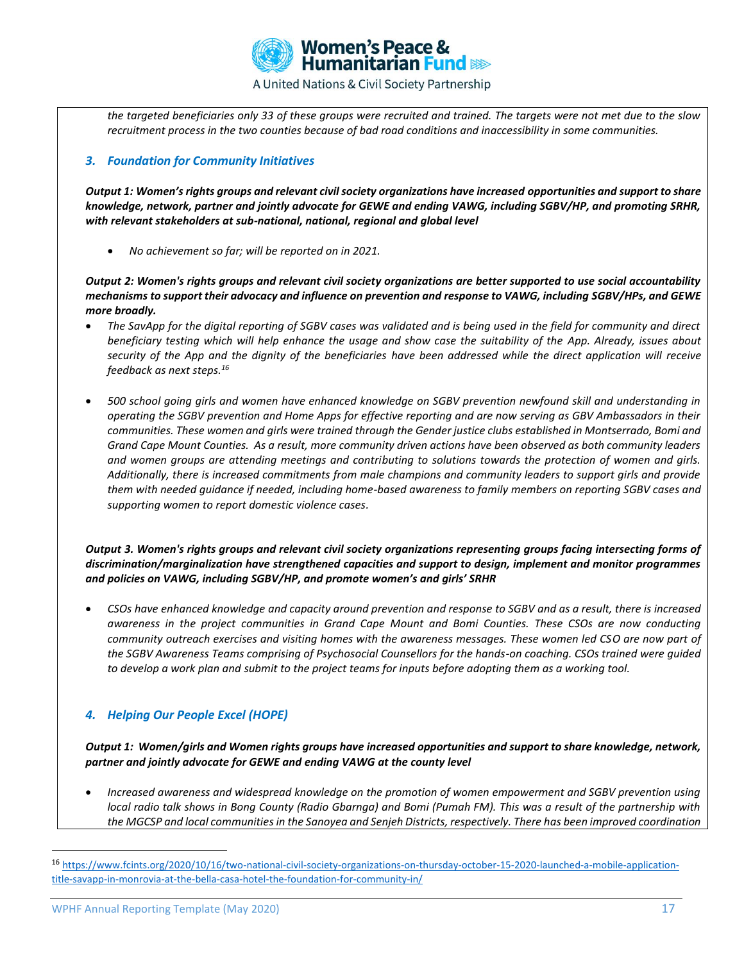

*the targeted beneficiaries only 33 of these groups were recruited and trained. The targets were not met due to the slow recruitment process in the two counties because of bad road conditions and inaccessibility in some communities.*

### *3. Foundation for Community Initiatives*

*Output 1: Women's rights groups and relevant civil society organizations have increased opportunities and support to share knowledge, network, partner and jointly advocate for GEWE and ending VAWG, including SGBV/HP, and promoting SRHR, with relevant stakeholders at sub-national, national, regional and global level*

• *No achievement so far; will be reported on in 2021.* 

*Output 2: Women's rights groups and relevant civil society organizations are better supported to use social accountability mechanisms to support their advocacy and influence on prevention and response to VAWG, including SGBV/HPs, and GEWE more broadly.*

- *The SavApp for the digital reporting of SGBV cases was validated and is being used in the field for community and direct beneficiary testing which will help enhance the usage and show case the suitability of the App. Already, issues about security of the App and the dignity of the beneficiaries have been addressed while the direct application will receive feedback as next steps.<sup>16</sup>*
- *500 school going girls and women have enhanced knowledge on SGBV prevention newfound skill and understanding in operating the SGBV prevention and Home Apps for effective reporting and are now serving as GBV Ambassadors in their communities. These women and girls were trained through the Gender justice clubs established in Montserrado, Bomi and Grand Cape Mount Counties. As a result, more community driven actions have been observed as both community leaders and women groups are attending meetings and contributing to solutions towards the protection of women and girls. Additionally, there is increased commitments from male champions and community leaders to support girls and provide them with needed guidance if needed, including home-based awareness to family members on reporting SGBV cases and supporting women to report domestic violence cases.*

*Output 3. Women's rights groups and relevant civil society organizations representing groups facing intersecting forms of discrimination/marginalization have strengthened capacities and support to design, implement and monitor programmes and policies on VAWG, including SGBV/HP, and promote women's and girls' SRHR*

• *CSOs have enhanced knowledge and capacity around prevention and response to SGBV and as a result, there is increased awareness in the project communities in Grand Cape Mount and Bomi Counties. These CSOs are now conducting community outreach exercises and visiting homes with the awareness messages. These women led CSO are now part of the SGBV Awareness Teams comprising of Psychosocial Counsellors for the hands-on coaching. CSOs trained were guided to develop a work plan and submit to the project teams for inputs before adopting them as a working tool.*

# *4. Helping Our People Excel (HOPE)*

*Output 1: Women/girls and Women rights groups have increased opportunities and support to share knowledge, network, partner and jointly advocate for GEWE and ending VAWG at the county level*

• *Increased awareness and widespread knowledge on the promotion of women empowerment and SGBV prevention using local radio talk shows in Bong County (Radio Gbarnga) and Bomi (Pumah FM). This was a result of the partnership with the MGCSP and local communities in the Sanoyea and Senjeh Districts, respectively. There has been improved coordination* 

<sup>&</sup>lt;sup>16</sup> [https://www.fcints.org/2020/10/16/two-national-civil-society-organizations-on-thursday-october-15-2020-launched-a-mobile-application](https://www.fcints.org/2020/10/16/two-national-civil-society-organizations-on-thursday-october-15-2020-launched-a-mobile-application-title-savapp-in-monrovia-at-the-bella-casa-hotel-the-foundation-for-community-in/)[title-savapp-in-monrovia-at-the-bella-casa-hotel-the-foundation-for-community-in/](https://www.fcints.org/2020/10/16/two-national-civil-society-organizations-on-thursday-october-15-2020-launched-a-mobile-application-title-savapp-in-monrovia-at-the-bella-casa-hotel-the-foundation-for-community-in/)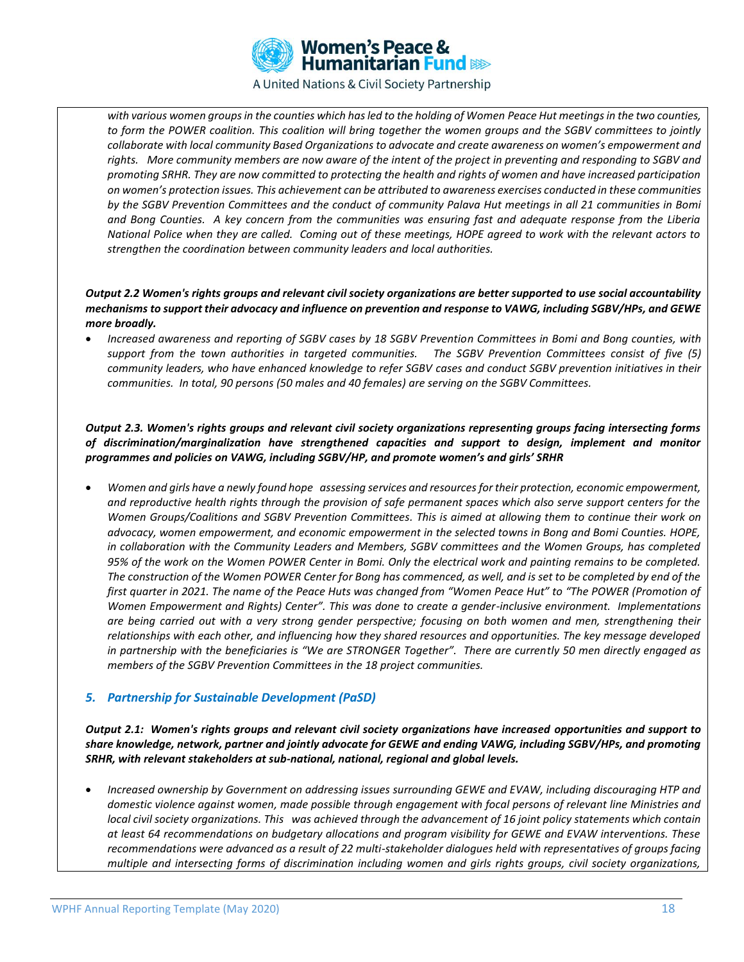

*with various women groups in the counties which has led to the holding of Women Peace Hut meetings in the two counties, to form the POWER coalition. This coalition will bring together the women groups and the SGBV committees to jointly collaborate with local community Based Organizations to advocate and create awareness on women's empowerment and*  rights. More community members are now aware of the intent of the project in preventing and responding to SGBV and *promoting SRHR. They are now committed to protecting the health and rights of women and have increased participation on women's protection issues. This achievement can be attributed to awareness exercises conducted in these communities by the SGBV Prevention Committees and the conduct of community Palava Hut meetings in all 21 communities in Bomi and Bong Counties. A key concern from the communities was ensuring fast and adequate response from the Liberia National Police when they are called. Coming out of these meetings, HOPE agreed to work with the relevant actors to strengthen the coordination between community leaders and local authorities.*

### *Output 2.2 Women's rights groups and relevant civil society organizations are better supported to use social accountability mechanisms to support their advocacy and influence on prevention and response to VAWG, including SGBV/HPs, and GEWE more broadly.*

• *Increased awareness and reporting of SGBV cases by 18 SGBV Prevention Committees in Bomi and Bong counties, with support from the town authorities in targeted communities. The SGBV Prevention Committees consist of five (5) community leaders, who have enhanced knowledge to refer SGBV cases and conduct SGBV prevention initiatives in their communities. In total, 90 persons (50 males and 40 females) are serving on the SGBV Committees.*

*Output 2.3. Women's rights groups and relevant civil society organizations representing groups facing intersecting forms of discrimination/marginalization have strengthened capacities and support to design, implement and monitor programmes and policies on VAWG, including SGBV/HP, and promote women's and girls' SRHR*

• *Women and girls have a newly found hope assessing services and resources for their protection, economic empowerment, and reproductive health rights through the provision of safe permanent spaces which also serve support centers for the Women Groups/Coalitions and SGBV Prevention Committees. This is aimed at allowing them to continue their work on advocacy, women empowerment, and economic empowerment in the selected towns in Bong and Bomi Counties. HOPE, in collaboration with the Community Leaders and Members, SGBV committees and the Women Groups, has completed 95% of the work on the Women POWER Center in Bomi. Only the electrical work and painting remains to be completed. The construction of the Women POWER Center for Bong has commenced, as well, and is set to be completed by end of the first quarter in 2021. The name of the Peace Huts was changed from "Women Peace Hut" to "The POWER (Promotion of Women Empowerment and Rights) Center". This was done to create a gender-inclusive environment. Implementations are being carried out with a very strong gender perspective; focusing on both women and men, strengthening their relationships with each other, and influencing how they shared resources and opportunities. The key message developed in partnership with the beneficiaries is "We are STRONGER Together". There are currently 50 men directly engaged as members of the SGBV Prevention Committees in the 18 project communities.* 

### *5. Partnership for Sustainable Development (PaSD)*

*Output 2.1: Women's rights groups and relevant civil society organizations have increased opportunities and support to share knowledge, network, partner and jointly advocate for GEWE and ending VAWG, including SGBV/HPs, and promoting SRHR, with relevant stakeholders at sub-national, national, regional and global levels.*

• *Increased ownership by Government on addressing issues surrounding GEWE and EVAW, including discouraging HTP and domestic violence against women, made possible through engagement with focal persons of relevant line Ministries and local civil society organizations. This was achieved through the advancement of 16 joint policy statements which contain at least 64 recommendations on budgetary allocations and program visibility for GEWE and EVAW interventions. These recommendations were advanced as a result of 22 multi-stakeholder dialogues held with representatives of groups facing multiple and intersecting forms of discrimination including women and girls rights groups, civil society organizations,*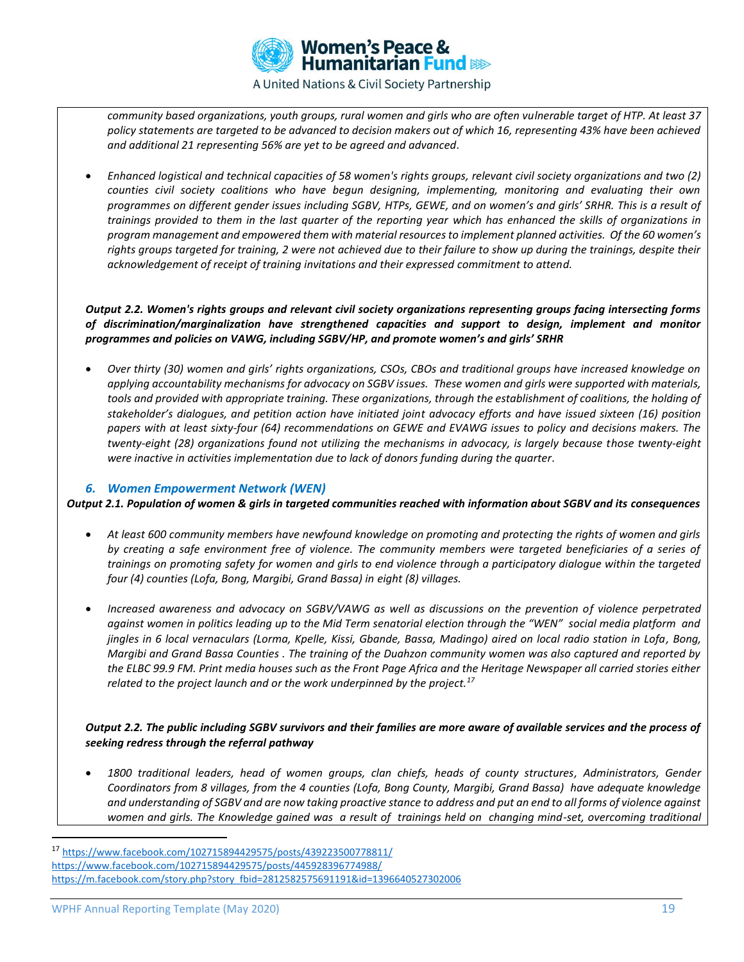

*community based organizations, youth groups, rural women and girls who are often vulnerable target of HTP. At least 37 policy statements are targeted to be advanced to decision makers out of which 16, representing 43% have been achieved and additional 21 representing 56% are yet to be agreed and advanced.*

• *Enhanced logistical and technical capacities of 58 women's rights groups, relevant civil society organizations and two (2) counties civil society coalitions who have begun designing, implementing, monitoring and evaluating their own programmes on different gender issues including SGBV, HTPs, GEWE, and on women's and girls' SRHR. This is a result of trainings provided to them in the last quarter of the reporting year which has enhanced the skills of organizations in program management and empowered them with material resources to implement planned activities. Of the 60 women's rights groups targeted for training, 2 were not achieved due to their failure to show up during the trainings, despite their acknowledgement of receipt of training invitations and their expressed commitment to attend.*

*Output 2.2. Women's rights groups and relevant civil society organizations representing groups facing intersecting forms of discrimination/marginalization have strengthened capacities and support to design, implement and monitor programmes and policies on VAWG, including SGBV/HP, and promote women's and girls' SRHR*

• *Over thirty (30) women and girls' rights organizations, CSOs, CBOs and traditional groups have increased knowledge on applying accountability mechanisms for advocacy on SGBV issues. These women and girls were supported with materials, tools and provided with appropriate training. These organizations, through the establishment of coalitions, the holding of stakeholder's dialogues, and petition action have initiated joint advocacy efforts and have issued sixteen (16) position papers with at least sixty-four (64) recommendations on GEWE and EVAWG issues to policy and decisions makers. The twenty-eight (28) organizations found not utilizing the mechanisms in advocacy, is largely because those twenty-eight were inactive in activities implementation due to lack of donors funding during the quarter.*

### *6. Women Empowerment Network (WEN)*

*Output 2.1. Population of women & girls in targeted communities reached with information about SGBV and its consequences*

- *At least 600 community members have newfound knowledge on promoting and protecting the rights of women and girls by creating a safe environment free of violence. The community members were targeted beneficiaries of a series of trainings on promoting safety for women and girls to end violence through a participatory dialogue within the targeted four (4) counties (Lofa, Bong, Margibi, Grand Bassa) in eight (8) villages.*
- *Increased awareness and advocacy on SGBV/VAWG as well as discussions on the prevention of violence perpetrated against women in politics leading up to the Mid Term senatorial election through the "WEN" social media platform and jingles in 6 local vernaculars (Lorma, Kpelle, Kissi, Gbande, Bassa, Madingo) aired on local radio station in Lofa, Bong, Margibi and Grand Bassa Counties . The training of the Duahzon community women was also captured and reported by the ELBC 99.9 FM. Print media houses such as the Front Page Africa and the Heritage Newspaper all carried stories either related to the project launch and or the work underpinned by the project.<sup>17</sup>*

### *Output 2.2. The public including SGBV survivors and their families are more aware of available services and the process of seeking redress through the referral pathway*

• *1800 traditional leaders, head of women groups, clan chiefs, heads of county structures, Administrators, Gender Coordinators from 8 villages, from the 4 counties (Lofa, Bong County, Margibi, Grand Bassa) have adequate knowledge and understanding of SGBV and are now taking proactive stance to address and put an end to all forms of violence against*  women and girls. The Knowledge gained was a result of trainings held on changing mind-set, overcoming traditional

<sup>17</sup> <https://www.facebook.com/102715894429575/posts/439223500778811/> <https://www.facebook.com/102715894429575/posts/445928396774988/> [https://m.facebook.com/story.php?story\\_fbid=2812582575691191&id=1396640527302006](https://m.facebook.com/story.php?story_fbid=2812582575691191&id=1396640527302006)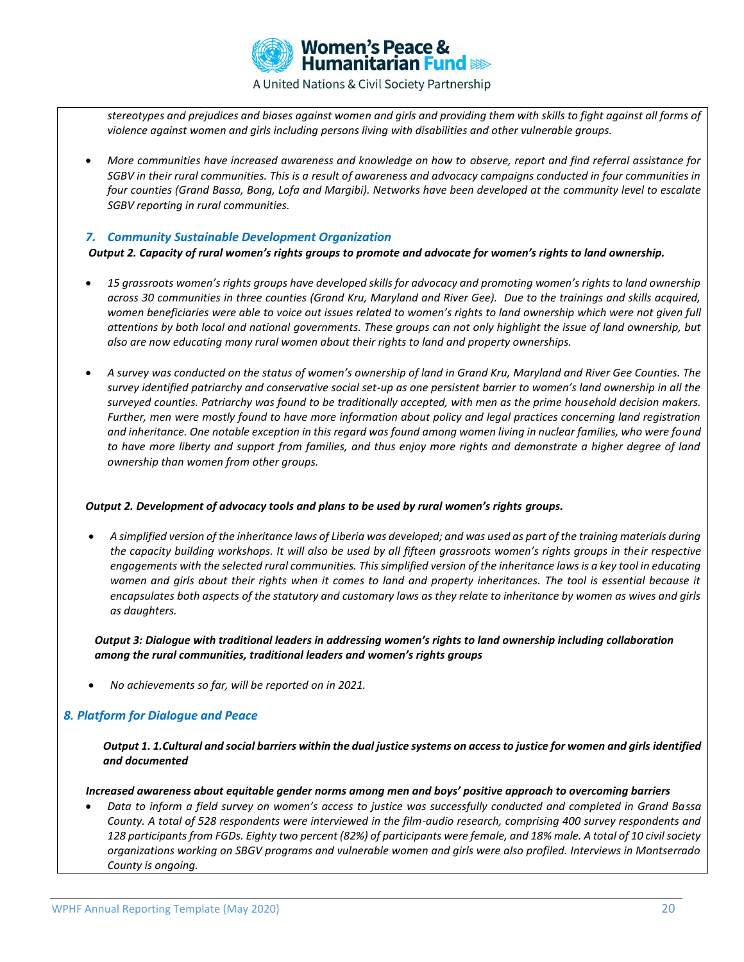

*stereotypes and prejudices and biases against women and girls and providing them with skills to fight against all forms of violence against women and girls including persons living with disabilities and other vulnerable groups.*

• *More communities have increased awareness and knowledge on how to observe, report and find referral assistance for SGBV in their rural communities. This is a result of awareness and advocacy campaigns conducted in four communities in four counties (Grand Bassa, Bong, Lofa and Margibi). Networks have been developed at the community level to escalate SGBV reporting in rural communities.* 

### *7. Community Sustainable Development Organization*

*Output 2. Capacity of rural women's rights groups to promote and advocate for women's rights to land ownership.*

- *15 grassroots women's rights groups have developed skills for advocacy and promoting women's rights to land ownership across 30 communities in three counties (Grand Kru, Maryland and River Gee). Due to the trainings and skills acquired, women beneficiaries were able to voice out issues related to women's rights to land ownership which were not given full attentions by both local and national governments. These groups can not only highlight the issue of land ownership, but also are now educating many rural women about their rights to land and property ownerships.*
- *A survey was conducted on the status of women's ownership of land in Grand Kru, Maryland and River Gee Counties. The survey identified patriarchy and conservative social set-up as one persistent barrier to women's land ownership in all the surveyed counties. Patriarchy was found to be traditionally accepted, with men as the prime household decision makers. Further, men were mostly found to have more information about policy and legal practices concerning land registration and inheritance. One notable exception in this regard was found among women living in nuclear families, who were found to have more liberty and support from families, and thus enjoy more rights and demonstrate a higher degree of land ownership than women from other groups.*

#### *Output 2. Development of advocacy tools and plans to be used by rural women's rights groups.*

• *A simplified version of the inheritance laws of Liberia was developed; and was used as part of the training materials during the capacity building workshops. It will also be used by all fifteen grassroots women's rights groups in their respective engagements with the selected rural communities. This simplified version of the inheritance laws is a key tool in educating*  women and girls about their rights when it comes to land and property inheritances. The tool is essential because it *encapsulates both aspects of the statutory and customary laws as they relate to inheritance by women as wives and girls as daughters.* 

*Output 3: Dialogue with traditional leaders in addressing women's rights to land ownership including collaboration among the rural communities, traditional leaders and women's rights groups*

• *No achievements so far, will be reported on in 2021.*

### *8. Platform for Dialogue and Peace*

*Output 1. 1.Cultural and social barriers within the dual justice systems on access to justice for women and girls identified and documented*

 *Increased awareness about equitable gender norms among men and boys' positive approach to overcoming barriers*

• *Data to inform a field survey on women's access to justice was successfully conducted and completed in Grand Bassa County. A total of 528 respondents were interviewed in the film-audio research, comprising 400 survey respondents and 128 participants from FGDs. Eighty two percent (82%) of participants were female, and 18% male. A total of 10 civil society organizations working on SBGV programs and vulnerable women and girls were also profiled. Interviews in Montserrado County is ongoing.*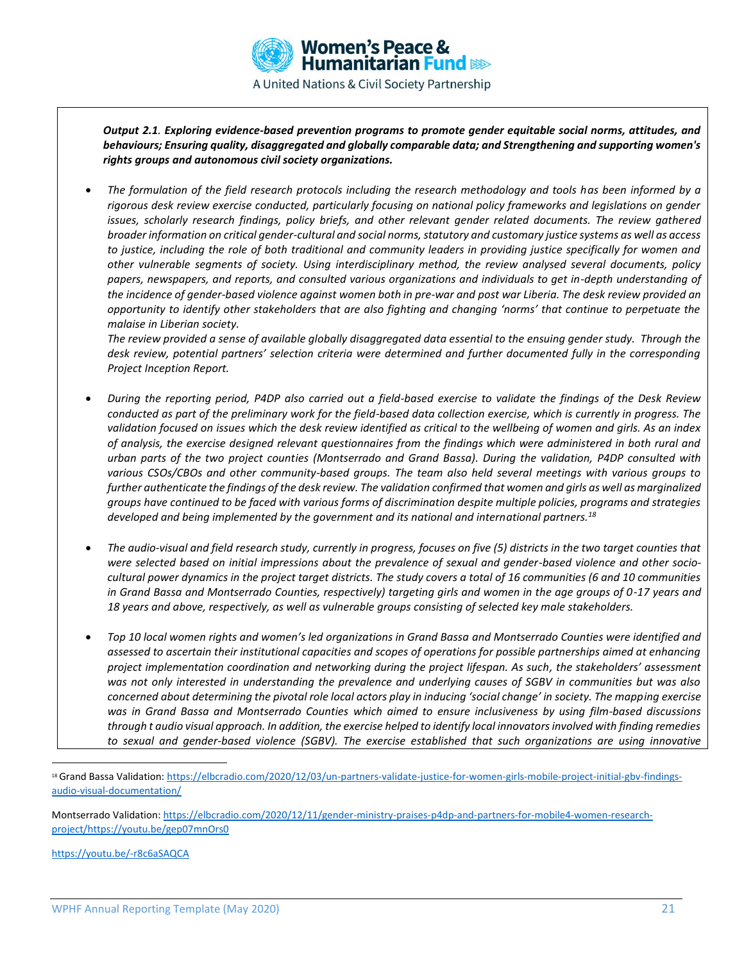

*Output 2.1. Exploring evidence-based prevention programs to promote gender equitable social norms, attitudes, and behaviours; Ensuring quality, disaggregated and globally comparable data; and Strengthening and supporting women's rights groups and autonomous civil society organizations.*

• *The formulation of the field research protocols including the research methodology and tools has been informed by a rigorous desk review exercise conducted, particularly focusing on national policy frameworks and legislations on gender issues, scholarly research findings, policy briefs, and other relevant gender related documents. The review gathered broader information on critical gender-cultural and social norms, statutory and customary justice systems as well as access to justice, including the role of both traditional and community leaders in providing justice specifically for women and other vulnerable segments of society. Using interdisciplinary method, the review analysed several documents, policy papers, newspapers, and reports, and consulted various organizations and individuals to get in-depth understanding of the incidence of gender-based violence against women both in pre-war and post war Liberia. The desk review provided an opportunity to identify other stakeholders that are also fighting and changing 'norms' that continue to perpetuate the malaise in Liberian society.* 

*The review provided a sense of available globally disaggregated data essential to the ensuing gender study. Through the desk review, potential partners' selection criteria were determined and further documented fully in the corresponding Project Inception Report.*

- *During the reporting period, P4DP also carried out a field-based exercise to validate the findings of the Desk Review conducted as part of the preliminary work for the field-based data collection exercise, which is currently in progress. The validation focused on issues which the desk review identified as critical to the wellbeing of women and girls. As an index of analysis, the exercise designed relevant questionnaires from the findings which were administered in both rural and urban parts of the two project counties (Montserrado and Grand Bassa). During the validation, P4DP consulted with various CSOs/CBOs and other community-based groups. The team also held several meetings with various groups to further authenticate the findings of the desk review. The validation confirmed that women and girls as well as marginalized groups have continued to be faced with various forms of discrimination despite multiple policies, programs and strategies developed and being implemented by the government and its national and international partners.<sup>18</sup>*
- *The audio-visual and field research study, currently in progress, focuses on five (5) districts in the two target counties that were selected based on initial impressions about the prevalence of sexual and gender-based violence and other sociocultural power dynamics in the project target districts. The study covers a total of 16 communities (6 and 10 communities in Grand Bassa and Montserrado Counties, respectively) targeting girls and women in the age groups of 0-17 years and 18 years and above, respectively, as well as vulnerable groups consisting of selected key male stakeholders.*
- *Top 10 local women rights and women's led organizations in Grand Bassa and Montserrado Counties were identified and assessed to ascertain their institutional capacities and scopes of operations for possible partnerships aimed at enhancing project implementation coordination and networking during the project lifespan. As such, the stakeholders' assessment was not only interested in understanding the prevalence and underlying causes of SGBV in communities but was also concerned about determining the pivotal role local actors play in inducing 'social change' in society. The mapping exercise was in Grand Bassa and Montserrado Counties which aimed to ensure inclusiveness by using film-based discussions through t audio visual approach. In addition, the exercise helped to identify local innovators involved with finding remedies to sexual and gender-based violence (SGBV). The exercise established that such organizations are using innovative*

<https://youtu.be/-r8c6aSAQCA>

<sup>&</sup>lt;sup>18</sup> Grand Bassa Validation[: https://elbcradio.com/2020/12/03/un-partners-validate-justice-for-women-girls-mobile-project-initial-gbv-findings](https://elbcradio.com/2020/12/03/un-partners-validate-justice-for-women-girls-mobile-project-initial-gbv-findings-audio-visual-documentation/)[audio-visual-documentation/](https://elbcradio.com/2020/12/03/un-partners-validate-justice-for-women-girls-mobile-project-initial-gbv-findings-audio-visual-documentation/)

Montserrado Validation: [https://elbcradio.com/2020/12/11/gender-ministry-praises-p4dp-and-partners-for-mobile4-women-research](https://elbcradio.com/2020/12/11/gender-ministry-praises-p4dp-and-partners-for-mobile4-women-research-project/)[project/](https://elbcradio.com/2020/12/11/gender-ministry-praises-p4dp-and-partners-for-mobile4-women-research-project/)<https://youtu.be/gep07mnOrs0>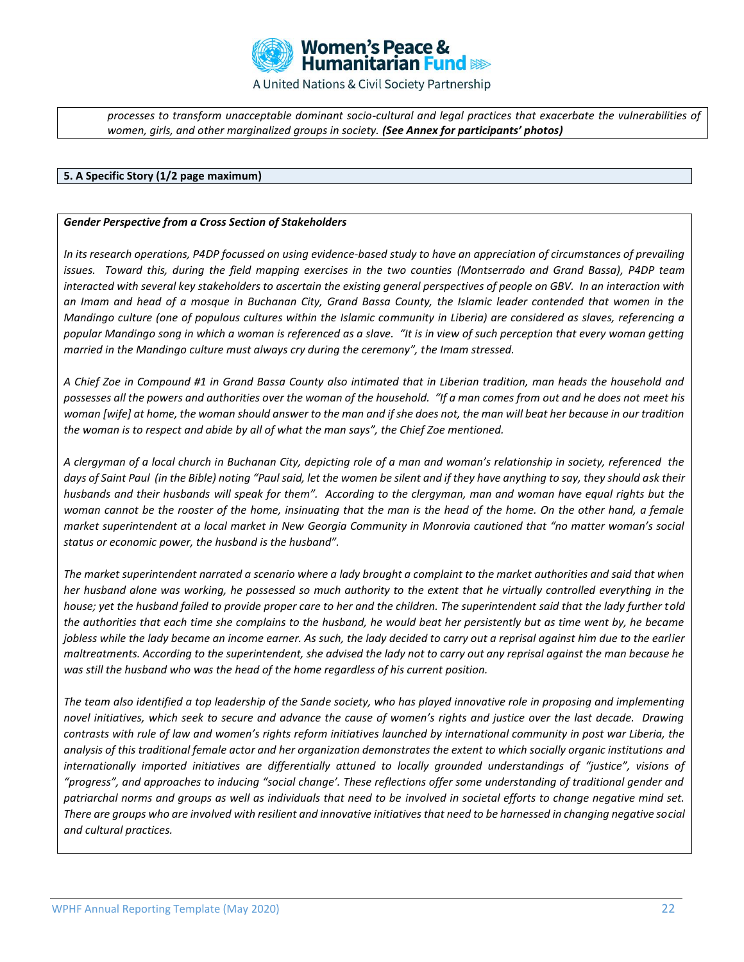

*processes to transform unacceptable dominant socio-cultural and legal practices that exacerbate the vulnerabilities of women, girls, and other marginalized groups in society. (See Annex for participants' photos)*

#### **5. A Specific Story (1/2 page maximum)**

#### *Gender Perspective from a Cross Section of Stakeholders*

*In its research operations, P4DP focussed on using evidence-based study to have an appreciation of circumstances of prevailing issues. Toward this, during the field mapping exercises in the two counties (Montserrado and Grand Bassa), P4DP team interacted with several key stakeholders to ascertain the existing general perspectives of people on GBV. In an interaction with an Imam and head of a mosque in Buchanan City, Grand Bassa County, the Islamic leader contended that women in the Mandingo culture (one of populous cultures within the Islamic community in Liberia) are considered as slaves, referencing a popular Mandingo song in which a woman is referenced as a slave. "It is in view of such perception that every woman getting married in the Mandingo culture must always cry during the ceremony", the Imam stressed.* 

*A Chief Zoe in Compound #1 in Grand Bassa County also intimated that in Liberian tradition, man heads the household and*  possesses all the powers and authorities over the woman of the household. "If a man comes from out and he does not meet his *woman [wife] at home, the woman should answer to the man and if she does not, the man will beat her because in our tradition the woman is to respect and abide by all of what the man says", the Chief Zoe mentioned.* 

*A clergyman of a local church in Buchanan City, depicting role of a man and woman's relationship in society, referenced the days of Saint Paul (in the Bible) noting "Paul said, let the women be silent and if they have anything to say, they should ask their husbands and their husbands will speak for them". According to the clergyman, man and woman have equal rights but the woman cannot be the rooster of the home, insinuating that the man is the head of the home. On the other hand, a female market superintendent at a local market in New Georgia Community in Monrovia cautioned that "no matter woman's social status or economic power, the husband is the husband".* 

*The market superintendent narrated a scenario where a lady brought a complaint to the market authorities and said that when her husband alone was working, he possessed so much authority to the extent that he virtually controlled everything in the house; yet the husband failed to provide proper care to her and the children. The superintendent said that the lady further told the authorities that each time she complains to the husband, he would beat her persistently but as time went by, he became jobless while the lady became an income earner. As such, the lady decided to carry out a reprisal against him due to the earlier maltreatments. According to the superintendent, she advised the lady not to carry out any reprisal against the man because he was still the husband who was the head of the home regardless of his current position.*

*The team also identified a top leadership of the Sande society, who has played innovative role in proposing and implementing novel initiatives, which seek to secure and advance the cause of women's rights and justice over the last decade. Drawing contrasts with rule of law and women's rights reform initiatives launched by international community in post war Liberia, the analysis of this traditional female actor and her organization demonstrates the extent to which socially organic institutions and internationally imported initiatives are differentially attuned to locally grounded understandings of "justice", visions of "progress", and approaches to inducing "social change'. These reflections offer some understanding of traditional gender and patriarchal norms and groups as well as individuals that need to be involved in societal efforts to change negative mind set. There are groups who are involved with resilient and innovative initiatives that need to be harnessed in changing negative social and cultural practices.*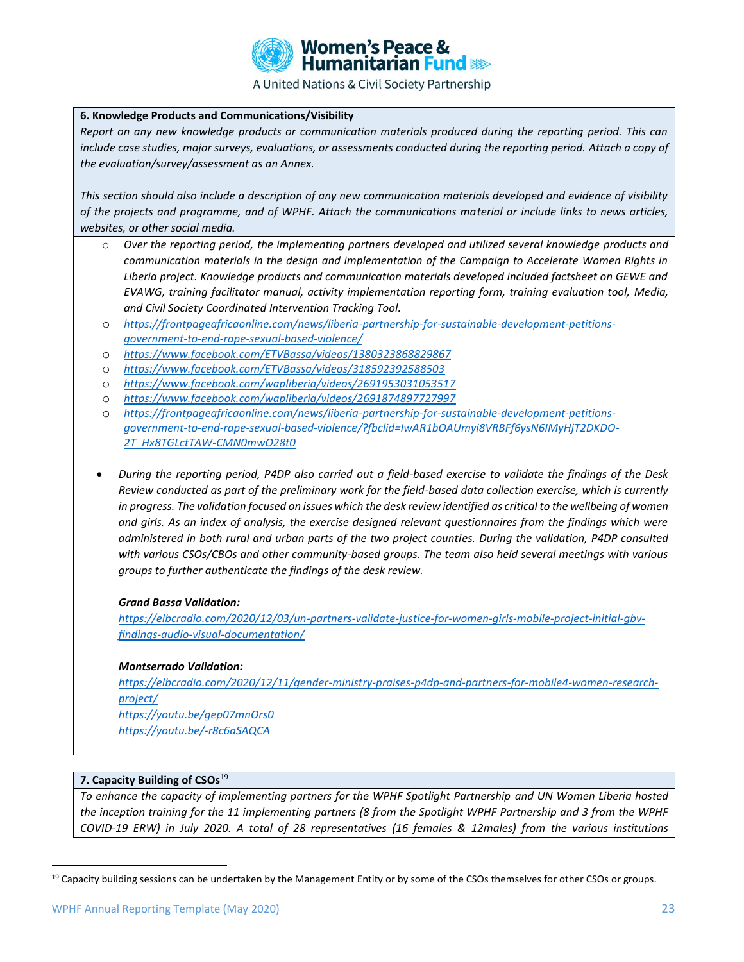

#### **6. Knowledge Products and Communications/Visibility**

*Report on any new knowledge products or communication materials produced during the reporting period. This can include case studies, major surveys, evaluations, or assessments conducted during the reporting period. Attach a copy of the evaluation/survey/assessment as an Annex.* 

*This section should also include a description of any new communication materials developed and evidence of visibility of the projects and programme, and of WPHF. Attach the communications material or include links to news articles, websites, or other social media.* 

- o *Over the reporting period, the implementing partners developed and utilized several knowledge products and communication materials in the design and implementation of the Campaign to Accelerate Women Rights in Liberia project. Knowledge products and communication materials developed included factsheet on GEWE and EVAWG, training facilitator manual, activity implementation reporting form, training evaluation tool, Media, and Civil Society Coordinated Intervention Tracking Tool.*
- o *[https://frontpageafricaonline.com/news/liberia-partnership-for-sustainable-development-petitions](https://frontpageafricaonline.com/news/liberia-partnership-for-sustainable-development-petitions-government-to-end-rape-sexual-based-violence/)[government-to-end-rape-sexual-based-violence/](https://frontpageafricaonline.com/news/liberia-partnership-for-sustainable-development-petitions-government-to-end-rape-sexual-based-violence/)*
- o *<https://www.facebook.com/ETVBassa/videos/1380323868829867>*
- o *<https://www.facebook.com/ETVBassa/videos/318592392588503>*
- o *<https://www.facebook.com/wapliberia/videos/2691953031053517>*
- o *<https://www.facebook.com/wapliberia/videos/2691874897727997>*
- o *[https://frontpageafricaonline.com/news/liberia-partnership-for-sustainable-development-petitions](https://frontpageafricaonline.com/news/liberia-partnership-for-sustainable-development-petitions-government-to-end-rape-sexual-based-violence/?fbclid=IwAR1bOAUmyi8VRBFf6ysN6IMyHjT2DKDO-2T_Hx8TGLctTAW-CMN0mwO28t0)[government-to-end-rape-sexual-based-violence/?fbclid=IwAR1bOAUmyi8VRBFf6ysN6IMyHjT2DKDO-](https://frontpageafricaonline.com/news/liberia-partnership-for-sustainable-development-petitions-government-to-end-rape-sexual-based-violence/?fbclid=IwAR1bOAUmyi8VRBFf6ysN6IMyHjT2DKDO-2T_Hx8TGLctTAW-CMN0mwO28t0)[2T\\_Hx8TGLctTAW-CMN0mwO28t0](https://frontpageafricaonline.com/news/liberia-partnership-for-sustainable-development-petitions-government-to-end-rape-sexual-based-violence/?fbclid=IwAR1bOAUmyi8VRBFf6ysN6IMyHjT2DKDO-2T_Hx8TGLctTAW-CMN0mwO28t0)*
- *During the reporting period, P4DP also carried out a field-based exercise to validate the findings of the Desk Review conducted as part of the preliminary work for the field-based data collection exercise, which is currently*  in progress. The validation focused on issues which the desk review identified as critical to the wellbeing of women *and girls. As an index of analysis, the exercise designed relevant questionnaires from the findings which were administered in both rural and urban parts of the two project counties. During the validation, P4DP consulted with various CSOs/CBOs and other community-based groups. The team also held several meetings with various groups to further authenticate the findings of the desk review.*

### *Grand Bassa Validation:*

*[https://elbcradio.com/2020/12/03/un-partners-validate-justice-for-women-girls-mobile-project-initial-gbv](https://elbcradio.com/2020/12/03/un-partners-validate-justice-for-women-girls-mobile-project-initial-gbv-findings-audio-visual-documentation/)[findings-audio-visual-documentation/](https://elbcradio.com/2020/12/03/un-partners-validate-justice-for-women-girls-mobile-project-initial-gbv-findings-audio-visual-documentation/)*

#### *Montserrado Validation:*

*[https://elbcradio.com/2020/12/11/gender-ministry-praises-p4dp-and-partners-for-mobile4-women-research](https://elbcradio.com/2020/12/11/gender-ministry-praises-p4dp-and-partners-for-mobile4-women-research-project/)[project/](https://elbcradio.com/2020/12/11/gender-ministry-praises-p4dp-and-partners-for-mobile4-women-research-project/) <https://youtu.be/gep07mnOrs0> <https://youtu.be/-r8c6aSAQCA>*

### **7. Capacity Building of CSOs<sup>19</sup>**

*To enhance the capacity of implementing partners for the WPHF Spotlight Partnership and UN Women Liberia hosted the inception training for the 11 implementing partners (8 from the Spotlight WPHF Partnership and 3 from the WPHF COVID-19 ERW) in July 2020. A total of 28 representatives (16 females & 12males) from the various institutions* 

<sup>&</sup>lt;sup>19</sup> Capacity building sessions can be undertaken by the Management Entity or by some of the CSOs themselves for other CSOs or groups.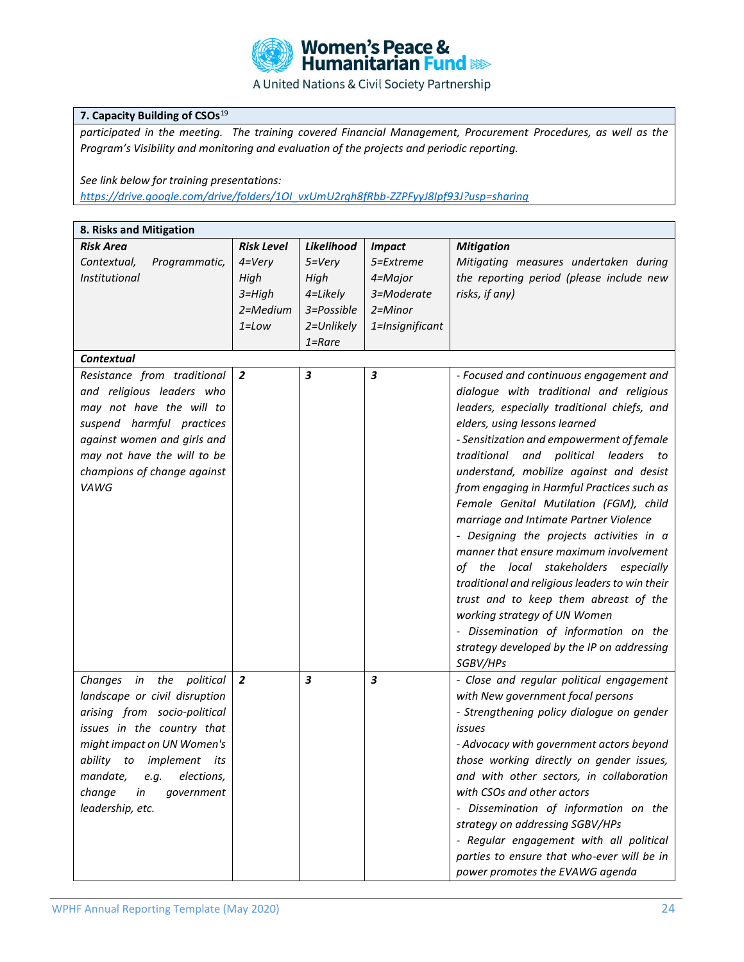

### **7. Capacity Building of CSOs<sup>19</sup>**

*participated in the meeting. The training covered Financial Management, Procurement Procedures, as well as the Program's Visibility and monitoring and evaluation of the projects and periodic reporting.*

### *See link below for training presentations:*

*[https://drive.google.com/drive/folders/1OI\\_vxUmU2rgh8fRbb-ZZPFyyJ8Ipf93J?usp=sharing](https://drive.google.com/drive/folders/1OI_vxUmU2rgh8fRbb-ZZPFyyJ8Ipf93J?usp=sharing)*

| <b>Risk Area</b><br><b>Risk Level</b><br>Likelihood<br><b>Impact</b><br><b>Mitigation</b><br>Programmatic,<br>$4 = Very$<br>$5 = Very$<br>Mitigating measures undertaken during<br>Contextual,<br>5=Extreme<br>High<br>the reporting period (please include new<br><i>Institutional</i><br>High<br>4=Major<br>risks, if any)<br>$3 = High$<br>4=Likely<br>3=Moderate<br>2=Medium<br>3=Possible<br>$2 =$ Minor<br>$1 = Low$<br>2=Unlikely<br>1=Insignificant<br>$1 =$ Rare |
|---------------------------------------------------------------------------------------------------------------------------------------------------------------------------------------------------------------------------------------------------------------------------------------------------------------------------------------------------------------------------------------------------------------------------------------------------------------------------|
|                                                                                                                                                                                                                                                                                                                                                                                                                                                                           |
|                                                                                                                                                                                                                                                                                                                                                                                                                                                                           |
|                                                                                                                                                                                                                                                                                                                                                                                                                                                                           |
|                                                                                                                                                                                                                                                                                                                                                                                                                                                                           |
|                                                                                                                                                                                                                                                                                                                                                                                                                                                                           |
|                                                                                                                                                                                                                                                                                                                                                                                                                                                                           |
|                                                                                                                                                                                                                                                                                                                                                                                                                                                                           |
| <b>Contextual</b>                                                                                                                                                                                                                                                                                                                                                                                                                                                         |
| 3<br>$\boldsymbol{3}$<br>Resistance from traditional<br>$\overline{2}$<br>- Focused and continuous engagement and                                                                                                                                                                                                                                                                                                                                                         |
| and religious leaders who<br>dialogue with traditional and religious                                                                                                                                                                                                                                                                                                                                                                                                      |
| may not have the will to<br>leaders, especially traditional chiefs, and                                                                                                                                                                                                                                                                                                                                                                                                   |
| suspend harmful practices<br>elders, using lessons learned                                                                                                                                                                                                                                                                                                                                                                                                                |
| against women and girls and<br>- Sensitization and empowerment of female                                                                                                                                                                                                                                                                                                                                                                                                  |
| may not have the will to be<br>political<br>traditional and<br>leaders<br>to                                                                                                                                                                                                                                                                                                                                                                                              |
| champions of change against<br>understand, mobilize against and desist                                                                                                                                                                                                                                                                                                                                                                                                    |
| VAWG<br>from engaging in Harmful Practices such as                                                                                                                                                                                                                                                                                                                                                                                                                        |
|                                                                                                                                                                                                                                                                                                                                                                                                                                                                           |
| Female Genital Mutilation (FGM), child                                                                                                                                                                                                                                                                                                                                                                                                                                    |
| marriage and Intimate Partner Violence                                                                                                                                                                                                                                                                                                                                                                                                                                    |
| - Designing the projects activities in a                                                                                                                                                                                                                                                                                                                                                                                                                                  |
| manner that ensure maximum involvement                                                                                                                                                                                                                                                                                                                                                                                                                                    |
| of the local stakeholders especially                                                                                                                                                                                                                                                                                                                                                                                                                                      |
| traditional and religious leaders to win their                                                                                                                                                                                                                                                                                                                                                                                                                            |
| trust and to keep them abreast of the                                                                                                                                                                                                                                                                                                                                                                                                                                     |
| working strategy of UN Women                                                                                                                                                                                                                                                                                                                                                                                                                                              |
| - Dissemination of information on the                                                                                                                                                                                                                                                                                                                                                                                                                                     |
| strategy developed by the IP on addressing                                                                                                                                                                                                                                                                                                                                                                                                                                |
| SGBV/HPs                                                                                                                                                                                                                                                                                                                                                                                                                                                                  |
| $\overline{\mathbf{3}}$<br>$\overline{\mathbf{3}}$<br>$\overline{2}$<br>- Close and regular political engagement<br>Changes in the political                                                                                                                                                                                                                                                                                                                              |
| landscape or civil disruption<br>with New government focal persons                                                                                                                                                                                                                                                                                                                                                                                                        |
| arising from socio-political<br>- Strengthening policy dialogue on gender                                                                                                                                                                                                                                                                                                                                                                                                 |
| issues in the country that<br>issues                                                                                                                                                                                                                                                                                                                                                                                                                                      |
| might impact on UN Women's<br>- Advocacy with government actors beyond                                                                                                                                                                                                                                                                                                                                                                                                    |
| those working directly on gender issues,<br>ability to implement<br>its                                                                                                                                                                                                                                                                                                                                                                                                   |
| and with other sectors, in collaboration<br>mandate,<br>elections,<br>e.g.                                                                                                                                                                                                                                                                                                                                                                                                |
| change<br>with CSOs and other actors<br>in<br>government                                                                                                                                                                                                                                                                                                                                                                                                                  |
| leadership, etc.<br>- Dissemination of information on the                                                                                                                                                                                                                                                                                                                                                                                                                 |
| strategy on addressing SGBV/HPs                                                                                                                                                                                                                                                                                                                                                                                                                                           |
| - Regular engagement with all political                                                                                                                                                                                                                                                                                                                                                                                                                                   |
| parties to ensure that who-ever will be in                                                                                                                                                                                                                                                                                                                                                                                                                                |
| power promotes the EVAWG agenda                                                                                                                                                                                                                                                                                                                                                                                                                                           |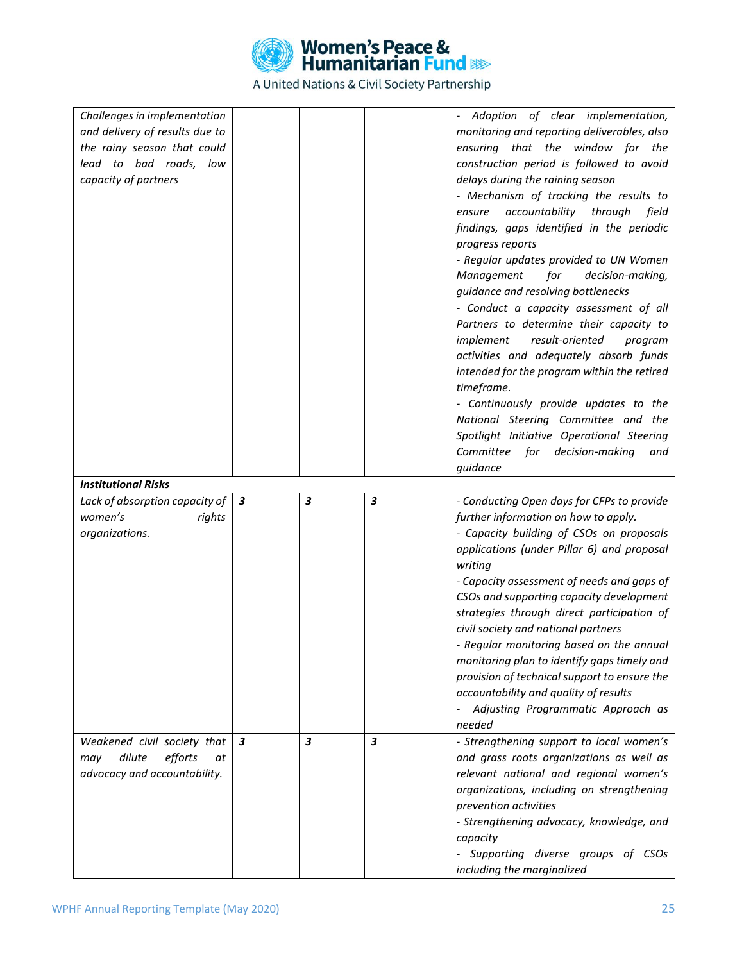

| Challenges in implementation       |                  |   |   | Adoption of clear implementation,                                 |
|------------------------------------|------------------|---|---|-------------------------------------------------------------------|
| and delivery of results due to     |                  |   |   | monitoring and reporting deliverables, also                       |
| the rainy season that could        |                  |   |   | ensuring that the window for the                                  |
| lead to bad roads, low             |                  |   |   | construction period is followed to avoid                          |
| capacity of partners               |                  |   |   | delays during the raining season                                  |
|                                    |                  |   |   | - Mechanism of tracking the results to                            |
|                                    |                  |   |   | accountability<br>through<br>field<br>ensure                      |
|                                    |                  |   |   | findings, gaps identified in the periodic                         |
|                                    |                  |   |   | progress reports                                                  |
|                                    |                  |   |   | - Regular updates provided to UN Women                            |
|                                    |                  |   |   |                                                                   |
|                                    |                  |   |   | for<br>Management<br>decision-making,                             |
|                                    |                  |   |   | guidance and resolving bottlenecks                                |
|                                    |                  |   |   | - Conduct a capacity assessment of all                            |
|                                    |                  |   |   | Partners to determine their capacity to                           |
|                                    |                  |   |   | implement<br>result-oriented<br>program                           |
|                                    |                  |   |   | activities and adequately absorb funds                            |
|                                    |                  |   |   | intended for the program within the retired                       |
|                                    |                  |   |   | timeframe.                                                        |
|                                    |                  |   |   | - Continuously provide updates to the                             |
|                                    |                  |   |   | National Steering Committee and the                               |
|                                    |                  |   |   | Spotlight Initiative Operational Steering                         |
|                                    |                  |   |   | Committee for decision-making<br>and                              |
|                                    |                  |   |   | guidance                                                          |
| <b>Institutional Risks</b>         |                  |   |   |                                                                   |
|                                    |                  |   |   |                                                                   |
|                                    |                  |   |   |                                                                   |
| Lack of absorption capacity of $ $ | $\boldsymbol{3}$ | 3 | 3 | - Conducting Open days for CFPs to provide                        |
| women's<br>rights                  |                  |   |   | further information on how to apply.                              |
| organizations.                     |                  |   |   | - Capacity building of CSOs on proposals                          |
|                                    |                  |   |   | applications (under Pillar 6) and proposal                        |
|                                    |                  |   |   | writing                                                           |
|                                    |                  |   |   | - Capacity assessment of needs and gaps of                        |
|                                    |                  |   |   | CSOs and supporting capacity development                          |
|                                    |                  |   |   | strategies through direct participation of                        |
|                                    |                  |   |   | civil society and national partners                               |
|                                    |                  |   |   | - Regular monitoring based on the annual                          |
|                                    |                  |   |   | monitoring plan to identify gaps timely and                       |
|                                    |                  |   |   | provision of technical support to ensure the                      |
|                                    |                  |   |   | accountability and quality of results                             |
|                                    |                  |   |   | - Adjusting Programmatic Approach as                              |
|                                    |                  |   |   | needed                                                            |
|                                    | 3                | 3 | 3 |                                                                   |
| Weakened civil society that<br>at  |                  |   |   | - Strengthening support to local women's                          |
| dilute<br>efforts<br>may           |                  |   |   | and grass roots organizations as well as                          |
| advocacy and accountability.       |                  |   |   | relevant national and regional women's                            |
|                                    |                  |   |   | organizations, including on strengthening                         |
|                                    |                  |   |   | prevention activities                                             |
|                                    |                  |   |   | - Strengthening advocacy, knowledge, and                          |
|                                    |                  |   |   | capacity                                                          |
|                                    |                  |   |   | - Supporting diverse groups of CSOs<br>including the marginalized |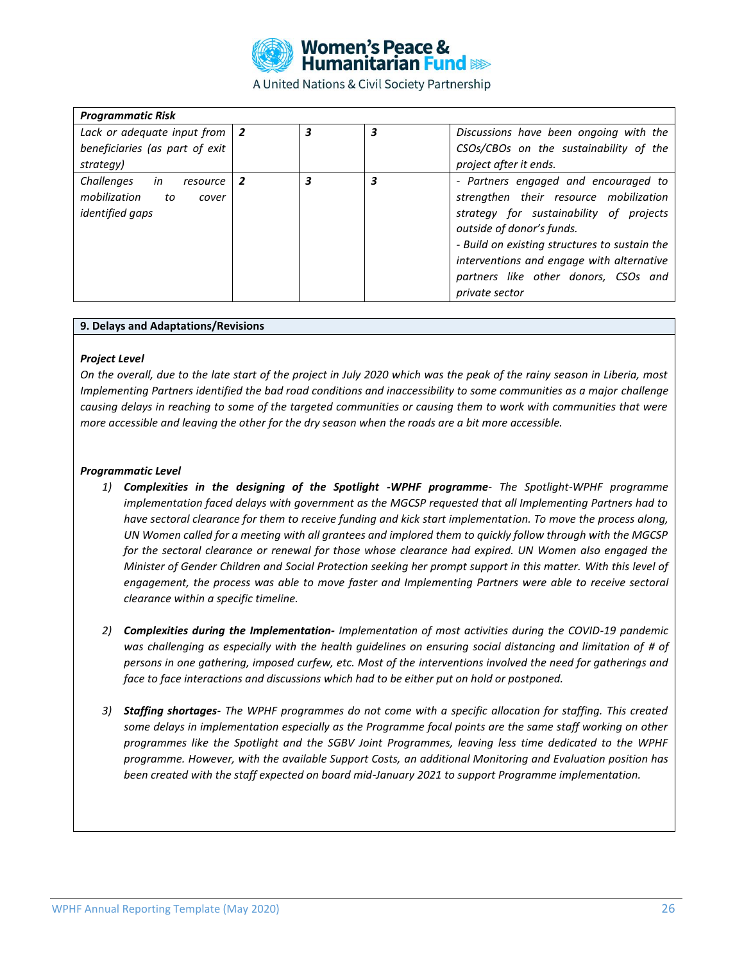

| <b>Programmatic Risk</b>                                                              |   |   |   |                                                                                                                                                                                                                                                                                                                |
|---------------------------------------------------------------------------------------|---|---|---|----------------------------------------------------------------------------------------------------------------------------------------------------------------------------------------------------------------------------------------------------------------------------------------------------------------|
| Lack or adequate input from $ 2 $<br>beneficiaries (as part of exit<br>strategy)      |   | 3 | 3 | Discussions have been ongoing with the<br>CSOs/CBOs on the sustainability of the<br>project after it ends.                                                                                                                                                                                                     |
| Challenges<br>in<br>resource<br>mobilization<br>to<br>cover<br><i>identified gaps</i> | 2 | 3 | 3 | - Partners engaged and encouraged to<br>strengthen their resource mobilization<br>strategy for sustainability of projects<br>outside of donor's funds.<br>- Build on existing structures to sustain the<br>interventions and engage with alternative<br>partners like other donors, CSOs and<br>private sector |

#### **9. Delays and Adaptations/Revisions**

#### *Project Level*

*On the overall, due to the late start of the project in July 2020 which was the peak of the rainy season in Liberia, most Implementing Partners identified the bad road conditions and inaccessibility to some communities as a major challenge causing delays in reaching to some of the targeted communities or causing them to work with communities that were more accessible and leaving the other for the dry season when the roads are a bit more accessible.* 

#### *Programmatic Level*

- *1) Complexities in the designing of the Spotlight -WPHF programme- The Spotlight-WPHF programme implementation faced delays with government as the MGCSP requested that all Implementing Partners had to have sectoral clearance for them to receive funding and kick start implementation. To move the process along, UN Women called for a meeting with all grantees and implored them to quickly follow through with the MGCSP for the sectoral clearance or renewal for those whose clearance had expired. UN Women also engaged the Minister of Gender Children and Social Protection seeking her prompt support in this matter. With this level of engagement, the process was able to move faster and Implementing Partners were able to receive sectoral clearance within a specific timeline.*
- *2) Complexities during the Implementation- Implementation of most activities during the COVID-19 pandemic was challenging as especially with the health guidelines on ensuring social distancing and limitation of # of persons in one gathering, imposed curfew, etc. Most of the interventions involved the need for gatherings and face to face interactions and discussions which had to be either put on hold or postponed.*
- *3) Staffing shortages- The WPHF programmes do not come with a specific allocation for staffing. This created some delays in implementation especially as the Programme focal points are the same staff working on other programmes like the Spotlight and the SGBV Joint Programmes, leaving less time dedicated to the WPHF programme. However, with the available Support Costs, an additional Monitoring and Evaluation position has been created with the staff expected on board mid-January 2021 to support Programme implementation.*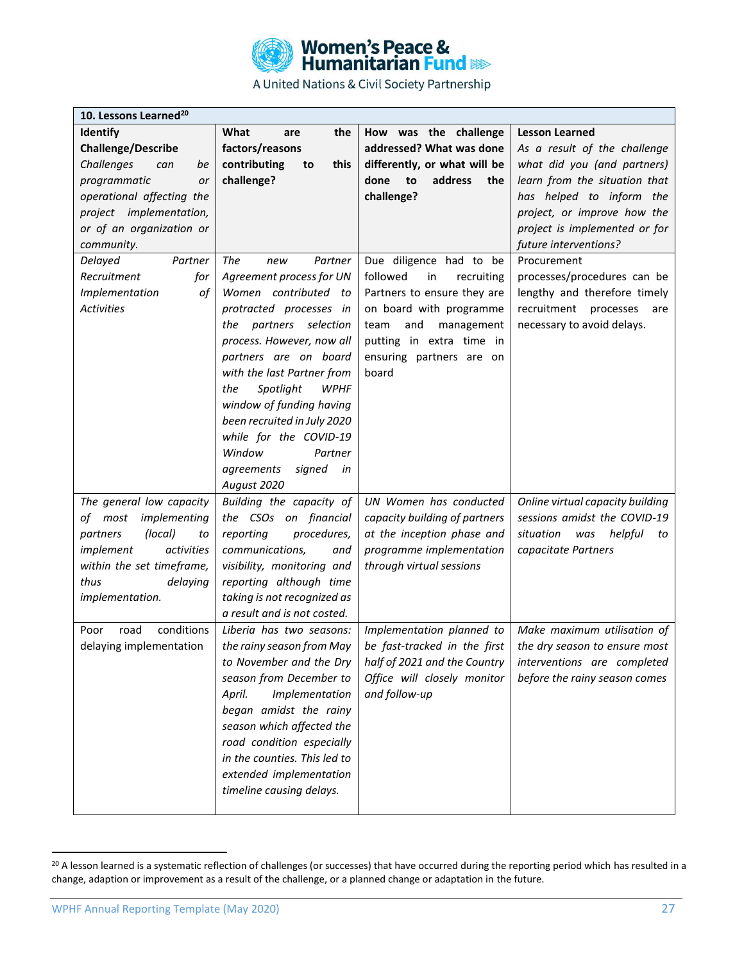

| 10. Lessons Learned <sup>20</sup> |                                 |                               |                                   |
|-----------------------------------|---------------------------------|-------------------------------|-----------------------------------|
| <b>Identify</b>                   | What<br>the<br>are              | How was the challenge         | <b>Lesson Learned</b>             |
| <b>Challenge/Describe</b>         | factors/reasons                 | addressed? What was done      | As a result of the challenge      |
| Challenges<br>can<br>be           | contributing<br>this<br>to      | differently, or what will be  | what did you (and partners)       |
| programmatic<br>or                | challenge?                      | address<br>done<br>to<br>the  | learn from the situation that     |
| operational affecting the         |                                 | challenge?                    | has helped to inform the          |
| project implementation,           |                                 |                               | project, or improve how the       |
| or of an organization or          |                                 |                               | project is implemented or for     |
| community.                        |                                 |                               | future interventions?             |
| Delayed<br>Partner                | The<br>Partner<br>new           | Due diligence had to be       | Procurement                       |
| Recruitment<br>for                | Agreement process for UN        | followed<br>in<br>recruiting  | processes/procedures can be       |
| of<br>Implementation              | Women contributed to            | Partners to ensure they are   | lengthy and therefore timely      |
| <b>Activities</b>                 | protracted processes in         | on board with programme       | recruitment<br>processes<br>are   |
|                                   | partners selection<br>the       | team<br>and<br>management     | necessary to avoid delays.        |
|                                   | process. However, now all       | putting in extra time in      |                                   |
|                                   | partners are on board           | ensuring partners are on      |                                   |
|                                   | with the last Partner from      | board                         |                                   |
|                                   | <b>WPHF</b><br>Spotlight<br>the |                               |                                   |
|                                   | window of funding having        |                               |                                   |
|                                   | been recruited in July 2020     |                               |                                   |
|                                   | while for the COVID-19          |                               |                                   |
|                                   | Window<br>Partner               |                               |                                   |
|                                   | signed<br>agreements<br>in      |                               |                                   |
|                                   | August 2020                     |                               |                                   |
| The general low capacity          | Building the capacity of        | UN Women has conducted        | Online virtual capacity building  |
| of most<br>implementing           | the CSOs on financial           | capacity building of partners | sessions amidst the COVID-19      |
| (local)<br>partners<br>to         | reporting<br>procedures,        | at the inception phase and    | situation<br>helpful<br>was<br>to |
| implement<br>activities           | communications,<br>and          | programme implementation      | capacitate Partners               |
| within the set timeframe,         | visibility, monitoring and      | through virtual sessions      |                                   |
| thus<br>delaying                  | reporting although time         |                               |                                   |
| implementation.                   | taking is not recognized as     |                               |                                   |
|                                   | a result and is not costed.     |                               |                                   |
| conditions<br>Poor<br>road        | Liberia has two seasons:        | Implementation planned to     | Make maximum utilisation of       |
| delaying implementation           | the rainy season from May       | be fast-tracked in the first  | the dry season to ensure most     |
|                                   | to November and the Dry         | half of 2021 and the Country  | interventions are completed       |
|                                   | season from December to         | Office will closely monitor   | before the rainy season comes     |
|                                   | Implementation<br>April.        | and follow-up                 |                                   |
|                                   | began amidst the rainy          |                               |                                   |
|                                   | season which affected the       |                               |                                   |
|                                   | road condition especially       |                               |                                   |
|                                   | in the counties. This led to    |                               |                                   |
|                                   | extended implementation         |                               |                                   |
|                                   | timeline causing delays.        |                               |                                   |
|                                   |                                 |                               |                                   |

<sup>&</sup>lt;sup>20</sup> A lesson learned is a systematic reflection of challenges (or successes) that have occurred during the reporting period which has resulted in a change, adaption or improvement as a result of the challenge, or a planned change or adaptation in the future.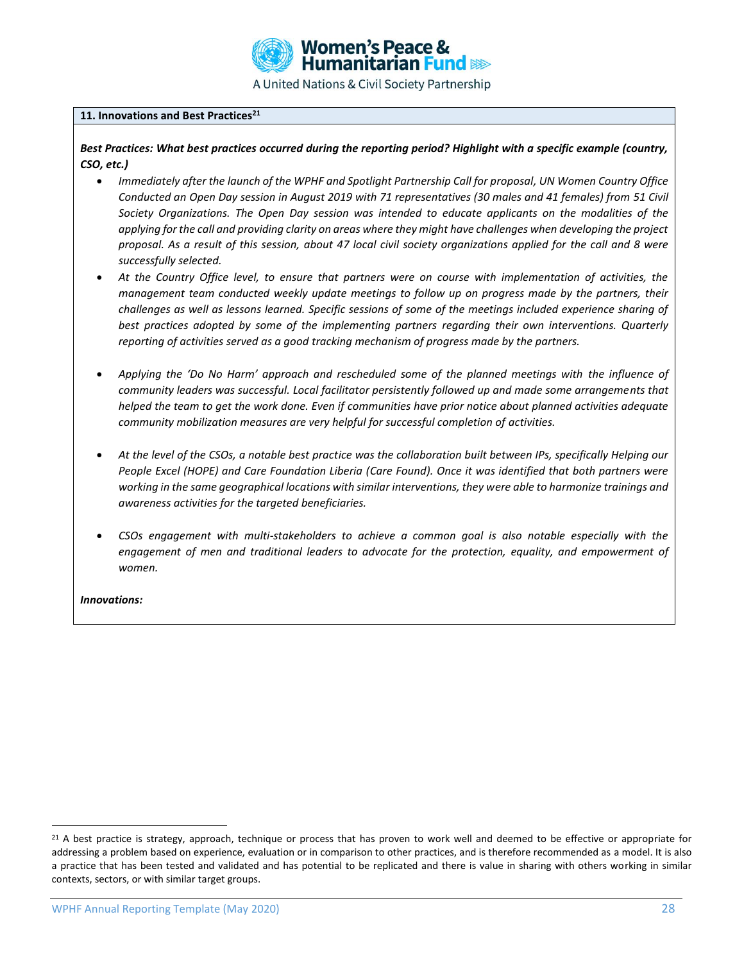

#### **11. Innovations and Best Practices<sup>21</sup>**

*Best Practices: What best practices occurred during the reporting period? Highlight with a specific example (country, CSO, etc.)*

- *Immediately after the launch of the WPHF and Spotlight Partnership Call for proposal, UN Women Country Office Conducted an Open Day session in August 2019 with 71 representatives (30 males and 41 females) from 51 Civil Society Organizations. The Open Day session was intended to educate applicants on the modalities of the applying for the call and providing clarity on areas where they might have challenges when developing the project proposal. As a result of this session, about 47 local civil society organizations applied for the call and 8 were successfully selected.*
- *At the Country Office level, to ensure that partners were on course with implementation of activities, the management team conducted weekly update meetings to follow up on progress made by the partners, their challenges as well as lessons learned. Specific sessions of some of the meetings included experience sharing of best practices adopted by some of the implementing partners regarding their own interventions. Quarterly reporting of activities served as a good tracking mechanism of progress made by the partners.*
- *Applying the 'Do No Harm' approach and rescheduled some of the planned meetings with the influence of community leaders was successful. Local facilitator persistently followed up and made some arrangements that helped the team to get the work done. Even if communities have prior notice about planned activities adequate community mobilization measures are very helpful for successful completion of activities.*
- *At the level of the CSOs, a notable best practice was the collaboration built between IPs, specifically Helping our People Excel (HOPE) and Care Foundation Liberia (Care Found). Once it was identified that both partners were working in the same geographical locations with similar interventions, they were able to harmonize trainings and awareness activities for the targeted beneficiaries.*
- *CSOs engagement with multi-stakeholders to achieve a common goal is also notable especially with the engagement of men and traditional leaders to advocate for the protection, equality, and empowerment of women.*

*Innovations:* 

<sup>&</sup>lt;sup>21</sup> A best practice is strategy, approach, technique or process that has proven to work well and deemed to be effective or appropriate for addressing a problem based on experience, evaluation or in comparison to other practices, and is therefore recommended as a model. It is also a practice that has been tested and validated and has potential to be replicated and there is value in sharing with others working in similar contexts, sectors, or with similar target groups.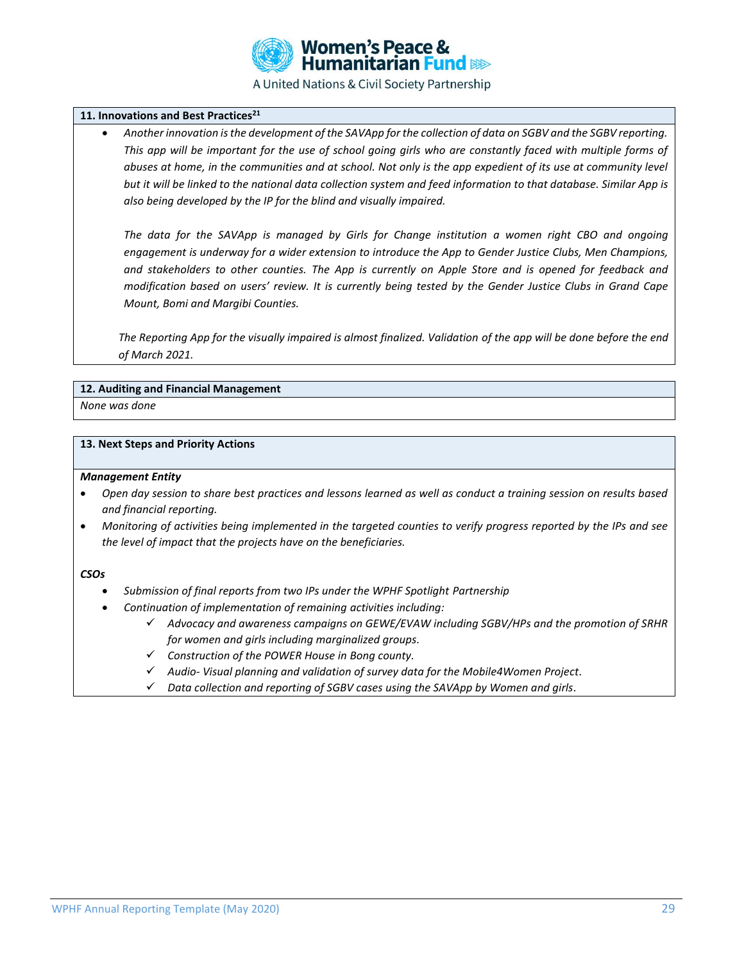

#### **11. Innovations and Best Practices<sup>21</sup>**

• *Another innovation is the development of the SAVApp for the collection of data on SGBV and the SGBV reporting. This app will be important for the use of school going girls who are constantly faced with multiple forms of*  abuses at home, in the communities and at school. Not only is the app expedient of its use at community level *but it will be linked to the national data collection system and feed information to that database. Similar App is also being developed by the IP for the blind and visually impaired.*

*The data for the SAVApp is managed by Girls for Change institution a women right CBO and ongoing engagement is underway for a wider extension to introduce the App to Gender Justice Clubs, Men Champions, and stakeholders to other counties. The App is currently on Apple Store and is opened for feedback and modification based on users' review. It is currently being tested by the Gender Justice Clubs in Grand Cape Mount, Bomi and Margibi Counties.*

*The Reporting App for the visually impaired is almost finalized. Validation of the app will be done before the end of March 2021.*

#### **12. Auditing and Financial Management**

*None was done*

#### **13. Next Steps and Priority Actions**

#### *Management Entity*

- *Open day session to share best practices and lessons learned as well as conduct a training session on results based and financial reporting.*
- *Monitoring of activities being implemented in the targeted counties to verify progress reported by the IPs and see the level of impact that the projects have on the beneficiaries.*

#### *CSOs*

- *Submission of final reports from two IPs under the WPHF Spotlight Partnership*
- *Continuation of implementation of remaining activities including:*
	- ✓ *Advocacy and awareness campaigns on GEWE/EVAW including SGBV/HPs and the promotion of SRHR for women and girls including marginalized groups.*
	- ✓ *Construction of the POWER House in Bong county.*
	- ✓ *Audio- Visual planning and validation of survey data for the Mobile4Women Project.*
	- ✓ *Data collection and reporting of SGBV cases using the SAVApp by Women and girls.*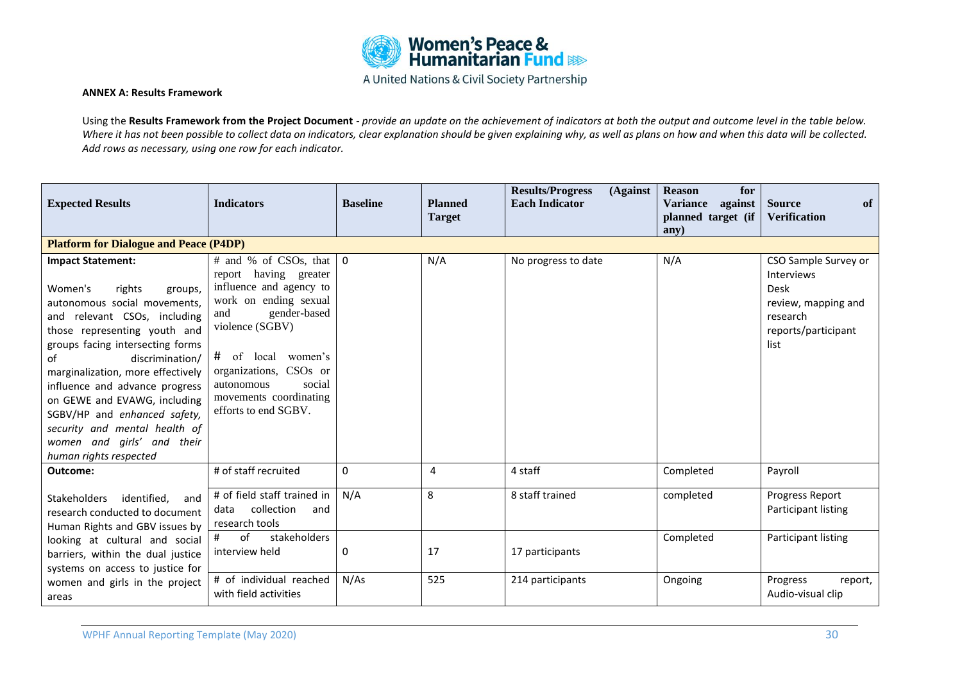

#### **ANNEX A: Results Framework**

Using the **Results Framework from the Project Document** - *provide an update on the achievement of indicators at both the output and outcome level in the table below.*  Where it has not been possible to collect data on indicators, clear explanation should be given explaining why, as well as plans on how and when this data will be collected. *Add rows as necessary, using one row for each indicator.*

| <b>Expected Results</b>                                                                                                                                                                                                                                                                                                                                                                                                                               | <b>Indicators</b>                                                                                                                                                                                                                                                         | <b>Baseline</b> | <b>Planned</b><br><b>Target</b> | <b>Results/Progress</b><br>(Against<br><b>Each Indicator</b> | <b>Reason</b><br>for<br><b>Variance</b><br>against<br>planned target (if<br>any) | <b>Source</b><br>of<br><b>Verification</b>                                                                          |
|-------------------------------------------------------------------------------------------------------------------------------------------------------------------------------------------------------------------------------------------------------------------------------------------------------------------------------------------------------------------------------------------------------------------------------------------------------|---------------------------------------------------------------------------------------------------------------------------------------------------------------------------------------------------------------------------------------------------------------------------|-----------------|---------------------------------|--------------------------------------------------------------|----------------------------------------------------------------------------------|---------------------------------------------------------------------------------------------------------------------|
| <b>Platform for Dialogue and Peace (P4DP)</b>                                                                                                                                                                                                                                                                                                                                                                                                         |                                                                                                                                                                                                                                                                           |                 |                                 |                                                              |                                                                                  |                                                                                                                     |
| <b>Impact Statement:</b><br>Women's<br>rights<br>groups,<br>autonomous social movements,<br>and relevant CSOs, including<br>those representing youth and<br>groups facing intersecting forms<br>discrimination/<br>of<br>marginalization, more effectively<br>influence and advance progress<br>on GEWE and EVAWG, including<br>SGBV/HP and enhanced safety,<br>security and mental health of<br>women and girls' and their<br>human rights respected | # and % of CSOs, that<br>report having greater<br>influence and agency to<br>work on ending sexual<br>gender-based<br>and<br>violence (SGBV)<br># of local<br>women's<br>organizations, CSOs or<br>social<br>autonomous<br>movements coordinating<br>efforts to end SGBV. | $\mathbf 0$     | N/A                             | No progress to date                                          | N/A                                                                              | CSO Sample Survey or<br><b>Interviews</b><br>Desk<br>review, mapping and<br>research<br>reports/participant<br>list |
| Outcome:                                                                                                                                                                                                                                                                                                                                                                                                                                              | # of staff recruited                                                                                                                                                                                                                                                      | $\mathbf{0}$    | 4                               | 4 staff                                                      | Completed                                                                        | Payroll                                                                                                             |
| Stakeholders<br>identified,<br>and<br>research conducted to document<br>Human Rights and GBV issues by                                                                                                                                                                                                                                                                                                                                                | # of field staff trained in<br>collection<br>data<br>and<br>research tools                                                                                                                                                                                                | N/A             | 8                               | 8 staff trained                                              | completed                                                                        | Progress Report<br>Participant listing                                                                              |
| looking at cultural and social<br>barriers, within the dual justice<br>systems on access to justice for                                                                                                                                                                                                                                                                                                                                               | stakeholders<br>#<br>of<br>interview held                                                                                                                                                                                                                                 | 0               | 17                              | 17 participants                                              | Completed                                                                        | Participant listing                                                                                                 |
| women and girls in the project<br>areas                                                                                                                                                                                                                                                                                                                                                                                                               | # of individual reached<br>with field activities                                                                                                                                                                                                                          | N/As            | 525                             | 214 participants                                             | Ongoing                                                                          | Progress<br>report,<br>Audio-visual clip                                                                            |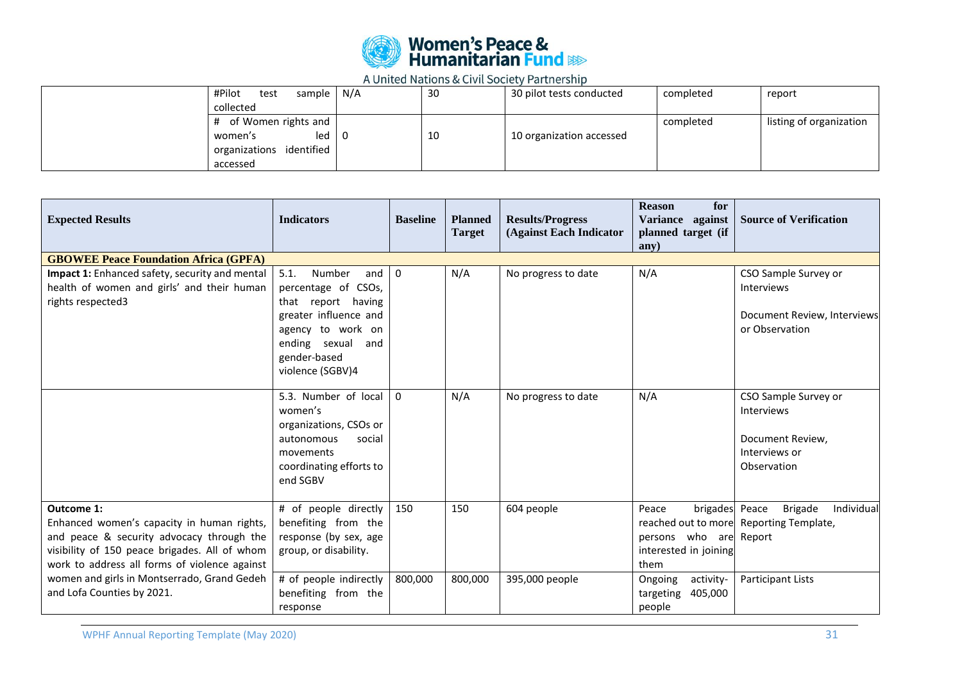

| sample   N/A<br>#Pilot<br>test<br>collected                                                      | 30 | 30 pilot tests conducted | completed | report                  |
|--------------------------------------------------------------------------------------------------|----|--------------------------|-----------|-------------------------|
| # of Women rights and<br>$led$ $\overline{0}$<br>women's<br>organizations identified<br>accessed | 10 | 10 organization accessed | completed | listing of organization |

| <b>Expected Results</b>                                                                                                                                                                                        | <b>Indicators</b>                                                                                                                                                            | <b>Baseline</b> | <b>Planned</b><br><b>Target</b> | <b>Results/Progress</b><br>(Against Each Indicator | <b>Reason</b><br>for<br>Variance against<br>planned target (if<br>any)             | <b>Source of Verification</b>                                                              |
|----------------------------------------------------------------------------------------------------------------------------------------------------------------------------------------------------------------|------------------------------------------------------------------------------------------------------------------------------------------------------------------------------|-----------------|---------------------------------|----------------------------------------------------|------------------------------------------------------------------------------------|--------------------------------------------------------------------------------------------|
| <b>GBOWEE Peace Foundation Africa (GPFA)</b>                                                                                                                                                                   |                                                                                                                                                                              |                 |                                 |                                                    |                                                                                    |                                                                                            |
| Impact 1: Enhanced safety, security and mental<br>health of women and girls' and their human<br>rights respected3                                                                                              | 5.1.<br>Number<br>and<br>percentage of CSOs,<br>that report having<br>greater influence and<br>agency to work on<br>ending sexual<br>and<br>gender-based<br>violence (SGBV)4 | $\mathbf 0$     | N/A                             | No progress to date                                | N/A                                                                                | CSO Sample Survey or<br><b>Interviews</b><br>Document Review, Interviews<br>or Observation |
|                                                                                                                                                                                                                | 5.3. Number of local<br>women's<br>organizations, CSOs or<br>autonomous<br>social<br>movements<br>coordinating efforts to<br>end SGBV                                        | $\Omega$        | N/A                             | No progress to date                                | N/A                                                                                | CSO Sample Survey or<br>Interviews<br>Document Review,<br>Interviews or<br>Observation     |
| <b>Outcome 1:</b><br>Enhanced women's capacity in human rights,<br>and peace & security advocacy through the<br>visibility of 150 peace brigades. All of whom<br>work to address all forms of violence against | # of people directly<br>benefiting from the<br>response (by sex, age<br>group, or disability.                                                                                | 150             | 150                             | 604 people                                         | brigades Peace<br>Peace<br>persons who are Report<br>interested in joining<br>them | Individual<br><b>Brigade</b><br>reached out to more Reporting Template,                    |
| women and girls in Montserrado, Grand Gedeh<br>and Lofa Counties by 2021.                                                                                                                                      | # of people indirectly<br>benefiting from the<br>response                                                                                                                    | 800,000         | 800,000                         | 395,000 people                                     | activity-<br>Ongoing<br>targeting<br>405,000<br>people                             | Participant Lists                                                                          |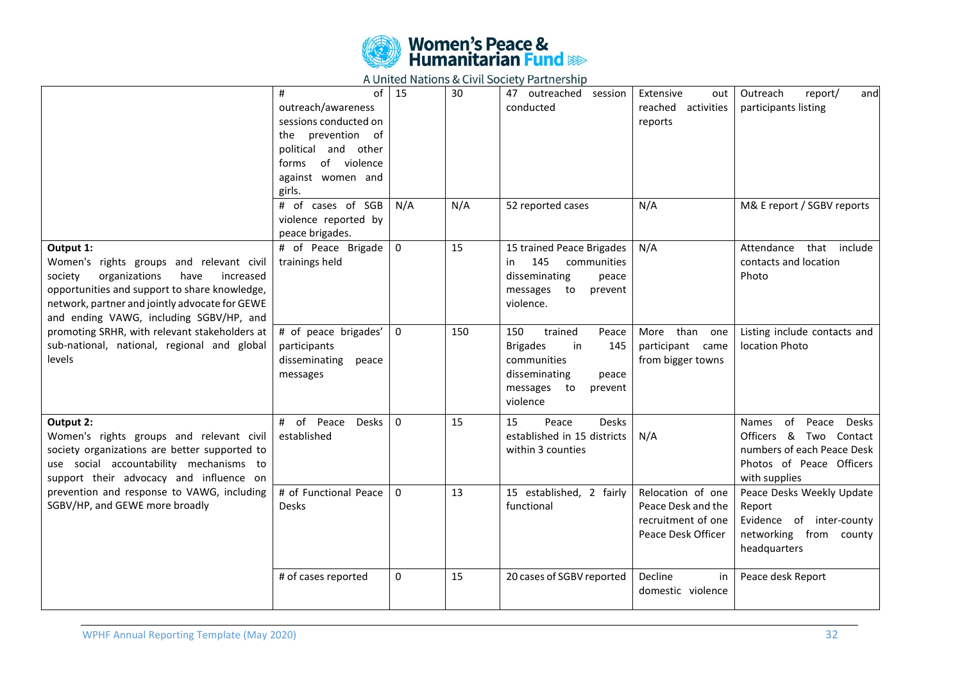

|                                                                                                                                                                                                                                                      | of<br>#<br>outreach/awareness<br>sessions conducted on<br>the prevention of<br>political and other<br>forms of violence<br>against women and<br>girls. | 15           | 30  | 47 outreached<br>session<br>conducted                                                                                                  | Extensive<br>out<br>reached<br>activities<br>reports                                | Outreach<br>report/<br>and<br>participants listing                                                                                               |
|------------------------------------------------------------------------------------------------------------------------------------------------------------------------------------------------------------------------------------------------------|--------------------------------------------------------------------------------------------------------------------------------------------------------|--------------|-----|----------------------------------------------------------------------------------------------------------------------------------------|-------------------------------------------------------------------------------------|--------------------------------------------------------------------------------------------------------------------------------------------------|
|                                                                                                                                                                                                                                                      | # of cases of SGB<br>violence reported by<br>peace brigades.                                                                                           | N/A          | N/A | 52 reported cases                                                                                                                      | N/A                                                                                 | M& E report / SGBV reports                                                                                                                       |
| Output 1:<br>Women's rights groups and relevant civil<br>organizations<br>have<br>society<br>increased<br>opportunities and support to share knowledge,<br>network, partner and jointly advocate for GEWE<br>and ending VAWG, including SGBV/HP, and | # of Peace Brigade<br>trainings held                                                                                                                   | $\mathbf 0$  | 15  | 15 trained Peace Brigades<br>145<br>communities<br>in<br>disseminating<br>peace<br>messages to<br>prevent<br>violence.                 | N/A                                                                                 | Attendance that include<br>contacts and location<br>Photo                                                                                        |
| promoting SRHR, with relevant stakeholders at<br>sub-national, national, regional and global<br>levels                                                                                                                                               | # of peace brigades'<br>participants<br>disseminating<br>peace<br>messages                                                                             | $\mathbf 0$  | 150 | 150<br>trained<br>Peace<br><b>Brigades</b><br>in<br>145<br>communities<br>disseminating<br>peace<br>messages to<br>prevent<br>violence | than one<br>More<br>participant came<br>from bigger towns                           | Listing include contacts and<br>location Photo                                                                                                   |
| Output 2:<br>Women's rights groups and relevant civil<br>society organizations are better supported to<br>use social accountability mechanisms to<br>support their advocacy and influence on                                                         | of<br>Peace Desks<br>#<br>established                                                                                                                  | $\Omega$     | 15  | 15<br><b>Desks</b><br>Peace<br>established in 15 districts<br>within 3 counties                                                        | N/A                                                                                 | of<br><b>Desks</b><br><b>Names</b><br>Peace<br>Officers & Two Contact<br>numbers of each Peace Desk<br>Photos of Peace Officers<br>with supplies |
| prevention and response to VAWG, including<br>SGBV/HP, and GEWE more broadly                                                                                                                                                                         | # of Functional Peace<br><b>Desks</b>                                                                                                                  | $\mathbf{0}$ | 13  | 15 established, 2 fairly<br>functional                                                                                                 | Relocation of one<br>Peace Desk and the<br>recruitment of one<br>Peace Desk Officer | Peace Desks Weekly Update<br>Report<br>Evidence of inter-county<br>networking from county<br>headquarters                                        |
|                                                                                                                                                                                                                                                      | # of cases reported                                                                                                                                    | $\mathbf 0$  | 15  | 20 cases of SGBV reported                                                                                                              | Decline<br>in<br>domestic violence                                                  | Peace desk Report                                                                                                                                |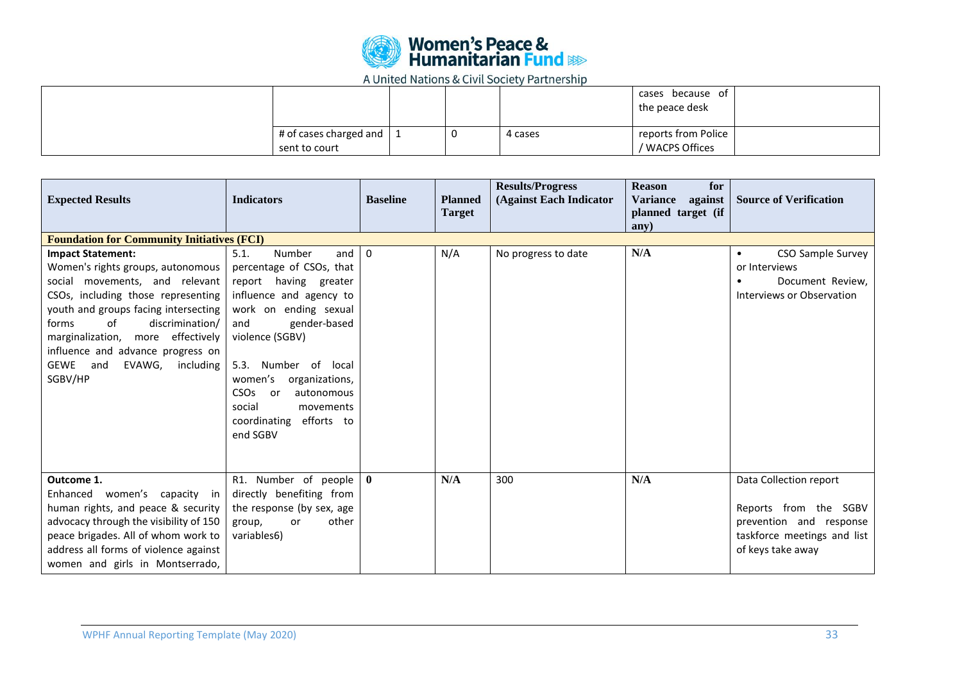

|                                         |    |         | cases because of<br>the peace desk     |
|-----------------------------------------|----|---------|----------------------------------------|
| # of cases charged and<br>sent to court | -U | 4 cases | reports from Police<br>/ WACPS Offices |

| <b>Expected Results</b>                                                                                                                                                                                                                                                                                                                 | <b>Indicators</b>                                                                                                                                                                                                                                                                                                                         | <b>Baseline</b> | <b>Planned</b><br><b>Target</b> | <b>Results/Progress</b><br>(Against Each Indicator | <b>Reason</b><br>for<br>against<br><b>Variance</b><br>planned target (if<br>$anV$ ) | <b>Source of Verification</b>                                                                                                  |
|-----------------------------------------------------------------------------------------------------------------------------------------------------------------------------------------------------------------------------------------------------------------------------------------------------------------------------------------|-------------------------------------------------------------------------------------------------------------------------------------------------------------------------------------------------------------------------------------------------------------------------------------------------------------------------------------------|-----------------|---------------------------------|----------------------------------------------------|-------------------------------------------------------------------------------------|--------------------------------------------------------------------------------------------------------------------------------|
| <b>Foundation for Community Initiatives (FCI)</b>                                                                                                                                                                                                                                                                                       |                                                                                                                                                                                                                                                                                                                                           |                 |                                 |                                                    |                                                                                     |                                                                                                                                |
| <b>Impact Statement:</b><br>Women's rights groups, autonomous<br>social movements, and relevant<br>CSOs, including those representing<br>youth and groups facing intersecting<br>of<br>discrimination/<br>forms<br>marginalization, more effectively<br>influence and advance progress on<br>GEWE and<br>EVAWG,<br>including<br>SGBV/HP | 5.1.<br>Number<br>and<br>percentage of CSOs, that<br>report having greater<br>influence and agency to<br>work on ending sexual<br>gender-based<br>and<br>violence (SGBV)<br>5.3.<br>Number of local<br>women's<br>organizations,<br>CSO <sub>S</sub><br>autonomous<br>or<br>social<br>movements<br>efforts to<br>coordinating<br>end SGBV | $\mathbf 0$     | N/A                             | No progress to date                                | N/A                                                                                 | CSO Sample Survey<br>$\bullet$<br>or Interviews<br>Document Review,<br>Interviews or Observation                               |
| Outcome 1.<br>Enhanced women's capacity in<br>human rights, and peace & security<br>advocacy through the visibility of 150<br>peace brigades. All of whom work to<br>address all forms of violence against<br>women and girls in Montserrado,                                                                                           | R1. Number of people<br>directly benefiting from<br>the response (by sex, age<br>other<br>group,<br>or<br>variables6)                                                                                                                                                                                                                     | $\bf{0}$        | N/A                             | 300                                                | N/A                                                                                 | Data Collection report<br>Reports from the SGBV<br>prevention and response<br>taskforce meetings and list<br>of keys take away |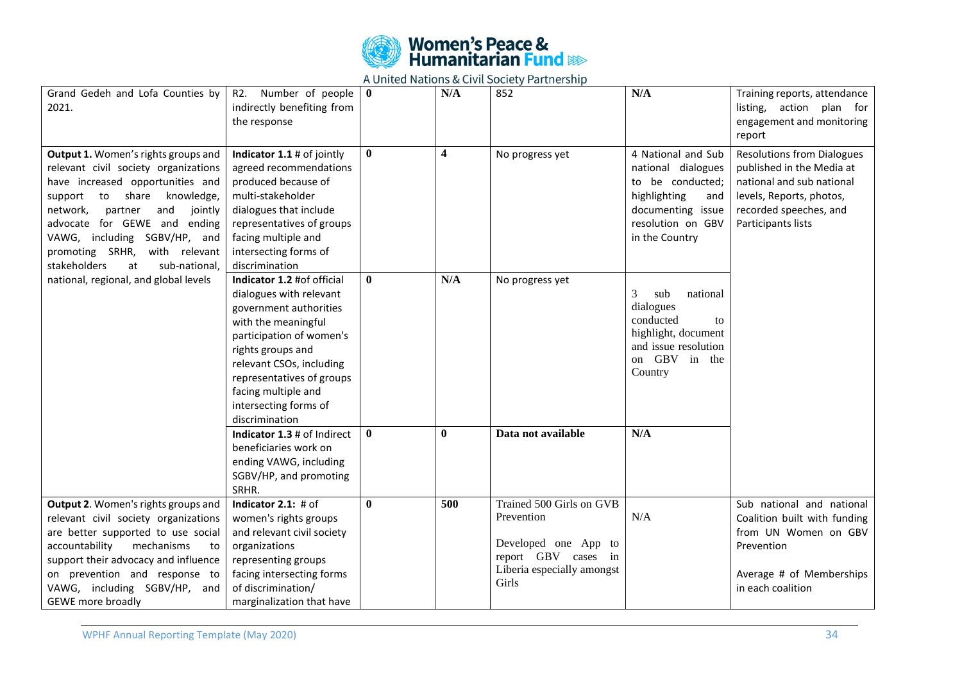

| Grand Gedeh and Lofa Counties by<br>2021.                                                                                                                                                                                                                                                                                             | Number of people<br>R2.<br>indirectly benefiting from<br>the response                                                                                                                                                                                                              | $\mathbf{0}$ | N/A                     | 852                                                                                                                          | N/A                                                                                                                                             | Training reports, attendance<br>listing, action plan for<br>engagement and monitoring<br>report                                                                         |
|---------------------------------------------------------------------------------------------------------------------------------------------------------------------------------------------------------------------------------------------------------------------------------------------------------------------------------------|------------------------------------------------------------------------------------------------------------------------------------------------------------------------------------------------------------------------------------------------------------------------------------|--------------|-------------------------|------------------------------------------------------------------------------------------------------------------------------|-------------------------------------------------------------------------------------------------------------------------------------------------|-------------------------------------------------------------------------------------------------------------------------------------------------------------------------|
| Output 1. Women's rights groups and<br>relevant civil society organizations<br>have increased opportunities and<br>support to share<br>knowledge,<br>network,<br>partner<br>and<br>jointly<br>advocate for GEWE and<br>ending<br>VAWG, including SGBV/HP, and<br>promoting SRHR, with relevant<br>stakeholders<br>at<br>sub-national, | Indicator 1.1 # of jointly<br>agreed recommendations<br>produced because of<br>multi-stakeholder<br>dialogues that include<br>representatives of groups<br>facing multiple and<br>intersecting forms of<br>discrimination                                                          | $\mathbf{0}$ | $\overline{\mathbf{4}}$ | No progress yet                                                                                                              | 4 National and Sub<br>national dialogues<br>to be conducted;<br>highlighting<br>and<br>documenting issue<br>resolution on GBV<br>in the Country | <b>Resolutions from Dialogues</b><br>published in the Media at<br>national and sub national<br>levels, Reports, photos,<br>recorded speeches, and<br>Participants lists |
| national, regional, and global levels                                                                                                                                                                                                                                                                                                 | Indicator 1.2 #of official<br>dialogues with relevant<br>government authorities<br>with the meaningful<br>participation of women's<br>rights groups and<br>relevant CSOs, including<br>representatives of groups<br>facing multiple and<br>intersecting forms of<br>discrimination | $\bf{0}$     | N/A                     | No progress yet                                                                                                              | 3<br>national<br>sub<br>dialogues<br>conducted<br>to<br>highlight, document<br>and issue resolution<br>on GBV in the<br>Country                 |                                                                                                                                                                         |
|                                                                                                                                                                                                                                                                                                                                       | Indicator 1.3 # of Indirect<br>beneficiaries work on<br>ending VAWG, including<br>SGBV/HP, and promoting<br>SRHR.                                                                                                                                                                  | $\mathbf{0}$ | $\bf{0}$                | Data not available                                                                                                           | N/A                                                                                                                                             |                                                                                                                                                                         |
| Output 2. Women's rights groups and<br>relevant civil society organizations<br>are better supported to use social<br>accountability<br>mechanisms<br>to<br>support their advocacy and influence<br>on prevention and response to<br>VAWG, including SGBV/HP, and<br><b>GEWE</b> more broadly                                          | Indicator $2.1:$ # of<br>women's rights groups<br>and relevant civil society<br>organizations<br>representing groups<br>facing intersecting forms<br>of discrimination/<br>marginalization that have                                                                               | $\mathbf{0}$ | 500                     | Trained 500 Girls on GVB<br>Prevention<br>Developed one App to<br>report GBV cases in<br>Liberia especially amongst<br>Girls | N/A                                                                                                                                             | Sub national and national<br>Coalition built with funding<br>from UN Women on GBV<br>Prevention<br>Average # of Memberships<br>in each coalition                        |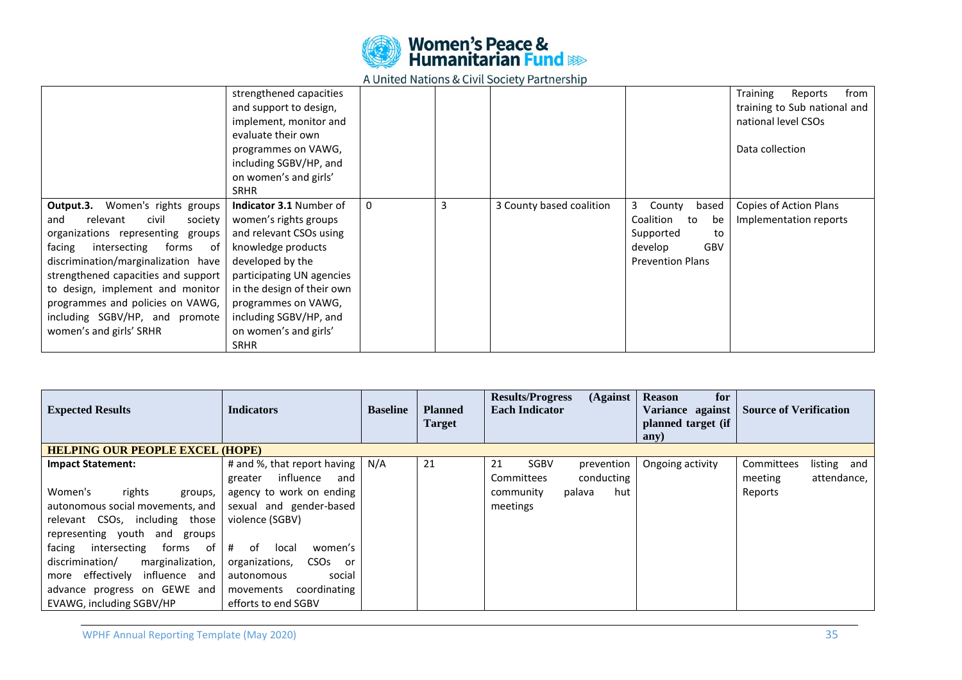

|                                                                                                                                                                                                                                                                                                                                                                                  | strengthened capacities<br>and support to design,<br>implement, monitor and<br>evaluate their own<br>programmes on VAWG,<br>including SGBV/HP, and<br>on women's and girls'<br><b>SRHR</b>                                                                                       |   |   |                          |                                                                                                               | from<br>Training<br>Reports<br>training to Sub national and<br>national level CSOs<br>Data collection |
|----------------------------------------------------------------------------------------------------------------------------------------------------------------------------------------------------------------------------------------------------------------------------------------------------------------------------------------------------------------------------------|----------------------------------------------------------------------------------------------------------------------------------------------------------------------------------------------------------------------------------------------------------------------------------|---|---|--------------------------|---------------------------------------------------------------------------------------------------------------|-------------------------------------------------------------------------------------------------------|
| <b>Output.3.</b> Women's rights groups<br>relevant<br>civil<br>and<br>society<br>organizations representing groups<br>facing<br>intersecting<br>forms<br>- of<br>discrimination/marginalization have<br>strengthened capacities and support<br>to design, implement and monitor<br>programmes and policies on VAWG,<br>including SGBV/HP, and promote<br>women's and girls' SRHR | <b>Indicator 3.1 Number of</b><br>women's rights groups<br>and relevant CSOs using<br>knowledge products<br>developed by the<br>participating UN agencies<br>in the design of their own<br>programmes on VAWG,<br>including SGBV/HP, and<br>on women's and girls'<br><b>SRHR</b> | 0 | 3 | 3 County based coalition | 3<br>County<br>based<br>Coalition<br>to<br>be<br>Supported<br>to<br>GBV<br>develop<br><b>Prevention Plans</b> | Copies of Action Plans<br>Implementation reports                                                      |

| <b>Expected Results</b>                                                                                                                                                                                                                                                                                                                       | <b>Indicators</b>                                                                                                                                                                                                                                                                 | <b>Baseline</b> | <b>Planned</b><br><b>Target</b> | (Against<br><b>Results/Progress</b><br><b>Each Indicator</b>                                          | <b>Reason</b><br>for<br>Variance against<br>planned target (if<br>any) | <b>Source of Verification</b>                                  |
|-----------------------------------------------------------------------------------------------------------------------------------------------------------------------------------------------------------------------------------------------------------------------------------------------------------------------------------------------|-----------------------------------------------------------------------------------------------------------------------------------------------------------------------------------------------------------------------------------------------------------------------------------|-----------------|---------------------------------|-------------------------------------------------------------------------------------------------------|------------------------------------------------------------------------|----------------------------------------------------------------|
| <b>HELPING OUR PEOPLE EXCEL (HOPE)</b>                                                                                                                                                                                                                                                                                                        |                                                                                                                                                                                                                                                                                   |                 |                                 |                                                                                                       |                                                                        |                                                                |
| <b>Impact Statement:</b><br>Women's<br>rights<br>groups,<br>autonomous social movements, and<br>relevant CSOs, including those<br>representing youth and groups<br>forms of<br>intersecting<br>facing<br>discrimination/<br>marginalization,<br>effectively influence and<br>more<br>advance progress on GEWE and<br>EVAWG, including SGBV/HP | # and %, that report having  <br>influence<br>greater<br>and<br>agency to work on ending<br>sexual and gender-based<br>violence (SGBV)<br>#<br>of<br>local<br>women's<br>organizations,<br>CSOs<br>or<br>social<br>autonomous<br>coordinating<br>movements<br>efforts to end SGBV | N/A             | 21                              | 21<br>SGBV<br>prevention<br>conducting<br><b>Committees</b><br>hut<br>community<br>palava<br>meetings | Ongoing activity                                                       | Committees<br>listing and<br>attendance,<br>meeting<br>Reports |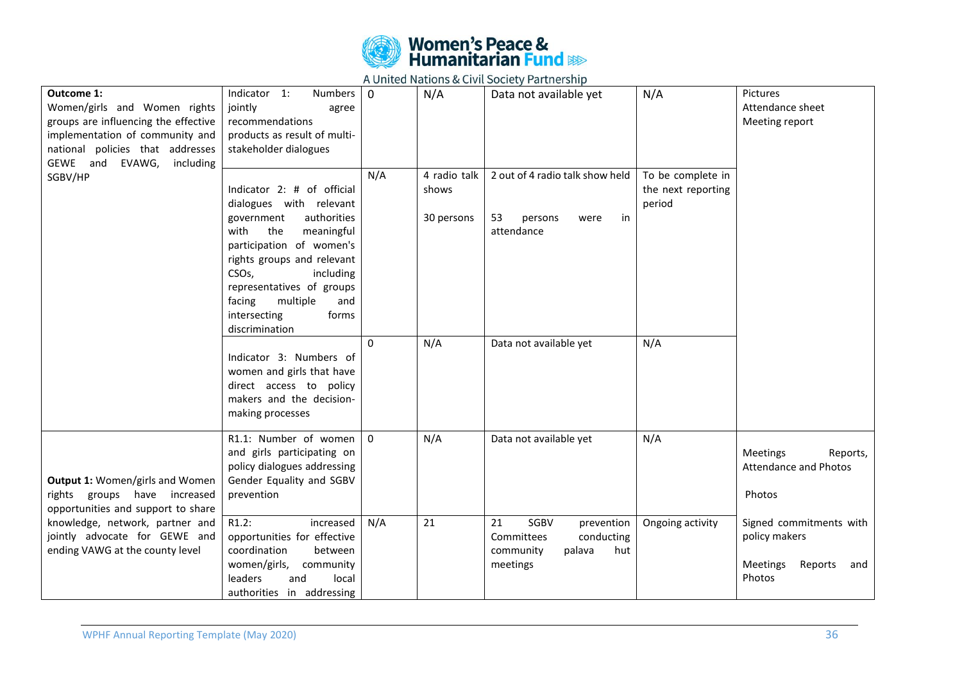

| <b>Outcome 1:</b><br>Women/girls and Women rights<br>groups are influencing the effective<br>implementation of community and<br>national policies that addresses<br>GEWE and EVAWG, including | Indicator 1:<br>Numbers 0<br>jointly<br>agree<br>recommendations<br>products as result of multi-<br>stakeholder dialogues                                                                                                                                                                                         |          | N/A                                 | Data not available yet                                                                         | N/A                                               | Pictures<br>Attendance sheet<br>Meeting report                                          |
|-----------------------------------------------------------------------------------------------------------------------------------------------------------------------------------------------|-------------------------------------------------------------------------------------------------------------------------------------------------------------------------------------------------------------------------------------------------------------------------------------------------------------------|----------|-------------------------------------|------------------------------------------------------------------------------------------------|---------------------------------------------------|-----------------------------------------------------------------------------------------|
| SGBV/HP                                                                                                                                                                                       | Indicator 2: # of official<br>dialogues with relevant<br>authorities<br>government<br>with<br>the<br>meaningful<br>participation of women's<br>rights groups and relevant<br>CSO <sub>s</sub> ,<br>including<br>representatives of groups<br>facing<br>multiple<br>and<br>intersecting<br>forms<br>discrimination | N/A      | 4 radio talk<br>shows<br>30 persons | 2 out of 4 radio talk show held<br>53<br>in<br>persons<br>were<br>attendance                   | To be complete in<br>the next reporting<br>period |                                                                                         |
|                                                                                                                                                                                               | Indicator 3: Numbers of<br>women and girls that have<br>direct access to policy<br>makers and the decision-<br>making processes                                                                                                                                                                                   | $\Omega$ | N/A                                 | Data not available yet                                                                         | N/A                                               |                                                                                         |
| Output 1: Women/girls and Women<br>rights groups have increased<br>opportunities and support to share                                                                                         | R1.1: Number of women<br>and girls participating on<br>policy dialogues addressing<br>Gender Equality and SGBV<br>prevention                                                                                                                                                                                      | $\Omega$ | N/A                                 | Data not available yet                                                                         | N/A                                               | <b>Meetings</b><br>Reports,<br><b>Attendance and Photos</b><br>Photos                   |
| knowledge, network, partner and<br>jointly advocate for GEWE and<br>ending VAWG at the county level                                                                                           | R1.2:<br>increased<br>opportunities for effective<br>coordination<br>between<br>women/girls,<br>community<br>leaders<br>and<br>local<br>authorities in addressing                                                                                                                                                 | N/A      | 21                                  | 21<br>SGBV<br>prevention<br>conducting<br>Committees<br>community<br>palava<br>hut<br>meetings | Ongoing activity                                  | Signed commitments with<br>policy makers<br><b>Meetings</b><br>Reports<br>and<br>Photos |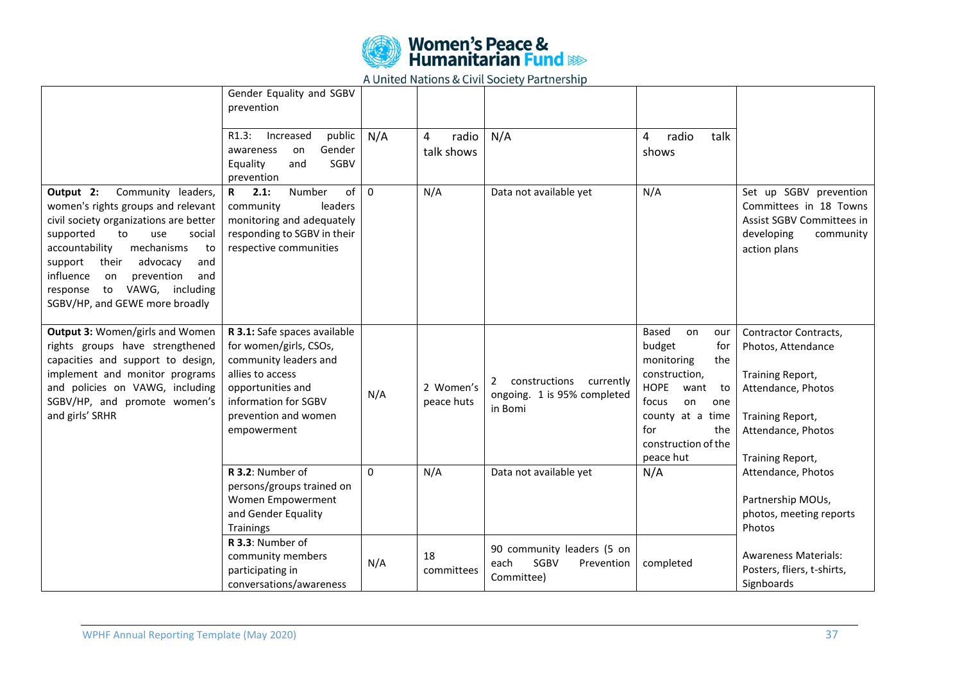

|                                                                                                                                                                                                                                                                                                                                              | Gender Equality and SGBV<br>prevention                                                                                                                                                  |          |                          |                                                                           |                                                                                                                                                                                                 |                                                                                                                                                     |
|----------------------------------------------------------------------------------------------------------------------------------------------------------------------------------------------------------------------------------------------------------------------------------------------------------------------------------------------|-----------------------------------------------------------------------------------------------------------------------------------------------------------------------------------------|----------|--------------------------|---------------------------------------------------------------------------|-------------------------------------------------------------------------------------------------------------------------------------------------------------------------------------------------|-----------------------------------------------------------------------------------------------------------------------------------------------------|
|                                                                                                                                                                                                                                                                                                                                              | public<br>R1.3:<br>Increased<br>Gender<br>awareness<br>on<br>SGBV<br>Equality<br>and<br>prevention                                                                                      | N/A      | radio<br>4<br>talk shows | N/A                                                                       | talk<br>radio<br>4<br>shows                                                                                                                                                                     |                                                                                                                                                     |
| Output 2:<br>Community leaders,<br>women's rights groups and relevant<br>civil society organizations are better<br>supported<br>to<br>use<br>social<br>accountability<br>mechanisms<br>to<br>support<br>advocacy<br>their<br>and<br>influence<br>prevention<br>and<br>on<br>to VAWG, including<br>response<br>SGBV/HP, and GEWE more broadly | Number<br>2.1:<br>of<br>$\mathbf{R}$<br>community<br>leaders<br>monitoring and adequately<br>responding to SGBV in their<br>respective communities                                      | $\Omega$ | N/A                      | Data not available yet                                                    | N/A                                                                                                                                                                                             | Set up SGBV prevention<br>Committees in 18 Towns<br>Assist SGBV Committees in<br>developing<br>community<br>action plans                            |
| Output 3: Women/girls and Women<br>rights groups have strengthened<br>capacities and support to design,<br>implement and monitor programs<br>and policies on VAWG, including<br>SGBV/HP, and promote women's<br>and girls' SRHR                                                                                                              | R 3.1: Safe spaces available<br>for women/girls, CSOs,<br>community leaders and<br>allies to access<br>opportunities and<br>information for SGBV<br>prevention and women<br>empowerment | N/A      | 2 Women's<br>peace huts  | constructions<br>currently<br>2<br>ongoing. 1 is 95% completed<br>in Bomi | Based<br>on<br>our<br>budget<br>for<br>monitoring<br>the<br>construction,<br><b>HOPE</b><br>want to<br>focus<br>on<br>one<br>county at a time<br>for<br>the<br>construction of the<br>peace hut | Contractor Contracts,<br>Photos, Attendance<br>Training Report,<br>Attendance, Photos<br>Training Report,<br>Attendance, Photos<br>Training Report, |
|                                                                                                                                                                                                                                                                                                                                              | R 3.2: Number of<br>persons/groups trained on<br>Women Empowerment<br>and Gender Equality<br><b>Trainings</b>                                                                           | $\Omega$ | N/A                      | Data not available yet                                                    | N/A                                                                                                                                                                                             | Attendance, Photos<br>Partnership MOUs,<br>photos, meeting reports<br>Photos                                                                        |
|                                                                                                                                                                                                                                                                                                                                              | R 3.3: Number of<br>community members<br>participating in<br>conversations/awareness                                                                                                    | N/A      | 18<br>committees         | 90 community leaders (5 on<br>SGBV<br>each<br>Prevention<br>Committee)    | completed                                                                                                                                                                                       | <b>Awareness Materials:</b><br>Posters, fliers, t-shirts,<br>Signboards                                                                             |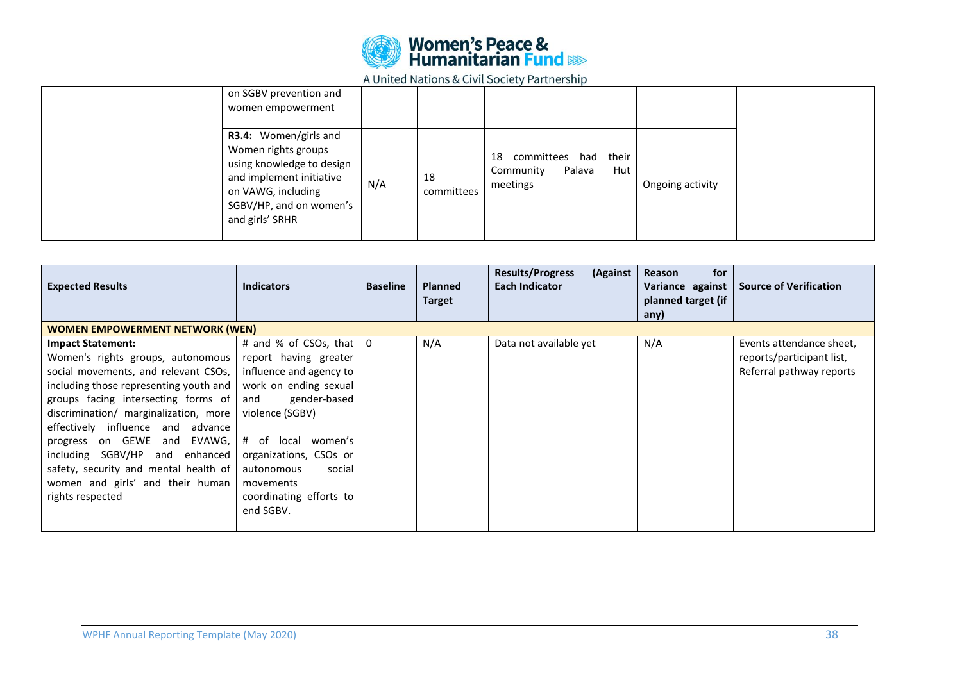

| on SGBV prevention and<br>women empowerment                                                                                                                               |     |                  |                                                                         |                  |  |
|---------------------------------------------------------------------------------------------------------------------------------------------------------------------------|-----|------------------|-------------------------------------------------------------------------|------------------|--|
| R3.4: Women/girls and<br>Women rights groups<br>using knowledge to design<br>and implement initiative<br>on VAWG, including<br>SGBV/HP, and on women's<br>and girls' SRHR | N/A | 18<br>committees | their<br>committees had<br>18<br>Palava<br>Hut<br>Community<br>meetings | Ongoing activity |  |

| <b>Expected Results</b>                                                                                                                                                                                                                                                                                                                                                                                                                  | <b>Indicators</b>                                                                                                                                                                                                                                                                           | <b>Baseline</b> | <b>Planned</b><br><b>Target</b> | <b>Results/Progress</b><br>(Against<br>Each Indicator | for<br>Reason<br>Variance against<br>planned target (if<br>any) | <b>Source of Verification</b>                                                     |
|------------------------------------------------------------------------------------------------------------------------------------------------------------------------------------------------------------------------------------------------------------------------------------------------------------------------------------------------------------------------------------------------------------------------------------------|---------------------------------------------------------------------------------------------------------------------------------------------------------------------------------------------------------------------------------------------------------------------------------------------|-----------------|---------------------------------|-------------------------------------------------------|-----------------------------------------------------------------|-----------------------------------------------------------------------------------|
| <b>WOMEN EMPOWERMENT NETWORK (WEN)</b>                                                                                                                                                                                                                                                                                                                                                                                                   |                                                                                                                                                                                                                                                                                             |                 |                                 |                                                       |                                                                 |                                                                                   |
| <b>Impact Statement:</b><br>Women's rights groups, autonomous<br>social movements, and relevant CSOs, I<br>including those representing youth and<br>groups facing intersecting forms of<br>discrimination/ marginalization, more<br>effectively influence and advance<br>progress on GEWE and EVAWG,<br>including SGBV/HP and enhanced<br>safety, security and mental health of<br>women and girls' and their human<br>rights respected | # and % of CSOs, that $\vert 0 \rangle$<br>report having greater<br>influence and agency to<br>work on ending sexual<br>gender-based<br>and<br>violence (SGBV)<br># of local women's<br>organizations, CSOs or<br>social<br>autonomous<br>movements<br>coordinating efforts to<br>end SGBV. |                 | N/A                             | Data not available yet                                | N/A                                                             | Events attendance sheet,<br>reports/participant list,<br>Referral pathway reports |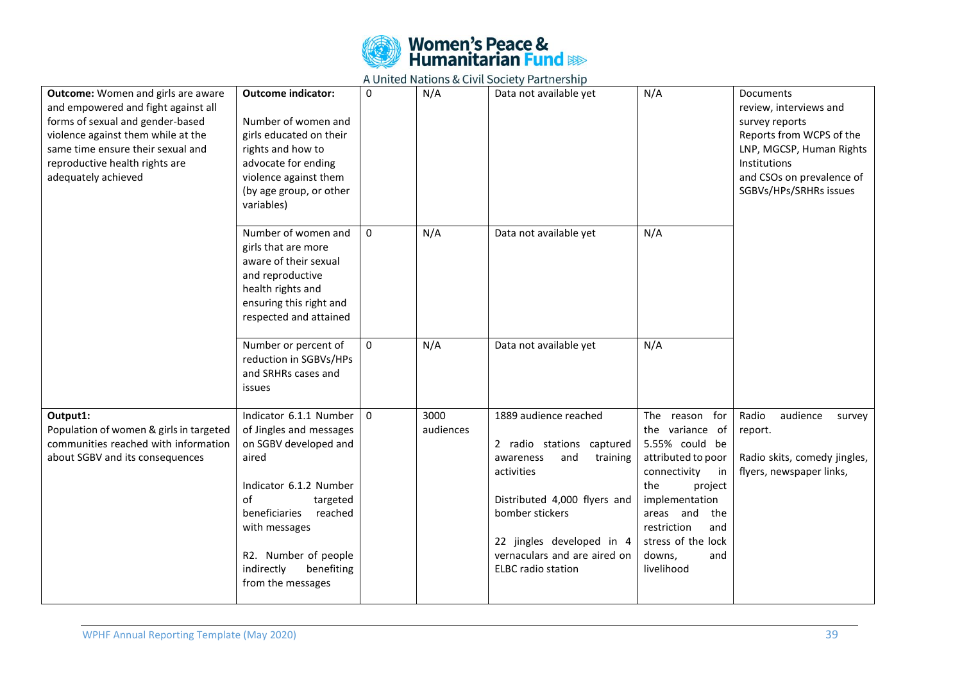

| <b>Outcome:</b> Women and girls are aware<br>and empowered and fight against all<br>forms of sexual and gender-based<br>violence against them while at the<br>same time ensure their sexual and<br>reproductive health rights are<br>adequately achieved | <b>Outcome indicator:</b><br>Number of women and<br>girls educated on their<br>rights and how to<br>advocate for ending<br>violence against them<br>(by age group, or other<br>variables)                                                             | $\mathbf{0}$ | N/A               | Data not available yet                                                                                                                                                                                                                        | N/A                                                                                                                                                                                                                                | Documents<br>review, interviews and<br>survey reports<br>Reports from WCPS of the<br>LNP, MGCSP, Human Rights<br>Institutions<br>and CSOs on prevalence of<br>SGBVs/HPs/SRHRs issues |
|----------------------------------------------------------------------------------------------------------------------------------------------------------------------------------------------------------------------------------------------------------|-------------------------------------------------------------------------------------------------------------------------------------------------------------------------------------------------------------------------------------------------------|--------------|-------------------|-----------------------------------------------------------------------------------------------------------------------------------------------------------------------------------------------------------------------------------------------|------------------------------------------------------------------------------------------------------------------------------------------------------------------------------------------------------------------------------------|--------------------------------------------------------------------------------------------------------------------------------------------------------------------------------------|
|                                                                                                                                                                                                                                                          | Number of women and<br>girls that are more<br>aware of their sexual<br>and reproductive<br>health rights and<br>ensuring this right and<br>respected and attained                                                                                     | 0            | N/A               | Data not available yet                                                                                                                                                                                                                        | N/A                                                                                                                                                                                                                                |                                                                                                                                                                                      |
|                                                                                                                                                                                                                                                          | Number or percent of<br>reduction in SGBVs/HPs<br>and SRHRs cases and<br>issues                                                                                                                                                                       | $\mathbf{0}$ | N/A               | Data not available yet                                                                                                                                                                                                                        | N/A                                                                                                                                                                                                                                |                                                                                                                                                                                      |
| Output1:<br>Population of women & girls in targeted<br>communities reached with information<br>about SGBV and its consequences                                                                                                                           | Indicator 6.1.1 Number<br>of Jingles and messages<br>on SGBV developed and<br>aired<br>Indicator 6.1.2 Number<br>of<br>targeted<br>beneficiaries<br>reached<br>with messages<br>R2. Number of people<br>indirectly<br>benefiting<br>from the messages | $\Omega$     | 3000<br>audiences | 1889 audience reached<br>2 radio stations captured<br>and<br>awareness<br>training<br>activities<br>Distributed 4,000 flyers and<br>bomber stickers<br>22 jingles developed in 4<br>vernaculars and are aired on<br><b>ELBC</b> radio station | The reason for<br>the variance of<br>5.55% could be<br>attributed to poor<br>connectivity<br>in<br>the<br>project<br>implementation<br>areas and<br>the<br>restriction<br>and<br>stress of the lock<br>downs,<br>and<br>livelihood | Radio<br>audience<br>survey<br>report.<br>Radio skits, comedy jingles,<br>flyers, newspaper links,                                                                                   |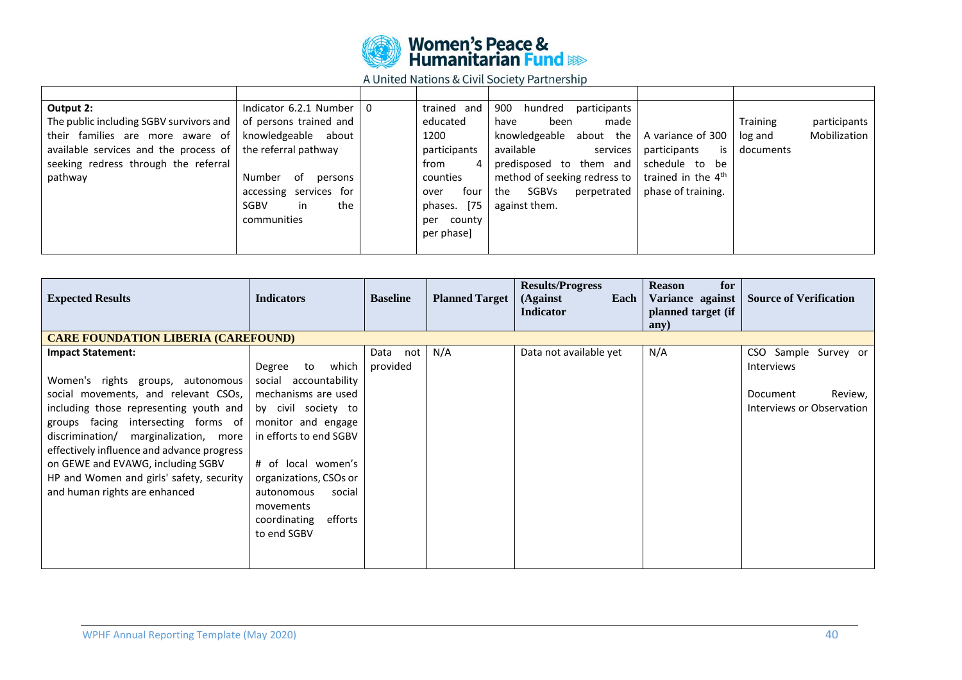

| Output 2:                                                          | Indicator 6.2.1 Number   0 | trained and   | 900<br>hundred<br>participants |                                |                 |              |
|--------------------------------------------------------------------|----------------------------|---------------|--------------------------------|--------------------------------|-----------------|--------------|
| The public including SGBV survivors and                            | of persons trained and     | educated      | made<br>been<br>have           |                                | <b>Training</b> | participants |
| their families are more aware of                                   | knowledgeable about        | 1200          | knowledgeable about the        | A variance of 300              | log and         | Mobilization |
| available services and the process of $\vert$ the referral pathway |                            | participants  | available<br>services          | is<br>participants             | documents       |              |
| seeking redress through the referral                               |                            | from<br>4     | predisposed to them and        | schedule to be                 |                 |              |
| pathway                                                            | Number<br>of<br>persons    | counties      | method of seeking redress to   | trained in the 4 <sup>th</sup> |                 |              |
|                                                                    | accessing services for     | four<br>over  | SGBVs<br>perpetrated<br>the    | phase of training.             |                 |              |
|                                                                    | SGBV<br>in<br>the          | phases. [75]  | against them.                  |                                |                 |              |
|                                                                    | communities                | county<br>per |                                |                                |                 |              |
|                                                                    |                            | per phase]    |                                |                                |                 |              |
|                                                                    |                            |               |                                |                                |                 |              |

| <b>Expected Results</b>                                                                                                                                                                                                                                                                                                                                                                         | <b>Indicators</b>                                                                                                                                                                                                                                                              | <b>Baseline</b>         | <b>Planned Target</b> | <b>Results/Progress</b><br>(Against<br>Each<br><b>Indicator</b> | <b>Reason</b><br>for<br>Variance against<br>planned target (if<br>any) | <b>Source of Verification</b>                                                          |  |  |  |  |
|-------------------------------------------------------------------------------------------------------------------------------------------------------------------------------------------------------------------------------------------------------------------------------------------------------------------------------------------------------------------------------------------------|--------------------------------------------------------------------------------------------------------------------------------------------------------------------------------------------------------------------------------------------------------------------------------|-------------------------|-----------------------|-----------------------------------------------------------------|------------------------------------------------------------------------|----------------------------------------------------------------------------------------|--|--|--|--|
| <b>CARE FOUNDATION LIBERIA (CAREFOUND)</b>                                                                                                                                                                                                                                                                                                                                                      |                                                                                                                                                                                                                                                                                |                         |                       |                                                                 |                                                                        |                                                                                        |  |  |  |  |
| <b>Impact Statement:</b><br>Women's rights groups, autonomous<br>social movements, and relevant CSOs,<br>including those representing youth and<br>groups facing intersecting forms of<br>discrimination/ marginalization, more<br>effectively influence and advance progress<br>on GEWE and EVAWG, including SGBV<br>HP and Women and girls' safety, security<br>and human rights are enhanced | which<br>Degree<br>to<br>social<br>accountability<br>mechanisms are used<br>by civil society to<br>monitor and engage<br>in efforts to end SGBV<br># of local women's<br>organizations, CSOs or<br>autonomous<br>social<br>movements<br>efforts<br>coordinating<br>to end SGBV | Data<br>not<br>provided | N/A                   | Data not available yet                                          | N/A                                                                    | CSO Sample Survey or<br>Interviews<br>Review,<br>Document<br>Interviews or Observation |  |  |  |  |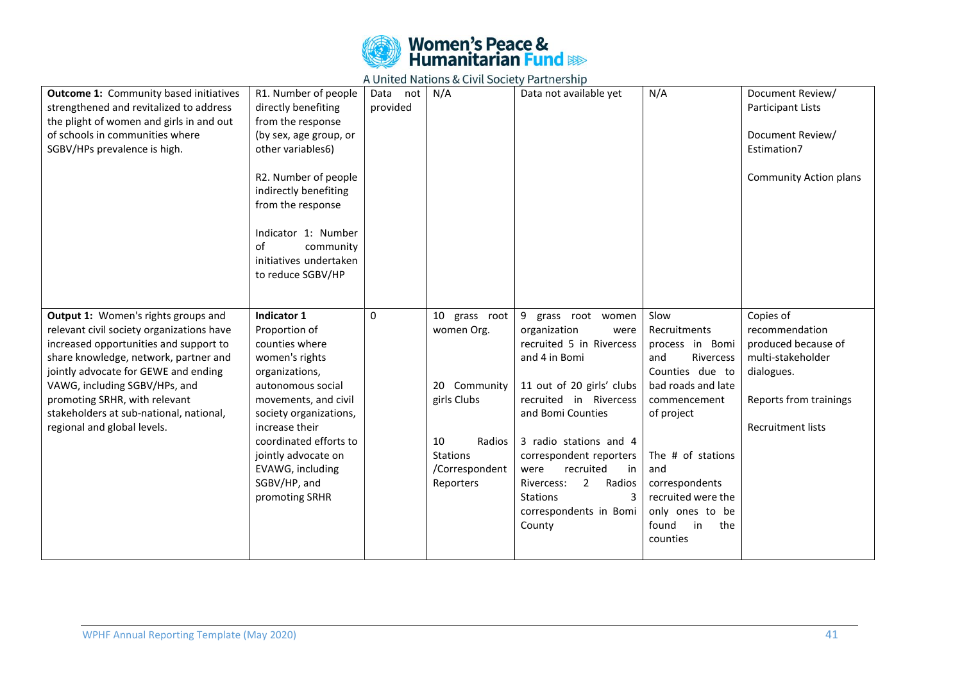

| <b>Outcome 1: Community based initiatives</b><br>strengthened and revitalized to address<br>the plight of women and girls in and out<br>of schools in communities where<br>SGBV/HPs prevalence is high.                                                                                                                                                 | R1. Number of people<br>directly benefiting<br>from the response<br>(by sex, age group, or<br>other variables6)<br>R2. Number of people<br>indirectly benefiting<br>from the response<br>Indicator 1: Number<br>of<br>community<br>initiatives undertaken<br>to reduce SGBV/HP     | Data<br>not<br>provided | N/A                                                                                                                          | Data not available yet                                                                                                                                                                                                                                                                                                                                    | N/A                                                                                                                                                                                                                                                         | Document Review/<br>Participant Lists<br>Document Review/<br>Estimation7<br><b>Community Action plans</b>                                   |
|---------------------------------------------------------------------------------------------------------------------------------------------------------------------------------------------------------------------------------------------------------------------------------------------------------------------------------------------------------|------------------------------------------------------------------------------------------------------------------------------------------------------------------------------------------------------------------------------------------------------------------------------------|-------------------------|------------------------------------------------------------------------------------------------------------------------------|-----------------------------------------------------------------------------------------------------------------------------------------------------------------------------------------------------------------------------------------------------------------------------------------------------------------------------------------------------------|-------------------------------------------------------------------------------------------------------------------------------------------------------------------------------------------------------------------------------------------------------------|---------------------------------------------------------------------------------------------------------------------------------------------|
| Output 1: Women's rights groups and<br>relevant civil society organizations have<br>increased opportunities and support to<br>share knowledge, network, partner and<br>jointly advocate for GEWE and ending<br>VAWG, including SGBV/HPs, and<br>promoting SRHR, with relevant<br>stakeholders at sub-national, national,<br>regional and global levels. | Indicator 1<br>Proportion of<br>counties where<br>women's rights<br>organizations,<br>autonomous social<br>movements, and civil<br>society organizations,<br>increase their<br>coordinated efforts to<br>jointly advocate on<br>EVAWG, including<br>SGBV/HP, and<br>promoting SRHR | 0                       | 10 grass root<br>women Org.<br>20 Community<br>girls Clubs<br>10<br>Radios<br><b>Stations</b><br>/Correspondent<br>Reporters | 9 grass root women<br>organization<br>were<br>recruited 5 in Rivercess<br>and 4 in Bomi<br>11 out of 20 girls' clubs<br>recruited in Rivercess<br>and Bomi Counties<br>3 radio stations and 4<br>correspondent reporters<br>recruited<br>were<br>in<br>$\overline{2}$<br>Radios<br>Rivercess:<br><b>Stations</b><br>3<br>correspondents in Bomi<br>County | Slow<br>Recruitments<br>process in Bomi<br>Rivercess<br>and<br>Counties due to<br>bad roads and late<br>commencement<br>of project<br>The # of stations<br>and<br>correspondents<br>recruited were the<br>only ones to be<br>found<br>in<br>the<br>counties | Copies of<br>recommendation<br>produced because of<br>multi-stakeholder<br>dialogues.<br>Reports from trainings<br><b>Recruitment lists</b> |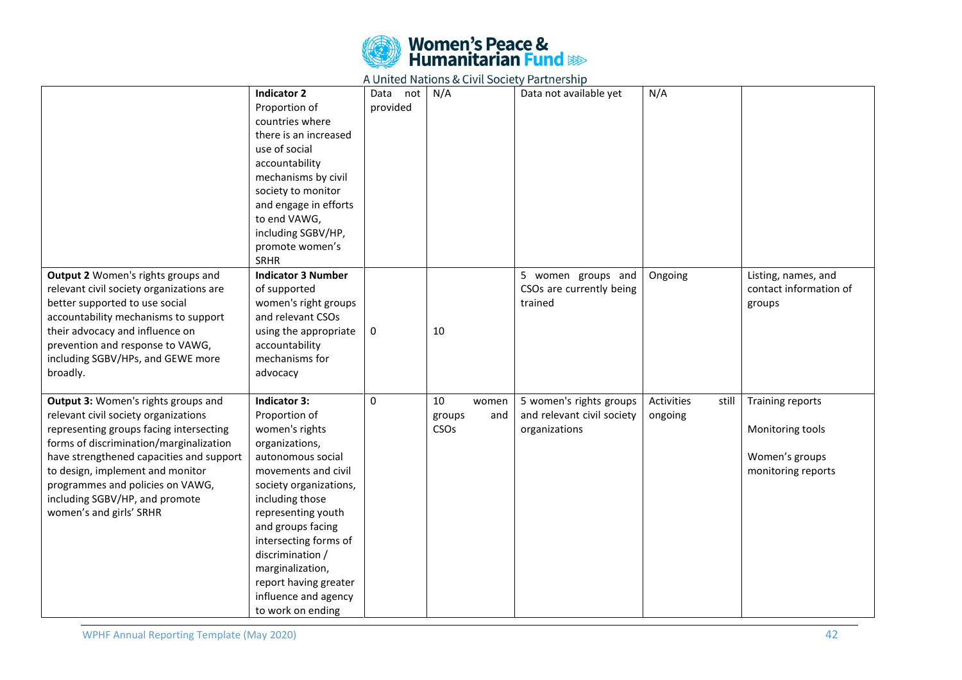

|                                          |                           |             | $\sim$        |                            |                     |                        |
|------------------------------------------|---------------------------|-------------|---------------|----------------------------|---------------------|------------------------|
|                                          | <b>Indicator 2</b>        | Data<br>not | N/A           | Data not available yet     | N/A                 |                        |
|                                          | Proportion of             | provided    |               |                            |                     |                        |
|                                          | countries where           |             |               |                            |                     |                        |
|                                          | there is an increased     |             |               |                            |                     |                        |
|                                          | use of social             |             |               |                            |                     |                        |
|                                          | accountability            |             |               |                            |                     |                        |
|                                          | mechanisms by civil       |             |               |                            |                     |                        |
|                                          | society to monitor        |             |               |                            |                     |                        |
|                                          | and engage in efforts     |             |               |                            |                     |                        |
|                                          | to end VAWG,              |             |               |                            |                     |                        |
|                                          | including SGBV/HP,        |             |               |                            |                     |                        |
|                                          | promote women's           |             |               |                            |                     |                        |
|                                          | <b>SRHR</b>               |             |               |                            |                     |                        |
| Output 2 Women's rights groups and       | <b>Indicator 3 Number</b> |             |               | 5 women groups and         | Ongoing             | Listing, names, and    |
| relevant civil society organizations are | of supported              |             |               | CSOs are currently being   |                     | contact information of |
| better supported to use social           | women's right groups      |             |               | trained                    |                     | groups                 |
| accountability mechanisms to support     | and relevant CSOs         |             |               |                            |                     |                        |
| their advocacy and influence on          | using the appropriate     | 0           | 10            |                            |                     |                        |
| prevention and response to VAWG,         | accountability            |             |               |                            |                     |                        |
| including SGBV/HPs, and GEWE more        | mechanisms for            |             |               |                            |                     |                        |
| broadly.                                 | advocacy                  |             |               |                            |                     |                        |
|                                          |                           |             |               |                            |                     |                        |
| Output 3: Women's rights groups and      | <b>Indicator 3:</b>       | $\Omega$    | 10<br>women   | 5 women's rights groups    | Activities<br>still | Training reports       |
| relevant civil society organizations     | Proportion of             |             | groups<br>and | and relevant civil society | ongoing             |                        |
| representing groups facing intersecting  | women's rights            |             | CSOs          | organizations              |                     | Monitoring tools       |
| forms of discrimination/marginalization  | organizations,            |             |               |                            |                     |                        |
| have strengthened capacities and support | autonomous social         |             |               |                            |                     | Women's groups         |
| to design, implement and monitor         | movements and civil       |             |               |                            |                     | monitoring reports     |
| programmes and policies on VAWG,         | society organizations,    |             |               |                            |                     |                        |
| including SGBV/HP, and promote           | including those           |             |               |                            |                     |                        |
| women's and girls' SRHR                  | representing youth        |             |               |                            |                     |                        |
|                                          | and groups facing         |             |               |                            |                     |                        |
|                                          | intersecting forms of     |             |               |                            |                     |                        |
|                                          | discrimination /          |             |               |                            |                     |                        |
|                                          | marginalization,          |             |               |                            |                     |                        |
|                                          | report having greater     |             |               |                            |                     |                        |
|                                          | influence and agency      |             |               |                            |                     |                        |
|                                          | to work on ending         |             |               |                            |                     |                        |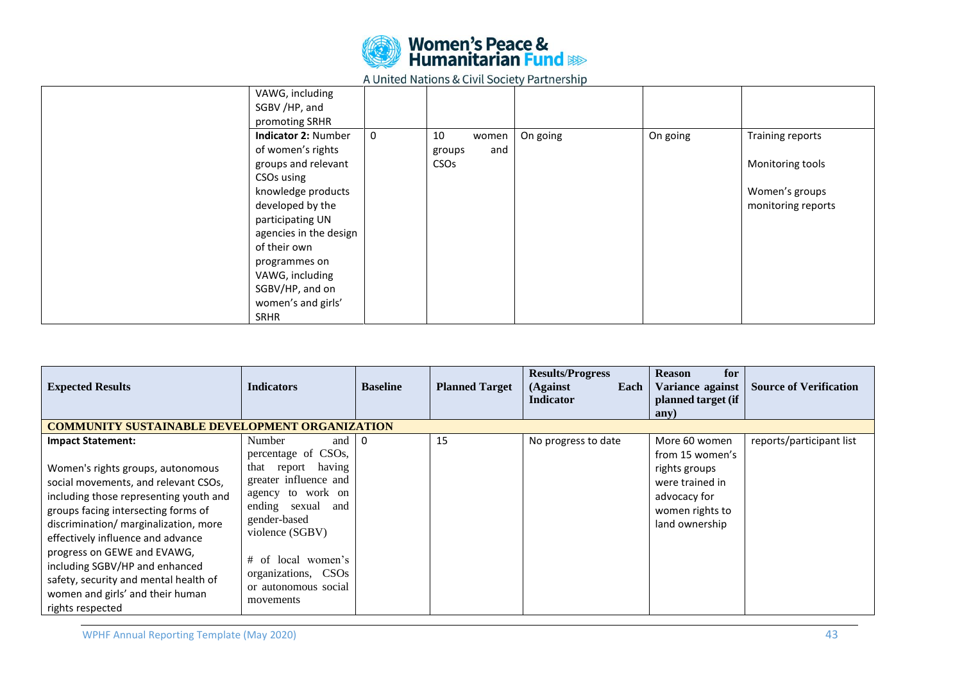

| VAWG, including<br>SGBV /HP, and<br>promoting SRHR |             |                        |     |          |          |                    |
|----------------------------------------------------|-------------|------------------------|-----|----------|----------|--------------------|
| <b>Indicator 2: Number</b>                         | $\mathbf 0$ | 10<br>women            |     | On going | On going | Training reports   |
| of women's rights                                  |             | groups                 | and |          |          |                    |
| groups and relevant                                |             | <b>CSO<sub>s</sub></b> |     |          |          | Monitoring tools   |
| CSOs using                                         |             |                        |     |          |          |                    |
| knowledge products                                 |             |                        |     |          |          | Women's groups     |
| developed by the                                   |             |                        |     |          |          | monitoring reports |
| participating UN                                   |             |                        |     |          |          |                    |
| agencies in the design                             |             |                        |     |          |          |                    |
| of their own                                       |             |                        |     |          |          |                    |
| programmes on                                      |             |                        |     |          |          |                    |
| VAWG, including                                    |             |                        |     |          |          |                    |
| SGBV/HP, and on                                    |             |                        |     |          |          |                    |
| women's and girls'                                 |             |                        |     |          |          |                    |
| <b>SRHR</b>                                        |             |                        |     |          |          |                    |

| <b>Expected Results</b>                                                                                                                                                                                                                                                                                                                                                                                                                | <b>Indicators</b>                                                                                                                                                                                                                                                | <b>Baseline</b> | <b>Planned Target</b> | <b>Results/Progress</b><br>(Against<br>Each<br><b>Indicator</b> | <b>Reason</b><br>for<br>Variance against<br>planned target (if<br>any)                                                    | <b>Source of Verification</b> |
|----------------------------------------------------------------------------------------------------------------------------------------------------------------------------------------------------------------------------------------------------------------------------------------------------------------------------------------------------------------------------------------------------------------------------------------|------------------------------------------------------------------------------------------------------------------------------------------------------------------------------------------------------------------------------------------------------------------|-----------------|-----------------------|-----------------------------------------------------------------|---------------------------------------------------------------------------------------------------------------------------|-------------------------------|
| <b>COMMUNITY SUSTAINABLE DEVELOPMENT ORGANIZATION</b>                                                                                                                                                                                                                                                                                                                                                                                  |                                                                                                                                                                                                                                                                  |                 |                       |                                                                 |                                                                                                                           |                               |
| <b>Impact Statement:</b><br>Women's rights groups, autonomous<br>social movements, and relevant CSOs,<br>including those representing youth and<br>groups facing intersecting forms of<br>discrimination/ marginalization, more<br>effectively influence and advance<br>progress on GEWE and EVAWG,<br>including SGBV/HP and enhanced<br>safety, security and mental health of<br>women and girls' and their human<br>rights respected | Number<br>and<br>percentage of CSOs,<br>having<br>that report<br>greater influence and<br>agency to work on<br>ending<br>sexual<br>and<br>gender-based<br>violence (SGBV)<br>local women's<br>$#$ of<br>organizations, CSOs<br>or autonomous social<br>movements | 0               | 15                    | No progress to date                                             | More 60 women<br>from 15 women's<br>rights groups<br>were trained in<br>advocacy for<br>women rights to<br>land ownership | reports/participant list      |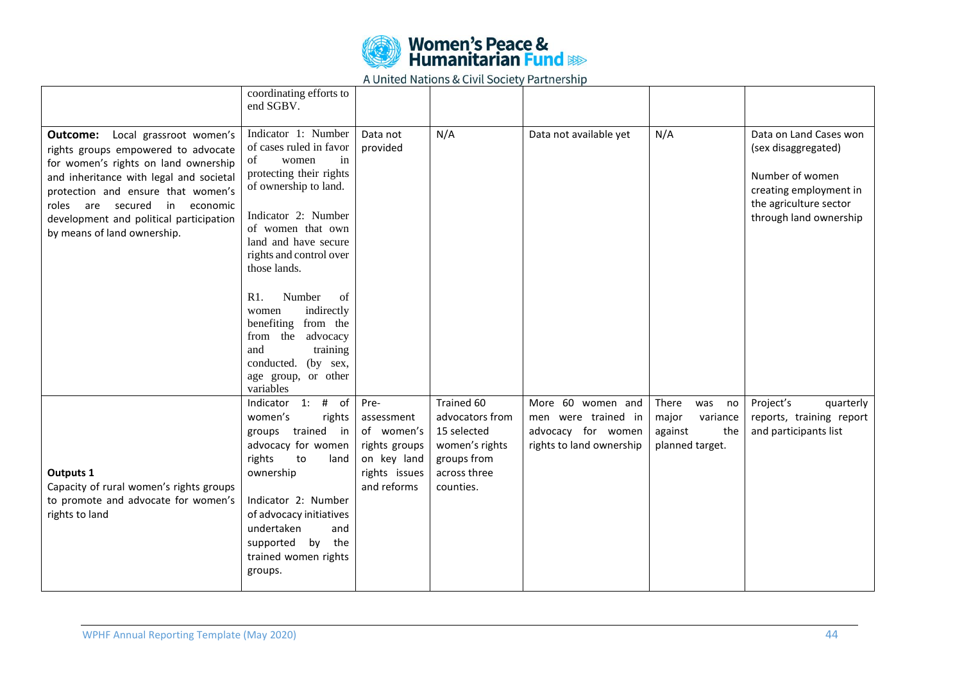

|                                                                                                                                                                                                                                                                                                                | coordinating efforts to<br>end SGBV.                                                                                                                                                                                                                 |                                                                                                  |                                                                                                            |                                                                                            |                                                                              |                                                                                                                                                |
|----------------------------------------------------------------------------------------------------------------------------------------------------------------------------------------------------------------------------------------------------------------------------------------------------------------|------------------------------------------------------------------------------------------------------------------------------------------------------------------------------------------------------------------------------------------------------|--------------------------------------------------------------------------------------------------|------------------------------------------------------------------------------------------------------------|--------------------------------------------------------------------------------------------|------------------------------------------------------------------------------|------------------------------------------------------------------------------------------------------------------------------------------------|
| Outcome:<br>Local grassroot women's<br>rights groups empowered to advocate<br>for women's rights on land ownership<br>and inheritance with legal and societal<br>protection and ensure that women's<br>roles are secured in economic<br>development and political participation<br>by means of land ownership. | Indicator 1: Number<br>of cases ruled in favor<br>of<br>women<br>in<br>protecting their rights<br>of ownership to land.<br>Indicator 2: Number<br>of women that own<br>land and have secure<br>rights and control over<br>those lands.               | Data not<br>provided                                                                             | N/A                                                                                                        | Data not available yet                                                                     | N/A                                                                          | Data on Land Cases won<br>(sex disaggregated)<br>Number of women<br>creating employment in<br>the agriculture sector<br>through land ownership |
|                                                                                                                                                                                                                                                                                                                | R1.<br>Number<br>of<br>indirectly<br>women<br>benefiting<br>from the<br>advocacy<br>from the<br>training<br>and<br>conducted. (by sex,<br>age group, or other<br>variables                                                                           |                                                                                                  |                                                                                                            |                                                                                            |                                                                              |                                                                                                                                                |
| Outputs 1<br>Capacity of rural women's rights groups<br>to promote and advocate for women's<br>rights to land                                                                                                                                                                                                  | Indicator 1: # of<br>women's<br>rights<br>groups trained in<br>advocacy for women<br>rights<br>to<br>land<br>ownership<br>Indicator 2: Number<br>of advocacy initiatives<br>undertaken<br>and<br>supported by the<br>trained women rights<br>groups. | Pre-<br>assessment<br>of women's<br>rights groups<br>on key land<br>rights issues<br>and reforms | Trained 60<br>advocators from<br>15 selected<br>women's rights<br>groups from<br>across three<br>counties. | More 60 women and<br>men were trained in<br>advocacy for women<br>rights to land ownership | There<br>was<br>no<br>major<br>variance<br>against<br>the<br>planned target. | Project's<br>quarterly<br>reports, training report<br>and participants list                                                                    |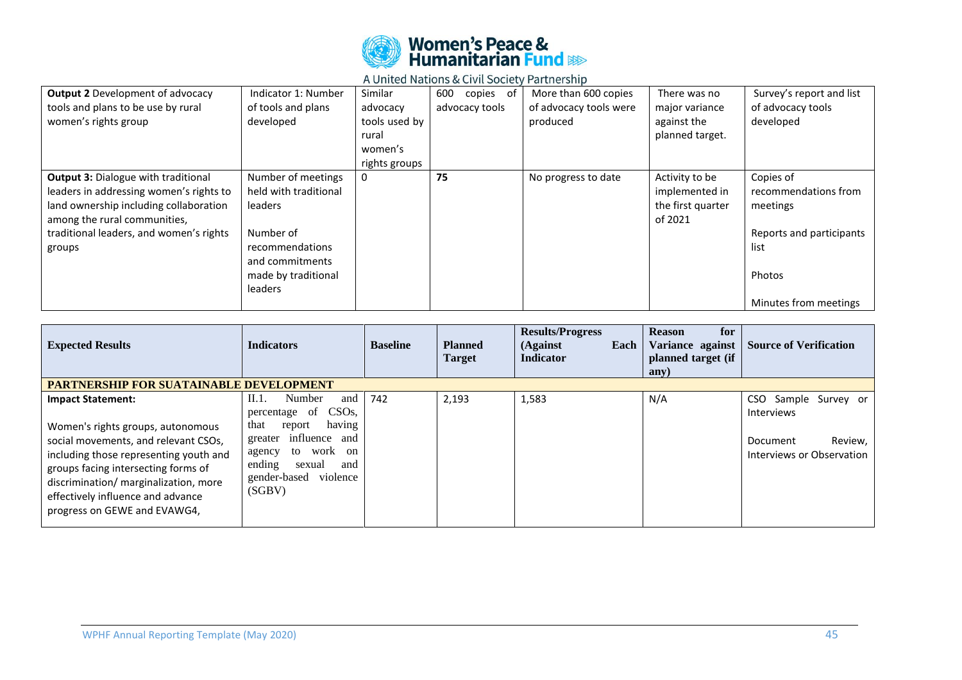

| <b>Output 2</b> Development of advocacy    | Indicator 1: Number   | Similar       | of<br>copies<br>600 | More than 600 copies   | There was no      | Survey's report and list |
|--------------------------------------------|-----------------------|---------------|---------------------|------------------------|-------------------|--------------------------|
| tools and plans to be use by rural         | of tools and plans    | advocacy      | advocacy tools      | of advocacy tools were | major variance    | of advocacy tools        |
| women's rights group                       | developed             | tools used by |                     | produced               | against the       | developed                |
|                                            |                       | rural         |                     |                        | planned target.   |                          |
|                                            |                       | women's       |                     |                        |                   |                          |
|                                            |                       | rights groups |                     |                        |                   |                          |
| <b>Output 3: Dialogue with traditional</b> | Number of meetings    | 0             | 75                  | No progress to date    | Activity to be    | Copies of                |
| leaders in addressing women's rights to    | held with traditional |               |                     |                        | implemented in    | recommendations from     |
| land ownership including collaboration     | leaders               |               |                     |                        | the first quarter | meetings                 |
| among the rural communities,               |                       |               |                     |                        | of 2021           |                          |
| traditional leaders, and women's rights    | Number of             |               |                     |                        |                   | Reports and participants |
| groups                                     | recommendations       |               |                     |                        |                   | list                     |
|                                            | and commitments       |               |                     |                        |                   |                          |
|                                            | made by traditional   |               |                     |                        |                   | Photos                   |
|                                            | leaders               |               |                     |                        |                   |                          |
|                                            |                       |               |                     |                        |                   | Minutes from meetings    |

| <b>Expected Results</b>                                                                                                                                                                                                                                                                              | <b>Indicators</b>                                                                                                                                                                              | <b>Baseline</b> | <b>Planned</b><br><b>Target</b> | <b>Results/Progress</b><br>(Against)<br>Each<br><b>Indicator</b> | <b>Reason</b><br>for<br>Variance against<br>planned target (if<br>any) | <b>Source of Verification</b>                                                                 |
|------------------------------------------------------------------------------------------------------------------------------------------------------------------------------------------------------------------------------------------------------------------------------------------------------|------------------------------------------------------------------------------------------------------------------------------------------------------------------------------------------------|-----------------|---------------------------------|------------------------------------------------------------------|------------------------------------------------------------------------|-----------------------------------------------------------------------------------------------|
| <b>PARTNERSHIP FOR SUATAINABLE DEVELOPMENT</b>                                                                                                                                                                                                                                                       |                                                                                                                                                                                                |                 |                                 |                                                                  |                                                                        |                                                                                               |
| <b>Impact Statement:</b><br>Women's rights groups, autonomous<br>social movements, and relevant CSOs,<br>including those representing youth and<br>groups facing intersecting forms of<br>discrimination/ marginalization, more<br>effectively influence and advance<br>progress on GEWE and EVAWG4, | II.1.<br>Number<br>and<br>percentage of CSOs,<br>having<br>that<br>report<br>greater influence<br>and<br>to work on<br>agency<br>ending<br>sexual<br>and<br>violence<br>gender-based<br>(SGBV) | 742             | 2,193                           | 1,583                                                            | N/A                                                                    | CSO Sample Survey or<br><b>Interviews</b><br>Review,<br>Document<br>Interviews or Observation |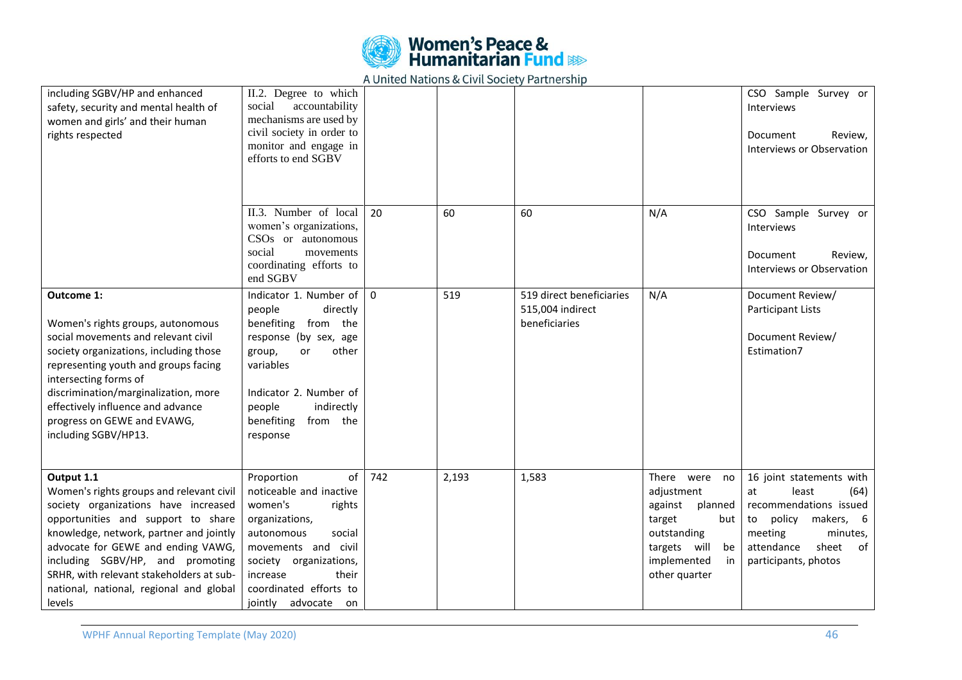

| including SGBV/HP and enhanced<br>safety, security and mental health of<br>women and girls' and their human<br>rights respected                                                                                                                                                                                                                            | II.2. Degree to which<br>social<br>accountability<br>mechanisms are used by<br>civil society in order to<br>monitor and engage in<br>efforts to end SGBV                                                                          |          |       |                                                               |                                                                                                                                               | CSO Sample Survey or<br>Interviews<br>Review,<br>Document<br>Interviews or Observation                                                                                          |
|------------------------------------------------------------------------------------------------------------------------------------------------------------------------------------------------------------------------------------------------------------------------------------------------------------------------------------------------------------|-----------------------------------------------------------------------------------------------------------------------------------------------------------------------------------------------------------------------------------|----------|-------|---------------------------------------------------------------|-----------------------------------------------------------------------------------------------------------------------------------------------|---------------------------------------------------------------------------------------------------------------------------------------------------------------------------------|
|                                                                                                                                                                                                                                                                                                                                                            | II.3. Number of local<br>women's organizations,<br>CSOs or autonomous<br>social<br>movements<br>coordinating efforts to<br>end SGBV                                                                                               | 20       | 60    | 60                                                            | N/A                                                                                                                                           | CSO Sample Survey or<br><b>Interviews</b><br>Review,<br>Document<br>Interviews or Observation                                                                                   |
| Outcome 1:<br>Women's rights groups, autonomous<br>social movements and relevant civil<br>society organizations, including those<br>representing youth and groups facing<br>intersecting forms of<br>discrimination/marginalization, more<br>effectively influence and advance<br>progress on GEWE and EVAWG,<br>including SGBV/HP13.                      | Indicator 1. Number of<br>people<br>directly<br>benefiting from the<br>response (by sex, age<br>group,<br>other<br>or<br>variables<br>Indicator 2. Number of<br>indirectly<br>people<br>benefiting<br>from the<br>response        | $\Omega$ | 519   | 519 direct beneficiaries<br>515,004 indirect<br>beneficiaries | N/A                                                                                                                                           | Document Review/<br><b>Participant Lists</b><br>Document Review/<br>Estimation7                                                                                                 |
| Output 1.1<br>Women's rights groups and relevant civil<br>society organizations have increased<br>opportunities and support to share<br>knowledge, network, partner and jointly<br>advocate for GEWE and ending VAWG,<br>including SGBV/HP, and promoting<br>SRHR, with relevant stakeholders at sub-<br>national, national, regional and global<br>levels | of<br>Proportion<br>noticeable and inactive<br>women's<br>rights<br>organizations,<br>autonomous<br>social<br>movements and civil<br>society organizations,<br>their<br>increase<br>coordinated efforts to<br>jointly advocate on | 742      | 2,193 | 1,583                                                         | There were no<br>adjustment<br>against<br>planned<br>target<br>but<br>outstanding<br>targets will<br>be<br>implemented<br>in<br>other quarter | 16 joint statements with<br>at<br>least<br>(64)<br>recommendations issued<br>policy makers, 6<br>to<br>minutes,<br>meeting<br>attendance<br>sheet<br>of<br>participants, photos |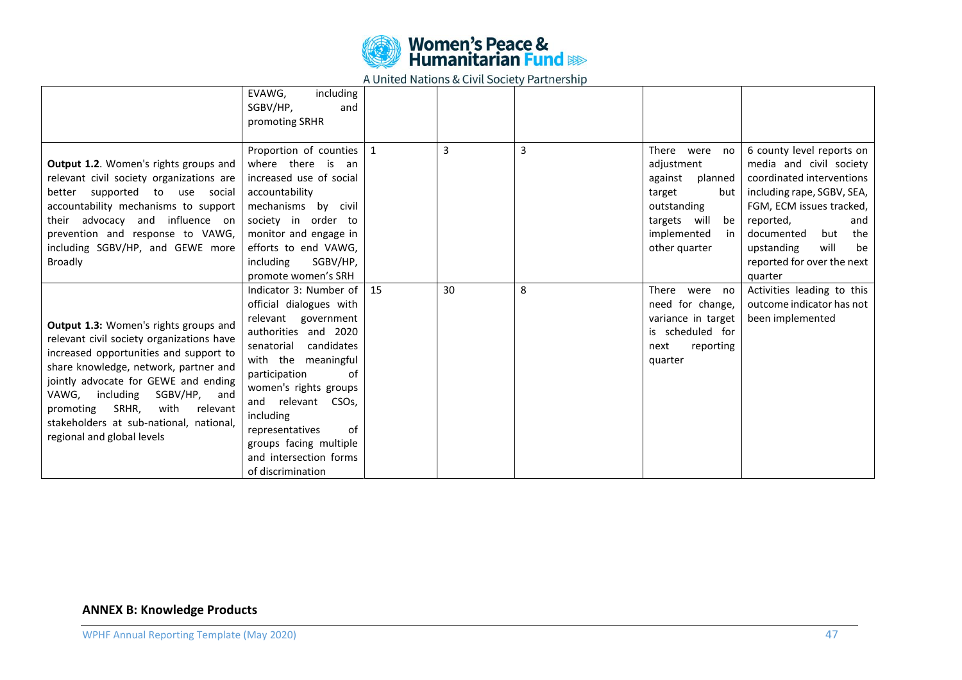

|                                                                                                                                                                                                                                                                                                                                                                     | including<br>EVAWG,<br>SGBV/HP,<br>and<br>promoting SRHR                                                                                                                                                                                                                                                                                 |    |    |   |                                                                                                                                                    |                                                                                                                                                                                                                                                                  |
|---------------------------------------------------------------------------------------------------------------------------------------------------------------------------------------------------------------------------------------------------------------------------------------------------------------------------------------------------------------------|------------------------------------------------------------------------------------------------------------------------------------------------------------------------------------------------------------------------------------------------------------------------------------------------------------------------------------------|----|----|---|----------------------------------------------------------------------------------------------------------------------------------------------------|------------------------------------------------------------------------------------------------------------------------------------------------------------------------------------------------------------------------------------------------------------------|
| Output 1.2. Women's rights groups and<br>relevant civil society organizations are<br>better supported to use social<br>accountability mechanisms to support<br>their advocacy and influence on<br>prevention and response to VAWG,<br>including SGBV/HP, and GEWE more<br><b>Broadly</b>                                                                            | Proportion of counties<br>where there is an<br>increased use of social<br>accountability<br>mechanisms by civil<br>society in order to<br>monitor and engage in<br>efforts to end VAWG,<br>including<br>SGBV/HP,<br>promote women's SRH                                                                                                  | 1  | 3  | 3 | There<br>were no<br>adjustment<br>against<br>planned<br>target<br>but I<br>outstanding<br>targets will<br>be<br>implemented<br>in<br>other quarter | 6 county level reports on<br>media and civil society<br>coordinated interventions<br>including rape, SGBV, SEA,<br>FGM, ECM issues tracked,<br>reported,<br>and<br>but<br>documented<br>the<br>will<br>be<br>upstanding<br>reported for over the next<br>quarter |
| Output 1.3: Women's rights groups and<br>relevant civil society organizations have<br>increased opportunities and support to<br>share knowledge, network, partner and<br>jointly advocate for GEWE and ending<br>VAWG, including<br>SGBV/HP, and<br>with<br>relevant<br>promoting<br>SRHR,<br>stakeholders at sub-national, national,<br>regional and global levels | Indicator 3: Number of<br>official dialogues with<br>relevant government<br>authorities and 2020<br>candidates<br>senatorial<br>with the meaningful<br>participation<br>of<br>women's rights groups<br>and relevant CSOs,<br>including<br>representatives<br>of<br>groups facing multiple<br>and intersection forms<br>of discrimination | 15 | 30 | 8 | There were no<br>need for change,<br>variance in target<br>is scheduled for<br>reporting<br>next<br>quarter                                        | Activities leading to this<br>outcome indicator has not<br>been implemented                                                                                                                                                                                      |